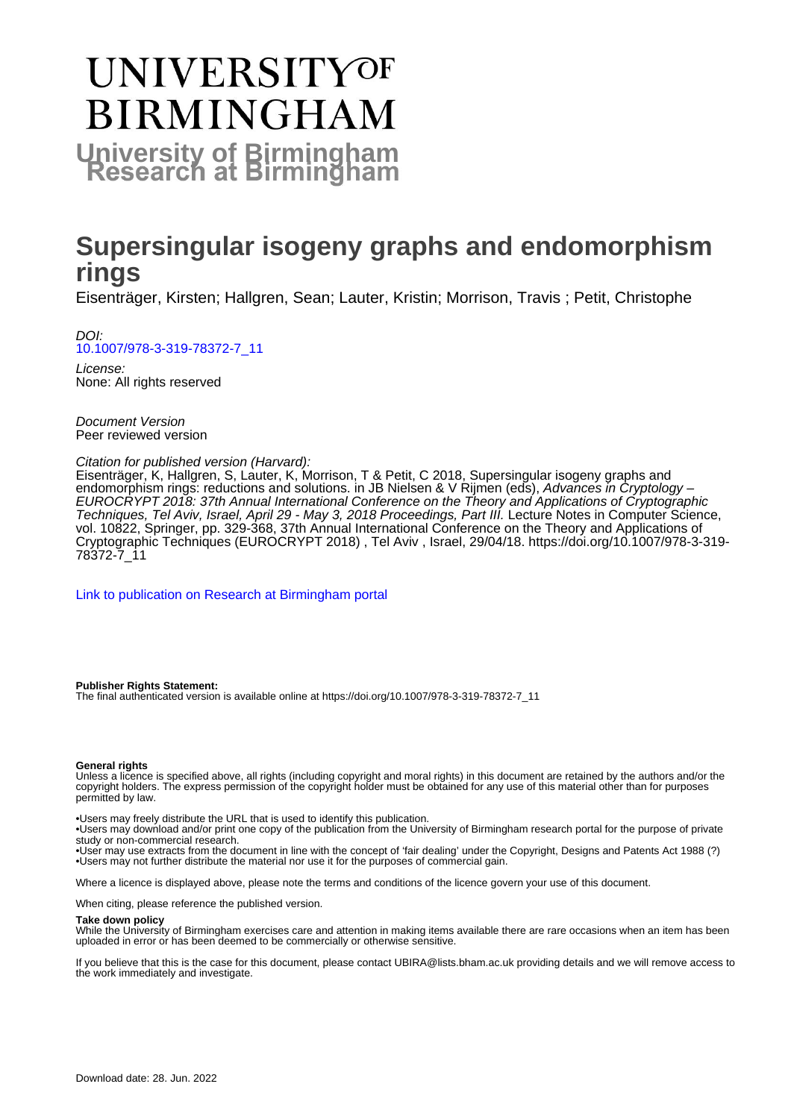# **UNIVERSITYOF BIRMINGHAM University of Birmingham**

# **Supersingular isogeny graphs and endomorphism rings**

Eisenträger, Kirsten; Hallgren, Sean; Lauter, Kristin; Morrison, Travis ; Petit, Christophe

DOI: [10.1007/978-3-319-78372-7\\_11](https://doi.org/10.1007/978-3-319-78372-7_11)

License: None: All rights reserved

Document Version Peer reviewed version

#### Citation for published version (Harvard):

Eisenträger, K, Hallgren, S, Lauter, K, Morrison, T & Petit, C 2018, Supersingular isogeny graphs and endomorphism rings: reductions and solutions. in JB Nielsen & V Rijmen (eds), Advances in Cryptology -EUROCRYPT 2018: 37th Annual International Conference on the Theory and Applications of Cryptographic Techniques, Tel Aviv, Israel, April 29 - May 3, 2018 Proceedings, Part III. Lecture Notes in Computer Science, vol. 10822, Springer, pp. 329-368, 37th Annual International Conference on the Theory and Applications of Cryptographic Techniques (EUROCRYPT 2018) , Tel Aviv , Israel, 29/04/18. [https://doi.org/10.1007/978-3-319-](https://doi.org/10.1007/978-3-319-78372-7_11) [78372-7\\_11](https://doi.org/10.1007/978-3-319-78372-7_11)

[Link to publication on Research at Birmingham portal](https://birmingham.elsevierpure.com/en/publications/cbfba0c1-fd32-429d-a68c-ba3ab258d56d)

**Publisher Rights Statement:** The final authenticated version is available online at https://doi.org/10.1007/978-3-319-78372-7\_11

#### **General rights**

Unless a licence is specified above, all rights (including copyright and moral rights) in this document are retained by the authors and/or the copyright holders. The express permission of the copyright holder must be obtained for any use of this material other than for purposes permitted by law.

• Users may freely distribute the URL that is used to identify this publication.

• Users may download and/or print one copy of the publication from the University of Birmingham research portal for the purpose of private study or non-commercial research.

• User may use extracts from the document in line with the concept of 'fair dealing' under the Copyright, Designs and Patents Act 1988 (?) • Users may not further distribute the material nor use it for the purposes of commercial gain.

Where a licence is displayed above, please note the terms and conditions of the licence govern your use of this document.

When citing, please reference the published version.

#### **Take down policy**

While the University of Birmingham exercises care and attention in making items available there are rare occasions when an item has been uploaded in error or has been deemed to be commercially or otherwise sensitive.

If you believe that this is the case for this document, please contact UBIRA@lists.bham.ac.uk providing details and we will remove access to the work immediately and investigate.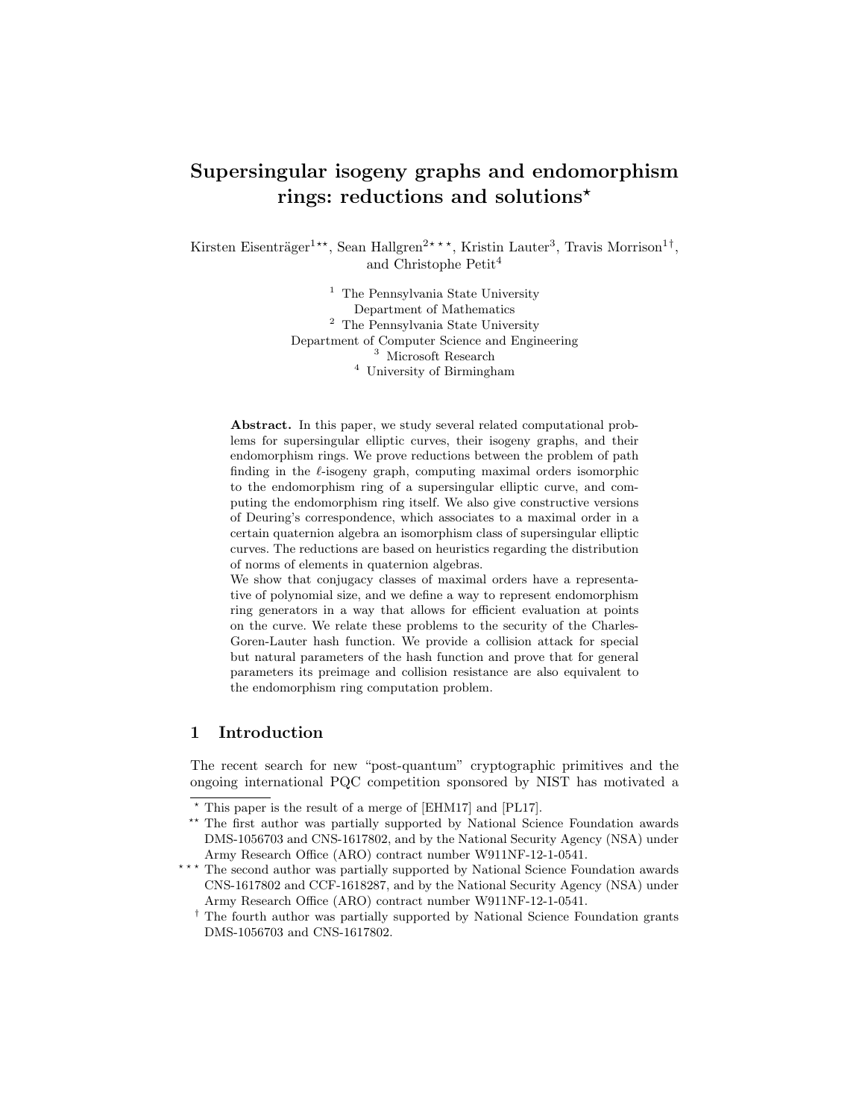# Supersingular isogeny graphs and endomorphism rings: reductions and solutions<sup>\*</sup>

Kirsten Eisenträger<sup>1\*\*</sup>, Sean Hallgren<sup>2\*\*\*</sup>, Kristin Lauter<sup>3</sup>, Travis Morrison<sup>1†</sup>, and Christophe Petit<sup>4</sup>

> <sup>1</sup> The Pennsylvania State University Department of Mathematics <sup>2</sup> The Pennsylvania State University Department of Computer Science and Engineering <sup>3</sup> Microsoft Research <sup>4</sup> University of Birmingham

Abstract. In this paper, we study several related computational problems for supersingular elliptic curves, their isogeny graphs, and their endomorphism rings. We prove reductions between the problem of path finding in the  $\ell$ -isogeny graph, computing maximal orders isomorphic to the endomorphism ring of a supersingular elliptic curve, and computing the endomorphism ring itself. We also give constructive versions of Deuring's correspondence, which associates to a maximal order in a certain quaternion algebra an isomorphism class of supersingular elliptic curves. The reductions are based on heuristics regarding the distribution of norms of elements in quaternion algebras.

We show that conjugacy classes of maximal orders have a representative of polynomial size, and we define a way to represent endomorphism ring generators in a way that allows for efficient evaluation at points on the curve. We relate these problems to the security of the Charles-Goren-Lauter hash function. We provide a collision attack for special but natural parameters of the hash function and prove that for general parameters its preimage and collision resistance are also equivalent to the endomorphism ring computation problem.

### 1 Introduction

The recent search for new "post-quantum" cryptographic primitives and the ongoing international PQC competition sponsored by NIST has motivated a

<sup>?</sup> This paper is the result of a merge of [EHM17] and [PL17].

<sup>\*\*</sup> The first author was partially supported by National Science Foundation awards DMS-1056703 and CNS-1617802, and by the National Security Agency (NSA) under Army Research Office (ARO) contract number W911NF-12-1-0541.

<sup>\*\*\*</sup> The second author was partially supported by National Science Foundation awards CNS-1617802 and CCF-1618287, and by the National Security Agency (NSA) under Army Research Office (ARO) contract number W911NF-12-1-0541.

<sup>†</sup> The fourth author was partially supported by National Science Foundation grants DMS-1056703 and CNS-1617802.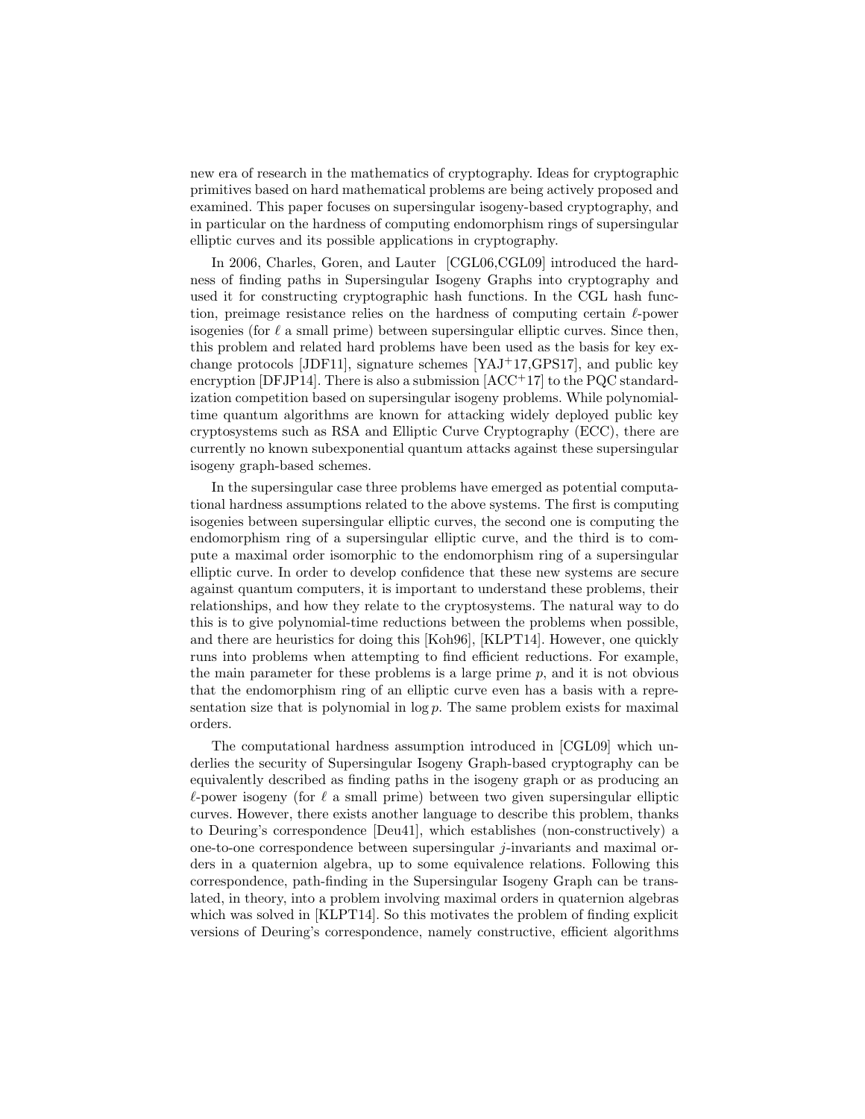new era of research in the mathematics of cryptography. Ideas for cryptographic primitives based on hard mathematical problems are being actively proposed and examined. This paper focuses on supersingular isogeny-based cryptography, and in particular on the hardness of computing endomorphism rings of supersingular elliptic curves and its possible applications in cryptography.

In 2006, Charles, Goren, and Lauter [CGL06,CGL09] introduced the hardness of finding paths in Supersingular Isogeny Graphs into cryptography and used it for constructing cryptographic hash functions. In the CGL hash function, preimage resistance relies on the hardness of computing certain  $\ell$ -power isogenies (for  $\ell$  a small prime) between supersingular elliptic curves. Since then, this problem and related hard problems have been used as the basis for key exchange protocols [JDF11], signature schemes  $[*YAJ*+17,*GP*ST7]$ , and public key encryption [DFJP14]. There is also a submission  $[ACC^+17]$  to the PQC standardization competition based on supersingular isogeny problems. While polynomialtime quantum algorithms are known for attacking widely deployed public key cryptosystems such as RSA and Elliptic Curve Cryptography (ECC), there are currently no known subexponential quantum attacks against these supersingular isogeny graph-based schemes.

In the supersingular case three problems have emerged as potential computational hardness assumptions related to the above systems. The first is computing isogenies between supersingular elliptic curves, the second one is computing the endomorphism ring of a supersingular elliptic curve, and the third is to compute a maximal order isomorphic to the endomorphism ring of a supersingular elliptic curve. In order to develop confidence that these new systems are secure against quantum computers, it is important to understand these problems, their relationships, and how they relate to the cryptosystems. The natural way to do this is to give polynomial-time reductions between the problems when possible, and there are heuristics for doing this [Koh96], [KLPT14]. However, one quickly runs into problems when attempting to find efficient reductions. For example, the main parameter for these problems is a large prime  $p$ , and it is not obvious that the endomorphism ring of an elliptic curve even has a basis with a representation size that is polynomial in  $\log p$ . The same problem exists for maximal orders.

The computational hardness assumption introduced in [CGL09] which underlies the security of Supersingular Isogeny Graph-based cryptography can be equivalently described as finding paths in the isogeny graph or as producing an  $\ell$ -power isogeny (for  $\ell$  a small prime) between two given supersingular elliptic curves. However, there exists another language to describe this problem, thanks to Deuring's correspondence [Deu41], which establishes (non-constructively) a one-to-one correspondence between supersingular  $j$ -invariants and maximal orders in a quaternion algebra, up to some equivalence relations. Following this correspondence, path-finding in the Supersingular Isogeny Graph can be translated, in theory, into a problem involving maximal orders in quaternion algebras which was solved in [KLPT14]. So this motivates the problem of finding explicit versions of Deuring's correspondence, namely constructive, efficient algorithms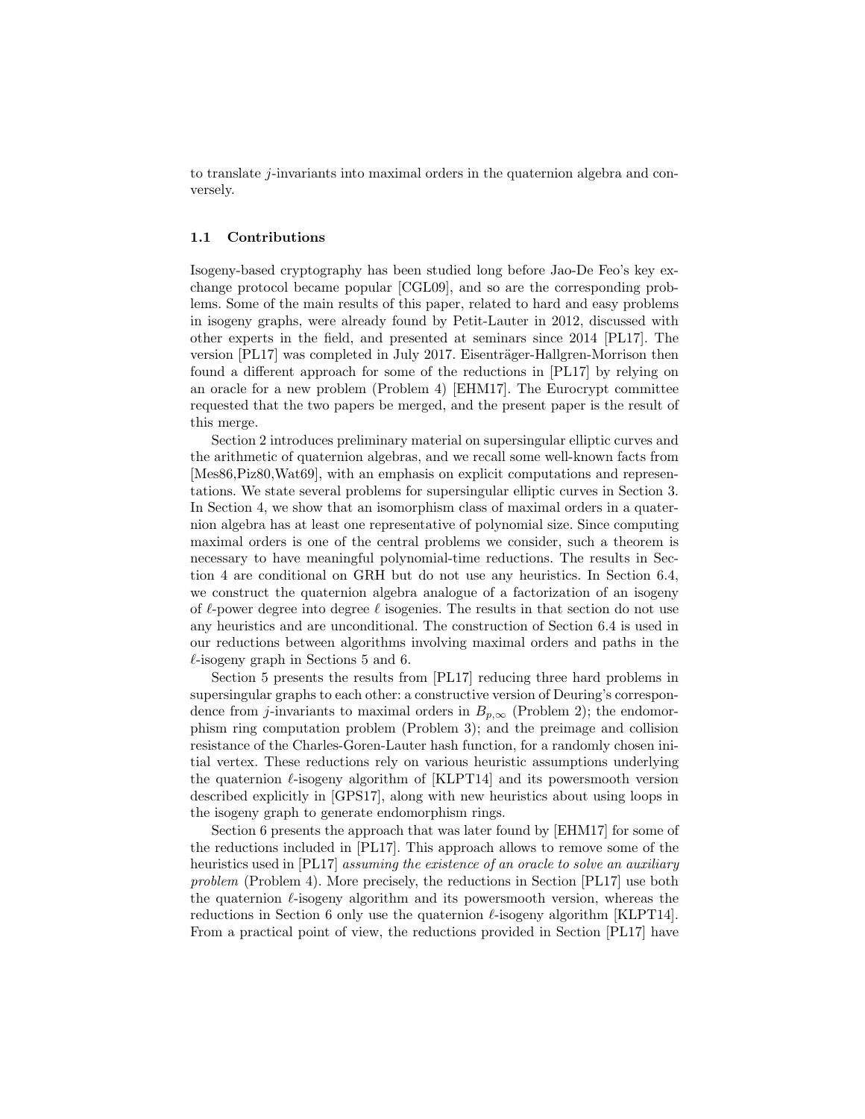to translate j-invariants into maximal orders in the quaternion algebra and conversely.

#### 1.1 Contributions

Isogeny-based cryptography has been studied long before Jao-De Feo's key exchange protocol became popular [CGL09], and so are the corresponding problems. Some of the main results of this paper, related to hard and easy problems in isogeny graphs, were already found by Petit-Lauter in 2012, discussed with other experts in the field, and presented at seminars since 2014 [PL17]. The version [PL17] was completed in July 2017. Eisenträger-Hallgren-Morrison then found a different approach for some of the reductions in [PL17] by relying on an oracle for a new problem (Problem 4) [EHM17]. The Eurocrypt committee requested that the two papers be merged, and the present paper is the result of this merge.

Section 2 introduces preliminary material on supersingular elliptic curves and the arithmetic of quaternion algebras, and we recall some well-known facts from [Mes86,Piz80,Wat69], with an emphasis on explicit computations and representations. We state several problems for supersingular elliptic curves in Section 3. In Section 4, we show that an isomorphism class of maximal orders in a quaternion algebra has at least one representative of polynomial size. Since computing maximal orders is one of the central problems we consider, such a theorem is necessary to have meaningful polynomial-time reductions. The results in Section 4 are conditional on GRH but do not use any heuristics. In Section 6.4, we construct the quaternion algebra analogue of a factorization of an isogeny of  $\ell$ -power degree into degree  $\ell$  isogenies. The results in that section do not use any heuristics and are unconditional. The construction of Section 6.4 is used in our reductions between algorithms involving maximal orders and paths in the  $\ell$ -isogeny graph in Sections 5 and 6.

Section 5 presents the results from [PL17] reducing three hard problems in supersingular graphs to each other: a constructive version of Deuring's correspondence from j-invariants to maximal orders in  $B_{p,\infty}$  (Problem 2); the endomorphism ring computation problem (Problem 3); and the preimage and collision resistance of the Charles-Goren-Lauter hash function, for a randomly chosen initial vertex. These reductions rely on various heuristic assumptions underlying the quaternion  $\ell$ -isogeny algorithm of [KLPT14] and its powersmooth version described explicitly in [GPS17], along with new heuristics about using loops in the isogeny graph to generate endomorphism rings.

Section 6 presents the approach that was later found by [EHM17] for some of the reductions included in [PL17]. This approach allows to remove some of the heuristics used in [PL17] assuming the existence of an oracle to solve an auxiliary problem (Problem 4). More precisely, the reductions in Section [PL17] use both the quaternion  $\ell$ -isogeny algorithm and its powersmooth version, whereas the reductions in Section 6 only use the quaternion  $\ell$ -isogeny algorithm [KLPT14]. From a practical point of view, the reductions provided in Section [PL17] have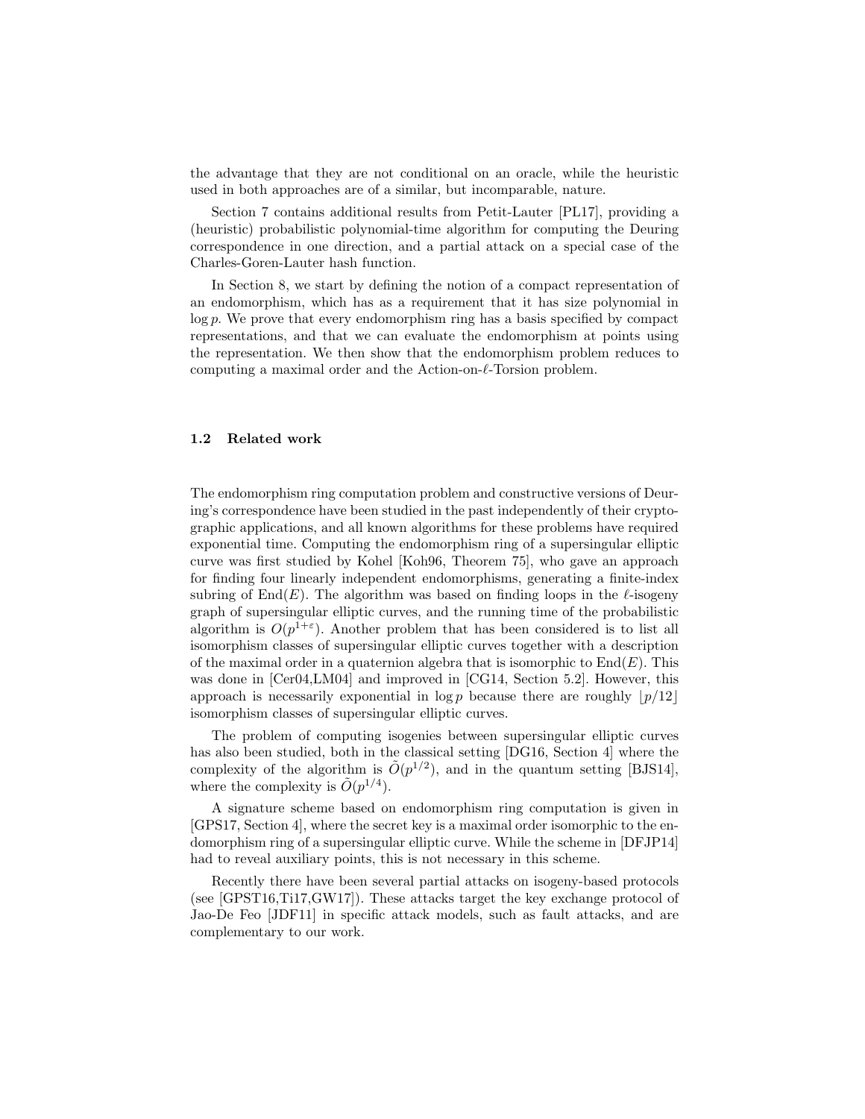the advantage that they are not conditional on an oracle, while the heuristic used in both approaches are of a similar, but incomparable, nature.

Section 7 contains additional results from Petit-Lauter [PL17], providing a (heuristic) probabilistic polynomial-time algorithm for computing the Deuring correspondence in one direction, and a partial attack on a special case of the Charles-Goren-Lauter hash function.

In Section 8, we start by defining the notion of a compact representation of an endomorphism, which has as a requirement that it has size polynomial in  $log p$ . We prove that every endomorphism ring has a basis specified by compact representations, and that we can evaluate the endomorphism at points using the representation. We then show that the endomorphism problem reduces to computing a maximal order and the Action-on- $\ell$ -Torsion problem.

#### 1.2 Related work

The endomorphism ring computation problem and constructive versions of Deuring's correspondence have been studied in the past independently of their cryptographic applications, and all known algorithms for these problems have required exponential time. Computing the endomorphism ring of a supersingular elliptic curve was first studied by Kohel [Koh96, Theorem 75], who gave an approach for finding four linearly independent endomorphisms, generating a finite-index subring of End(E). The algorithm was based on finding loops in the  $\ell$ -isogeny graph of supersingular elliptic curves, and the running time of the probabilistic algorithm is  $O(p^{1+\epsilon})$ . Another problem that has been considered is to list all isomorphism classes of supersingular elliptic curves together with a description of the maximal order in a quaternion algebra that is isomorphic to  $\text{End}(E)$ . This was done in [Cer04,LM04] and improved in [CG14, Section 5.2]. However, this approach is necessarily exponential in  $\log p$  because there are roughly  $\lfloor p/12 \rfloor$ isomorphism classes of supersingular elliptic curves.

The problem of computing isogenies between supersingular elliptic curves has also been studied, both in the classical setting [DG16, Section 4] where the complexity of the algorithm is  $\tilde{O}(p^{1/2})$ , and in the quantum setting [BJS14], where the complexity is  $\tilde{O}(p^{1/4})$ .

A signature scheme based on endomorphism ring computation is given in [GPS17, Section 4], where the secret key is a maximal order isomorphic to the endomorphism ring of a supersingular elliptic curve. While the scheme in [DFJP14] had to reveal auxiliary points, this is not necessary in this scheme.

Recently there have been several partial attacks on isogeny-based protocols (see [GPST16,Ti17,GW17]). These attacks target the key exchange protocol of Jao-De Feo [JDF11] in specific attack models, such as fault attacks, and are complementary to our work.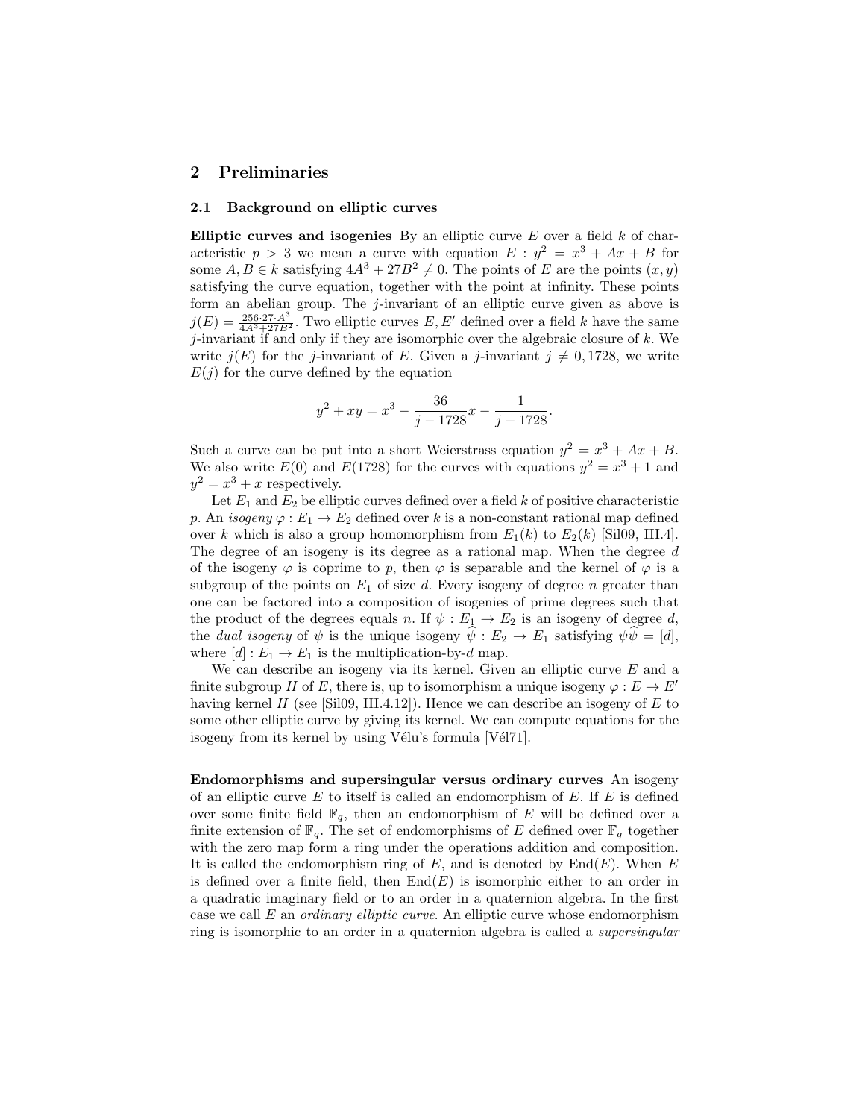#### 2 Preliminaries

#### 2.1 Background on elliptic curves

Elliptic curves and isogenies By an elliptic curve  $E$  over a field  $k$  of characteristic  $p > 3$  we mean a curve with equation  $E : y^2 = x^3 + Ax + B$  for some  $A, B \in k$  satisfying  $4A^3 + 27B^2 \neq 0$ . The points of E are the points  $(x, y)$ satisfying the curve equation, together with the point at infinity. These points form an abelian group. The j-invariant of an elliptic curve given as above is  $j(E) = \frac{256 \cdot 27 \cdot A^3}{4A^3 + 27B^2}$ . Two elliptic curves E, E' defined over a field k have the same  $j$ -invariant if and only if they are isomorphic over the algebraic closure of  $k$ . We write  $j(E)$  for the j-invariant of E. Given a j-invariant  $j \neq 0,1728$ , we write  $E(j)$  for the curve defined by the equation

$$
y^2 + xy = x^3 - \frac{36}{j - 1728}x - \frac{1}{j - 1728}.
$$

Such a curve can be put into a short Weierstrass equation  $y^2 = x^3 + Ax + B$ . We also write  $E(0)$  and  $E(1728)$  for the curves with equations  $y^2 = x^3 + 1$  and  $y^2 = x^3 + x$  respectively.

Let  $E_1$  and  $E_2$  be elliptic curves defined over a field k of positive characteristic p. An isogeny  $\varphi: E_1 \to E_2$  defined over k is a non-constant rational map defined over k which is also a group homomorphism from  $E_1(k)$  to  $E_2(k)$  [Sil09, III.4]. The degree of an isogeny is its degree as a rational map. When the degree d of the isogeny  $\varphi$  is coprime to p, then  $\varphi$  is separable and the kernel of  $\varphi$  is a subgroup of the points on  $E_1$  of size d. Every isogeny of degree n greater than one can be factored into a composition of isogenies of prime degrees such that the product of the degrees equals n. If  $\psi : E_1 \to E_2$  is an isogeny of degree d, the dual isogeny of  $\psi$  is the unique isogeny  $\psi : E_2 \to E_1$  satisfying  $\psi \psi = [d],$ where  $[d]: E_1 \to E_1$  is the multiplication-by-d map.

We can describe an isogeny via its kernel. Given an elliptic curve  $E$  and a finite subgroup H of E, there is, up to isomorphism a unique isogeny  $\varphi : E \to E'$ having kernel H (see [Sil09, III.4.12]). Hence we can describe an isogeny of E to some other elliptic curve by giving its kernel. We can compute equations for the isogeny from its kernel by using Vélu's formula [Vél71].

Endomorphisms and supersingular versus ordinary curves An isogeny of an elliptic curve  $E$  to itself is called an endomorphism of  $E$ . If  $E$  is defined over some finite field  $\mathbb{F}_q$ , then an endomorphism of E will be defined over a finite extension of  $\mathbb{F}_q$ . The set of endomorphisms of E defined over  $\overline{\mathbb{F}_q}$  together with the zero map form a ring under the operations addition and composition. It is called the endomorphism ring of  $E$ , and is denoted by  $\text{End}(E)$ . When E is defined over a finite field, then  $End(E)$  is isomorphic either to an order in a quadratic imaginary field or to an order in a quaternion algebra. In the first case we call  $E$  an *ordinary elliptic curve*. An elliptic curve whose endomorphism ring is isomorphic to an order in a quaternion algebra is called a supersingular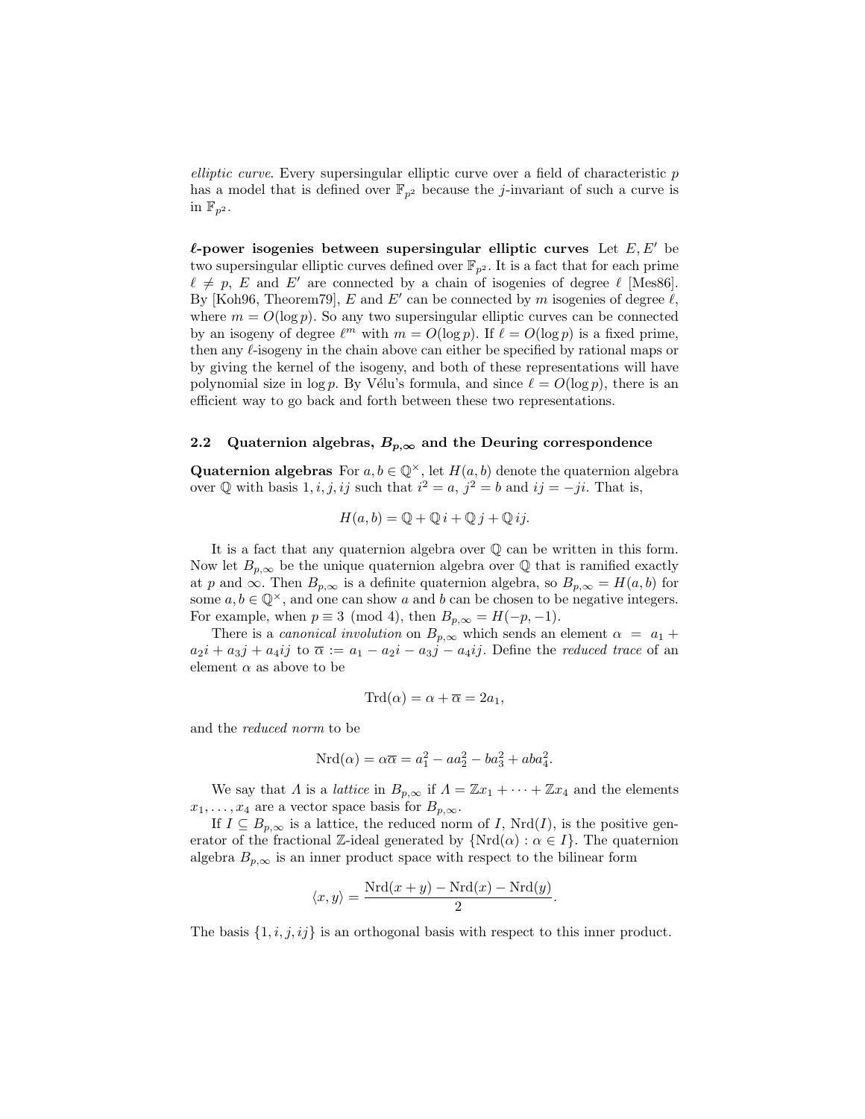elliptic curve. Every supersingular elliptic curve over a field of characteristic p has a model that is defined over  $\mathbb{F}_{p^2}$  because the *j*-invariant of such a curve is in  $\mathbb{F}_{p^2}$ .

 $\ell$ -power isogenies between supersingular elliptic curves Let  $E, E'$  be two supersingular elliptic curves defined over  $\mathbb{F}_{n^2}$ . It is a fact that for each prime  $\ell \neq p$ , E and E' are connected by a chain of isogenies of degree  $\ell$  [Mes86]. By [Koh96, Theorem79], E and E' can be connected by m isogenies of degree  $\ell$ , where  $m = O(\log p)$ . So any two supersingular elliptic curves can be connected by an isogeny of degree  $\ell^m$  with  $m = O(\log p)$ . If  $\ell = O(\log p)$  is a fixed prime, then any  $\ell$ -isogeny in the chain above can either be specified by rational maps or by giving the kernel of the isogeny, and both of these representations will have polynomial size in  $\log p$ . By Vélu's formula, and since  $\ell = O(\log p)$ , there is an efficient way to go back and forth between these two representations.

#### 2.2 Quaternion algebras,  $B_{p,\infty}$  and the Deuring correspondence

**Quaternion algebras** For  $a, b \in \mathbb{Q}^{\times}$ , let  $H(a, b)$  denote the quaternion algebra over  $\mathbb Q$  with basis  $1, i, j, ij$  such that  $i^2 = a, j^2 = b$  and  $ij = -ji$ . That is,

$$
H(a,b) = \mathbb{Q} + \mathbb{Q} i + \mathbb{Q} j + \mathbb{Q} ij.
$$

It is a fact that any quaternion algebra over Q can be written in this form. Now let  $B_{p,\infty}$  be the unique quaternion algebra over  $\mathbb Q$  that is ramified exactly at p and  $\infty$ . Then  $B_{p,\infty}$  is a definite quaternion algebra, so  $B_{p,\infty} = H(a, b)$  for some  $a, b \in \mathbb{Q}^{\times}$ , and one can show a and b can be chosen to be negative integers. For example, when  $p \equiv 3 \pmod{4}$ , then  $B_{p,\infty} = H(-p,-1)$ .

There is a *canonical involution* on  $B_{p,\infty}$  which sends an element  $\alpha = a_1 +$  $a_2i + a_3j + a_4ij$  to  $\overline{\alpha} := a_1 - a_2i - a_3j - a_4ij$ . Define the *reduced trace* of an element  $\alpha$  as above to be

$$
Trd(\alpha) = \alpha + \overline{\alpha} = 2a_1,
$$

and the reduced norm to be

$$
Nrd(\alpha) = \alpha \overline{\alpha} = a_1^2 - a a_2^2 - b a_3^2 + a b a_4^2.
$$

We say that  $\Lambda$  is a *lattice* in  $B_{p,\infty}$  if  $\Lambda = \mathbb{Z}x_1 + \cdots + \mathbb{Z}x_4$  and the elements  $x_1, \ldots, x_4$  are a vector space basis for  $B_{p,\infty}$ .

If  $I \subseteq B_{p,\infty}$  is a lattice, the reduced norm of I, Nrd(I), is the positive generator of the fractional Z-ideal generated by  $\{Nrd(\alpha): \alpha \in I\}$ . The quaternion algebra  $B_{p,\infty}$  is an inner product space with respect to the bilinear form

$$
\langle x, y \rangle = \frac{\text{Nrd}(x+y) - \text{Nrd}(x) - \text{Nrd}(y)}{2}.
$$

The basis  $\{1, i, j, ij\}$  is an orthogonal basis with respect to this inner product.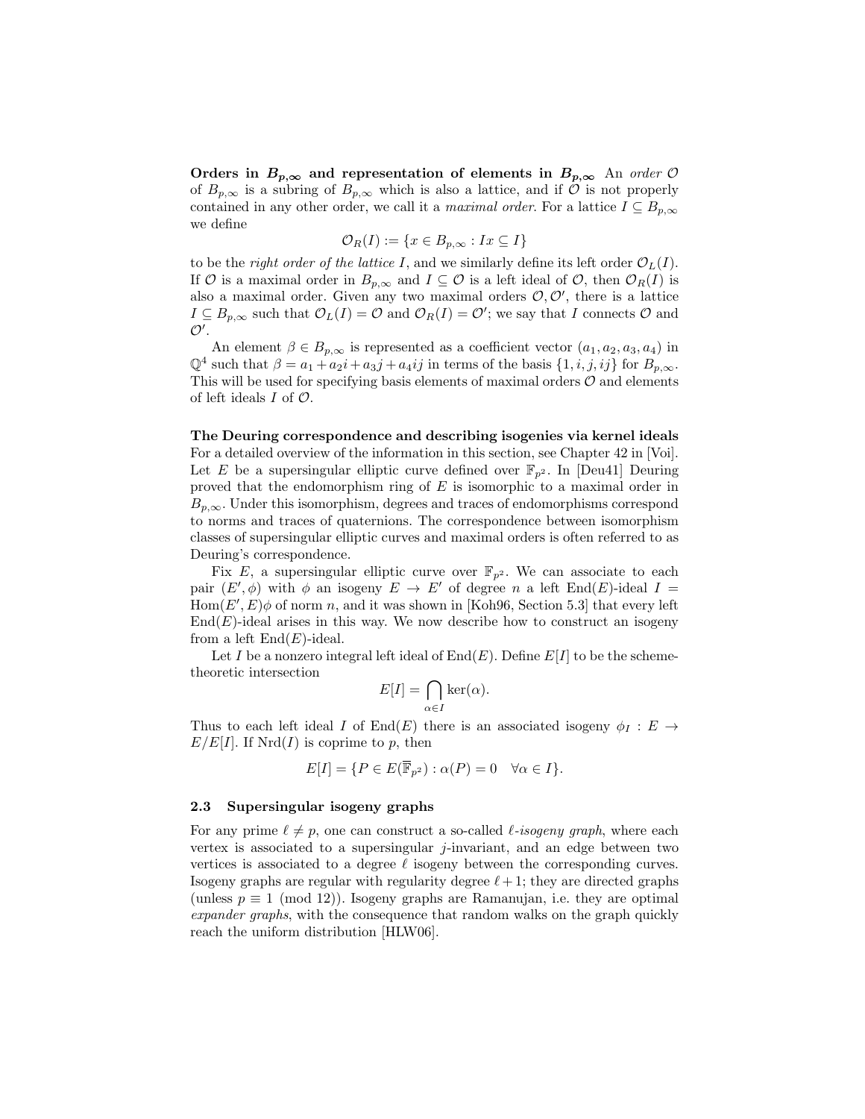Orders in  $B_{p,\infty}$  and representation of elements in  $B_{p,\infty}$  An order O of  $B_{p,\infty}$  is a subring of  $B_{p,\infty}$  which is also a lattice, and if  $\mathcal O$  is not properly contained in any other order, we call it a maximal order. For a lattice  $I \subseteq B_{p,\infty}$ we define

$$
\mathcal{O}_R(I) := \{ x \in B_{p,\infty} : Ix \subseteq I \}
$$

to be the *right order of the lattice I*, and we similarly define its left order  $\mathcal{O}_L(I)$ . If O is a maximal order in  $B_{p,\infty}$  and  $I \subseteq \mathcal{O}$  is a left ideal of O, then  $\mathcal{O}_R(I)$  is also a maximal order. Given any two maximal orders  $\mathcal{O}, \mathcal{O}'$ , there is a lattice  $I \subseteq B_{p,\infty}$  such that  $\mathcal{O}_L(I) = \mathcal{O}$  and  $\mathcal{O}_R(I) = \mathcal{O}'$ ; we say that I connects  $\mathcal O$  and  $\mathcal{O}'$ .

An element  $\beta \in B_{p,\infty}$  is represented as a coefficient vector  $(a_1, a_2, a_3, a_4)$  in  $\mathbb{Q}^4$  such that  $\beta = a_1 + a_2i + a_3j + a_4ij$  in terms of the basis  $\{1, i, j, ij\}$  for  $B_{p,\infty}$ . This will be used for specifying basis elements of maximal orders  $\mathcal O$  and elements of left ideals  $I$  of  $\mathcal{O}$ .

#### The Deuring correspondence and describing isogenies via kernel ideals

For a detailed overview of the information in this section, see Chapter 42 in [Voi]. Let E be a supersingular elliptic curve defined over  $\mathbb{F}_{p^2}$ . In [Deu41] Deuring proved that the endomorphism ring of E is isomorphic to a maximal order in  $B_{p,\infty}$ . Under this isomorphism, degrees and traces of endomorphisms correspond to norms and traces of quaternions. The correspondence between isomorphism classes of supersingular elliptic curves and maximal orders is often referred to as Deuring's correspondence.

Fix E, a supersingular elliptic curve over  $\mathbb{F}_{p^2}$ . We can associate to each pair  $(E', \phi)$  with  $\phi$  an isogeny  $E \to E'$  of degree n a left End(E)-ideal I =  $Hom(E', E)$  of norm n, and it was shown in [Koh96, Section 5.3] that every left  $\text{End}(E)$ -ideal arises in this way. We now describe how to construct an isogeny from a left  $End(E)$ -ideal.

Let I be a nonzero integral left ideal of  $End(E)$ . Define  $E[I]$  to be the schemetheoretic intersection

$$
E[I] = \bigcap_{\alpha \in I} \ker(\alpha).
$$

Thus to each left ideal I of End(E) there is an associated isogeny  $\phi_I : E \to$  $E/E[I]$ . If Nrd(I) is coprime to p, then

$$
E[I] = \{ P \in E(\overline{\mathbb{F}}_{p^2}) : \alpha(P) = 0 \quad \forall \alpha \in I \}.
$$

#### 2.3 Supersingular isogeny graphs

For any prime  $\ell \neq p$ , one can construct a so-called  $\ell$ -isogeny graph, where each vertex is associated to a supersingular  $j$ -invariant, and an edge between two vertices is associated to a degree  $\ell$  isogeny between the corresponding curves. Isogeny graphs are regular with regularity degree  $\ell + 1$ ; they are directed graphs (unless  $p \equiv 1 \pmod{12}$ ). Isogeny graphs are Ramanujan, i.e. they are optimal expander graphs, with the consequence that random walks on the graph quickly reach the uniform distribution [HLW06].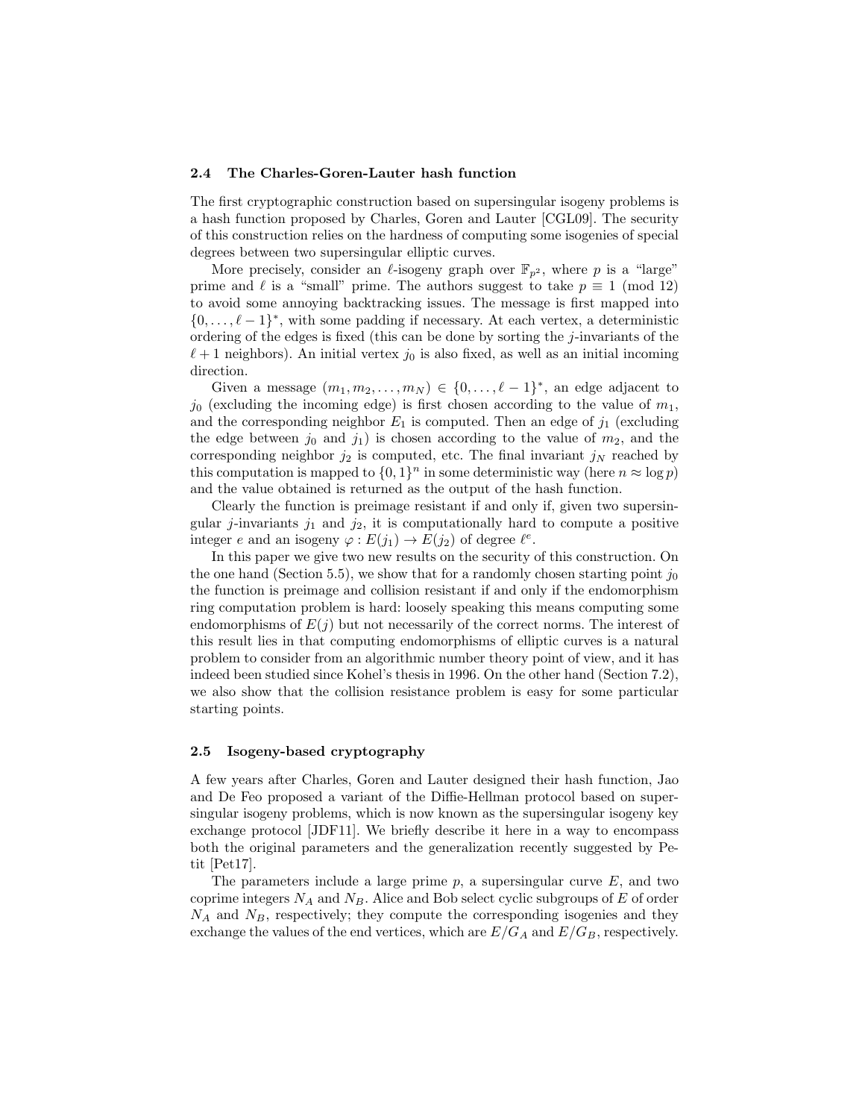#### 2.4 The Charles-Goren-Lauter hash function

The first cryptographic construction based on supersingular isogeny problems is a hash function proposed by Charles, Goren and Lauter [CGL09]. The security of this construction relies on the hardness of computing some isogenies of special degrees between two supersingular elliptic curves.

More precisely, consider an  $\ell$ -isogeny graph over  $\mathbb{F}_{p^2}$ , where p is a "large" prime and  $\ell$  is a "small" prime. The authors suggest to take  $p \equiv 1 \pmod{12}$ to avoid some annoying backtracking issues. The message is first mapped into  $\{0, \ldots, \ell - 1\}^*$ , with some padding if necessary. At each vertex, a deterministic ordering of the edges is fixed (this can be done by sorting the  $j$ -invariants of the  $\ell + 1$  neighbors). An initial vertex  $j_0$  is also fixed, as well as an initial incoming direction.

Given a message  $(m_1, m_2, \ldots, m_N) \in \{0, \ldots, \ell - 1\}^*$ , an edge adjacent to  $j_0$  (excluding the incoming edge) is first chosen according to the value of  $m_1$ , and the corresponding neighbor  $E_1$  is computed. Then an edge of  $j_1$  (excluding the edge between  $j_0$  and  $j_1$ ) is chosen according to the value of  $m_2$ , and the corresponding neighbor  $j_2$  is computed, etc. The final invariant  $j_N$  reached by this computation is mapped to  $\{0,1\}^n$  in some deterministic way (here  $n \approx \log p$ ) and the value obtained is returned as the output of the hash function.

Clearly the function is preimage resistant if and only if, given two supersingular j-invariants  $j_1$  and  $j_2$ , it is computationally hard to compute a positive integer e and an isogeny  $\varphi : E(j_1) \to E(j_2)$  of degree  $\ell^e$ .

In this paper we give two new results on the security of this construction. On the one hand (Section 5.5), we show that for a randomly chosen starting point  $j_0$ the function is preimage and collision resistant if and only if the endomorphism ring computation problem is hard: loosely speaking this means computing some endomorphisms of  $E(j)$  but not necessarily of the correct norms. The interest of this result lies in that computing endomorphisms of elliptic curves is a natural problem to consider from an algorithmic number theory point of view, and it has indeed been studied since Kohel's thesis in 1996. On the other hand (Section 7.2), we also show that the collision resistance problem is easy for some particular starting points.

#### 2.5 Isogeny-based cryptography

A few years after Charles, Goren and Lauter designed their hash function, Jao and De Feo proposed a variant of the Diffie-Hellman protocol based on supersingular isogeny problems, which is now known as the supersingular isogeny key exchange protocol [JDF11]. We briefly describe it here in a way to encompass both the original parameters and the generalization recently suggested by Petit [Pet17].

The parameters include a large prime  $p$ , a supersingular curve  $E$ , and two coprime integers  $N_A$  and  $N_B$ . Alice and Bob select cyclic subgroups of E of order  $N_A$  and  $N_B$ , respectively; they compute the corresponding isogenies and they exchange the values of the end vertices, which are  $E/G_A$  and  $E/G_B$ , respectively.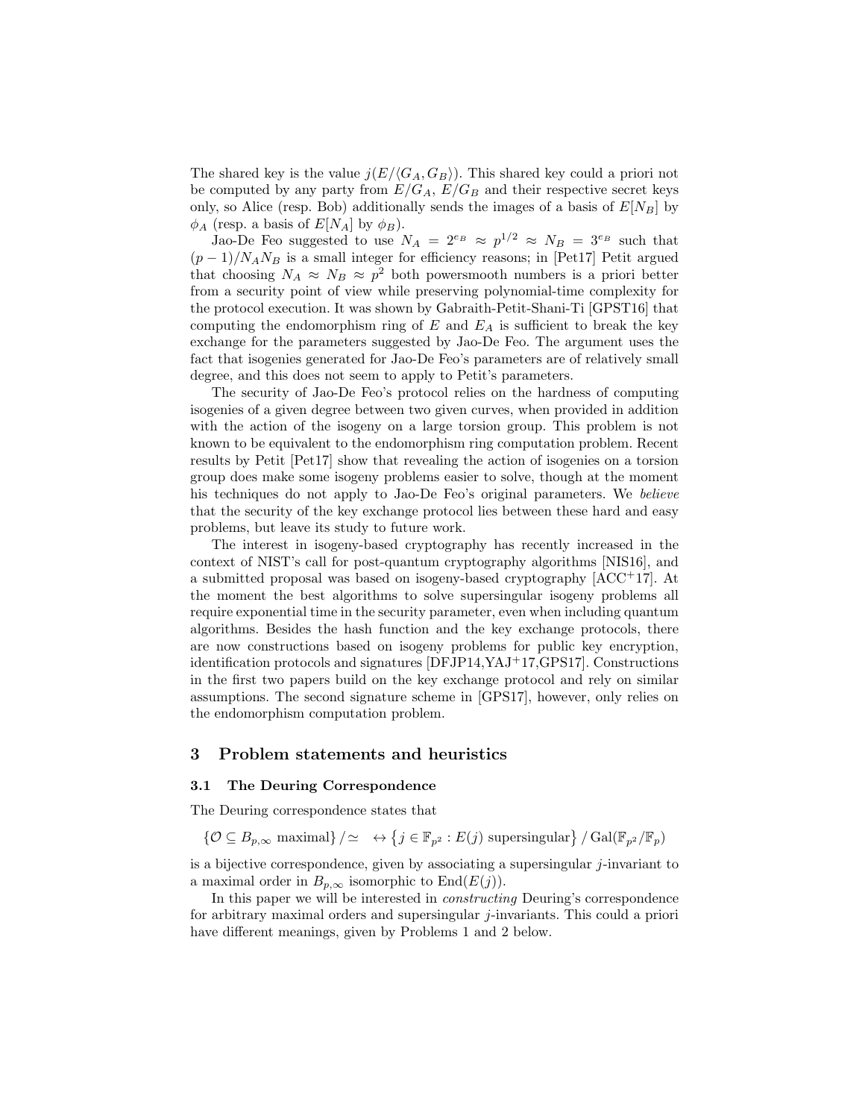The shared key is the value  $j(E/\langle G_A, G_B \rangle)$ . This shared key could a priori not be computed by any party from  $E/G_A$ ,  $E/G_B$  and their respective secret keys only, so Alice (resp. Bob) additionally sends the images of a basis of  $E[N_B]$  by  $\phi_A$  (resp. a basis of  $E[N_A]$  by  $\phi_B$ ).

Jao-De Feo suggested to use  $N_A = 2^{e_B} \approx p^{1/2} \approx N_B = 3^{e_B}$  such that  $(p-1)/N_AN_B$  is a small integer for efficiency reasons; in [Pet17] Petit argued that choosing  $N_A \approx N_B \approx p^2$  both powersmooth numbers is a priori better from a security point of view while preserving polynomial-time complexity for the protocol execution. It was shown by Gabraith-Petit-Shani-Ti [GPST16] that computing the endomorphism ring of  $E$  and  $E_A$  is sufficient to break the key exchange for the parameters suggested by Jao-De Feo. The argument uses the fact that isogenies generated for Jao-De Feo's parameters are of relatively small degree, and this does not seem to apply to Petit's parameters.

The security of Jao-De Feo's protocol relies on the hardness of computing isogenies of a given degree between two given curves, when provided in addition with the action of the isogeny on a large torsion group. This problem is not known to be equivalent to the endomorphism ring computation problem. Recent results by Petit [Pet17] show that revealing the action of isogenies on a torsion group does make some isogeny problems easier to solve, though at the moment his techniques do not apply to Jao-De Feo's original parameters. We believe that the security of the key exchange protocol lies between these hard and easy problems, but leave its study to future work.

The interest in isogeny-based cryptography has recently increased in the context of NIST's call for post-quantum cryptography algorithms [NIS16], and a submitted proposal was based on isogeny-based cryptography [ACC+17]. At the moment the best algorithms to solve supersingular isogeny problems all require exponential time in the security parameter, even when including quantum algorithms. Besides the hash function and the key exchange protocols, there are now constructions based on isogeny problems for public key encryption, identification protocols and signatures [DFJP14,YAJ+17,GPS17]. Constructions in the first two papers build on the key exchange protocol and rely on similar assumptions. The second signature scheme in [GPS17], however, only relies on the endomorphism computation problem.

#### 3 Problem statements and heuristics

#### 3.1 The Deuring Correspondence

The Deuring correspondence states that

$$
\{\mathcal{O} \subseteq B_{p,\infty} \text{ maximal}\}\ / \simeq \ \leftrightarrow \{j \in \mathbb{F}_{p^2} : E(j) \text{ supersingular}\}\ / \text{Gal}(\mathbb{F}_{p^2}/\mathbb{F}_p)
$$

is a bijective correspondence, given by associating a supersingular  $j$ -invariant to a maximal order in  $B_{p,\infty}$  isomorphic to  $\text{End}(E(j)).$ 

In this paper we will be interested in constructing Deuring's correspondence for arbitrary maximal orders and supersingular j-invariants. This could a priori have different meanings, given by Problems 1 and 2 below.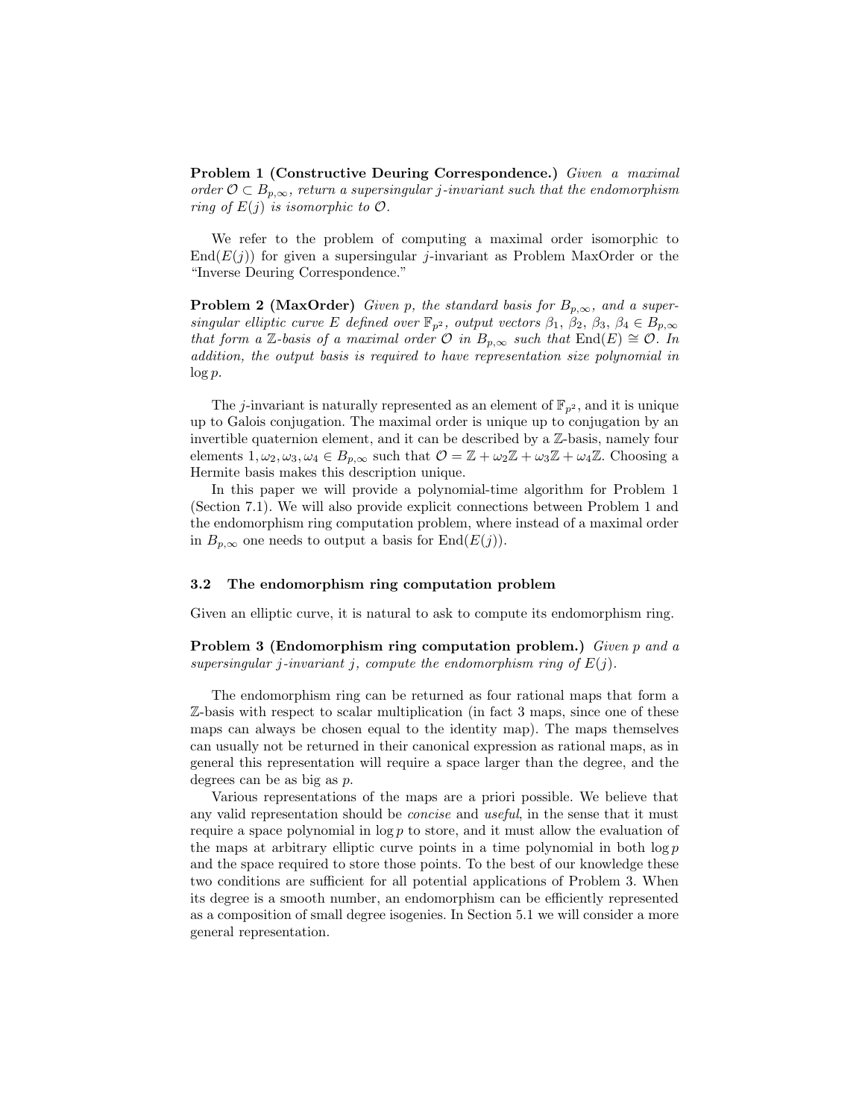Problem 1 (Constructive Deuring Correspondence.) Given a maximal order  $\mathcal{O} \subset B_{p,\infty}$ , return a supersingular j-invariant such that the endomorphism ring of  $E(j)$  is isomorphic to  $\mathcal{O}$ .

We refer to the problem of computing a maximal order isomorphic to  $\text{End}(E(j))$  for given a supersingular *j*-invariant as Problem MaxOrder or the "Inverse Deuring Correspondence."

**Problem 2 (MaxOrder)** Given p, the standard basis for  $B_{p,\infty}$ , and a supersingular elliptic curve E defined over  $\mathbb{F}_{p^2}$ , output vectors  $\beta_1$ ,  $\beta_2$ ,  $\beta_3$ ,  $\beta_4 \in B_{p,\infty}$ that form a Z-basis of a maximal order O in  $B_{p,\infty}$  such that  $\text{End}(E) \cong \mathcal{O}$ . In addition, the output basis is required to have representation size polynomial in log p.

The *j*-invariant is naturally represented as an element of  $\mathbb{F}_{p^2}$ , and it is unique up to Galois conjugation. The maximal order is unique up to conjugation by an invertible quaternion element, and it can be described by a Z-basis, namely four elements  $1, \omega_2, \omega_3, \omega_4 \in B_{p,\infty}$  such that  $\mathcal{O} = \mathbb{Z} + \omega_2 \mathbb{Z} + \omega_3 \mathbb{Z} + \omega_4 \mathbb{Z}$ . Choosing a Hermite basis makes this description unique.

In this paper we will provide a polynomial-time algorithm for Problem 1 (Section 7.1). We will also provide explicit connections between Problem 1 and the endomorphism ring computation problem, where instead of a maximal order in  $B_{p,\infty}$  one needs to output a basis for End( $E(j)$ ).

#### 3.2 The endomorphism ring computation problem

Given an elliptic curve, it is natural to ask to compute its endomorphism ring.

Problem 3 (Endomorphism ring computation problem.) Given p and a supersingular j-invariant j, compute the endomorphism ring of  $E(j)$ .

The endomorphism ring can be returned as four rational maps that form a Z-basis with respect to scalar multiplication (in fact 3 maps, since one of these maps can always be chosen equal to the identity map). The maps themselves can usually not be returned in their canonical expression as rational maps, as in general this representation will require a space larger than the degree, and the degrees can be as big as p.

Various representations of the maps are a priori possible. We believe that any valid representation should be *concise* and *useful*, in the sense that it must require a space polynomial in  $\log p$  to store, and it must allow the evaluation of the maps at arbitrary elliptic curve points in a time polynomial in both  $\log p$ and the space required to store those points. To the best of our knowledge these two conditions are sufficient for all potential applications of Problem 3. When its degree is a smooth number, an endomorphism can be efficiently represented as a composition of small degree isogenies. In Section 5.1 we will consider a more general representation.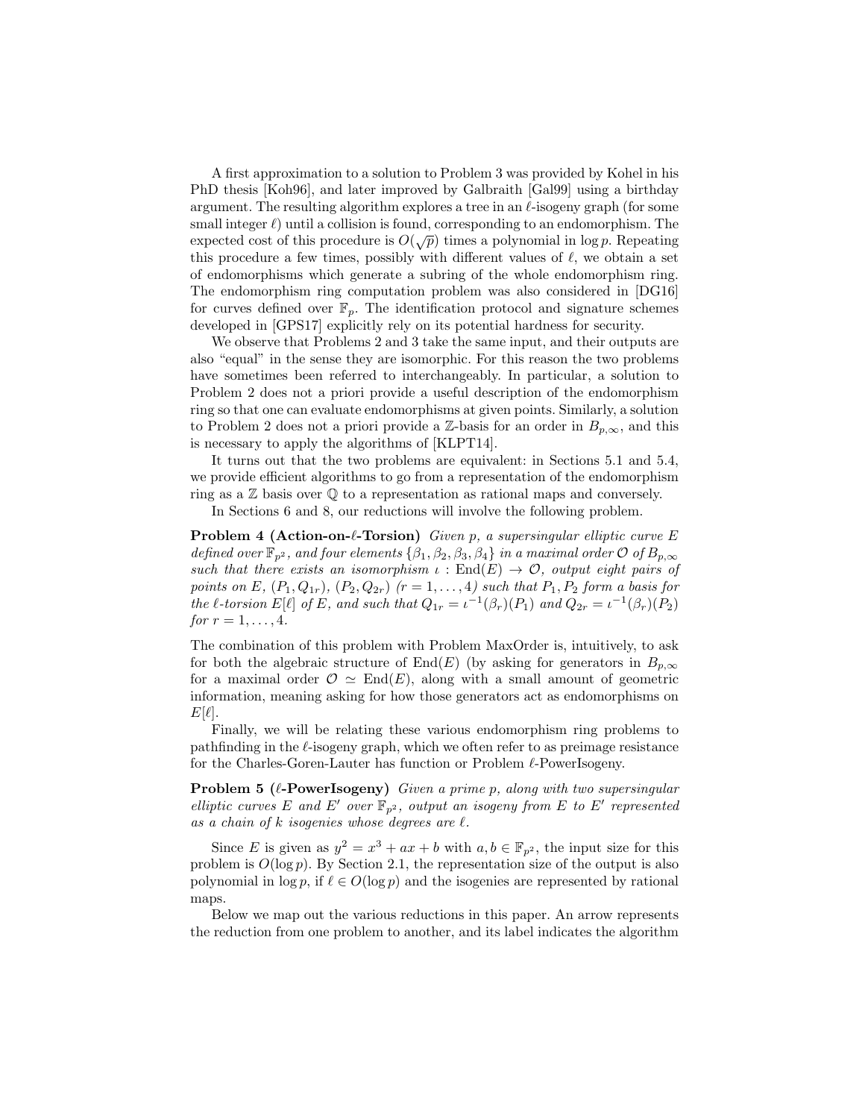A first approximation to a solution to Problem 3 was provided by Kohel in his PhD thesis [Koh96], and later improved by Galbraith [Gal99] using a birthday argument. The resulting algorithm explores a tree in an  $\ell$ -isogeny graph (for some small integer  $\ell$ ) until a collision is found, corresponding to an endomorphism. The expected cost of this procedure is  $O(\sqrt{p})$  times a polynomial in log p. Repeating this procedure a few times, possibly with different values of  $\ell$ , we obtain a set of endomorphisms which generate a subring of the whole endomorphism ring. The endomorphism ring computation problem was also considered in [DG16] for curves defined over  $\mathbb{F}_p$ . The identification protocol and signature schemes developed in [GPS17] explicitly rely on its potential hardness for security.

We observe that Problems 2 and 3 take the same input, and their outputs are also "equal" in the sense they are isomorphic. For this reason the two problems have sometimes been referred to interchangeably. In particular, a solution to Problem 2 does not a priori provide a useful description of the endomorphism ring so that one can evaluate endomorphisms at given points. Similarly, a solution to Problem 2 does not a priori provide a  $\mathbb{Z}$ -basis for an order in  $B_{p,\infty}$ , and this is necessary to apply the algorithms of [KLPT14].

It turns out that the two problems are equivalent: in Sections 5.1 and 5.4, we provide efficient algorithms to go from a representation of the endomorphism ring as a  $\mathbb Z$  basis over  $\mathbb Q$  to a representation as rational maps and conversely.

In Sections 6 and 8, our reductions will involve the following problem.

**Problem 4 (Action-on-** $\ell$ **-Torsion)** Given p, a supersingular elliptic curve E defined over  $\mathbb{F}_{p^2}$ , and four elements  $\{\beta_1, \beta_2, \beta_3, \beta_4\}$  in a maximal order  $\mathcal O$  of  $B_{p,\infty}$ such that there exists an isomorphism  $\iota : End(E) \to \mathcal{O}$ , output eight pairs of points on E,  $(P_1, Q_{1r})$ ,  $(P_2, Q_{2r})$   $(r = 1, \ldots, 4)$  such that  $P_1, P_2$  form a basis for the l-torsion  $E[\ell]$  of E, and such that  $Q_{1r} = \iota^{-1}(\beta_r)(P_1)$  and  $Q_{2r} = \iota^{-1}(\beta_r)(P_2)$ for  $r = 1, ..., 4$ .

The combination of this problem with Problem MaxOrder is, intuitively, to ask for both the algebraic structure of End(E) (by asking for generators in  $B_{n,\infty}$ for a maximal order  $\mathcal{O} \simeq \text{End}(E)$ , along with a small amount of geometric information, meaning asking for how those generators act as endomorphisms on  $E[\ell]$ .

Finally, we will be relating these various endomorphism ring problems to pathfinding in the  $\ell$ -isogeny graph, which we often refer to as preimage resistance for the Charles-Goren-Lauter has function or Problem  $\ell$ -PowerIsogeny.

**Problem 5 (** $\ell$ **-PowerIsogeny)** Given a prime p, along with two supersingular elliptic curves E and E' over  $\mathbb{F}_{p^2}$ , output an isogeny from E to E' represented as a chain of  $k$  isogenies whose degrees are  $\ell$ .

Since E is given as  $y^2 = x^3 + ax + b$  with  $a, b \in \mathbb{F}_{p^2}$ , the input size for this problem is  $O(\log p)$ . By Section 2.1, the representation size of the output is also polynomial in  $\log p$ , if  $\ell \in O(\log p)$  and the isogenies are represented by rational maps.

Below we map out the various reductions in this paper. An arrow represents the reduction from one problem to another, and its label indicates the algorithm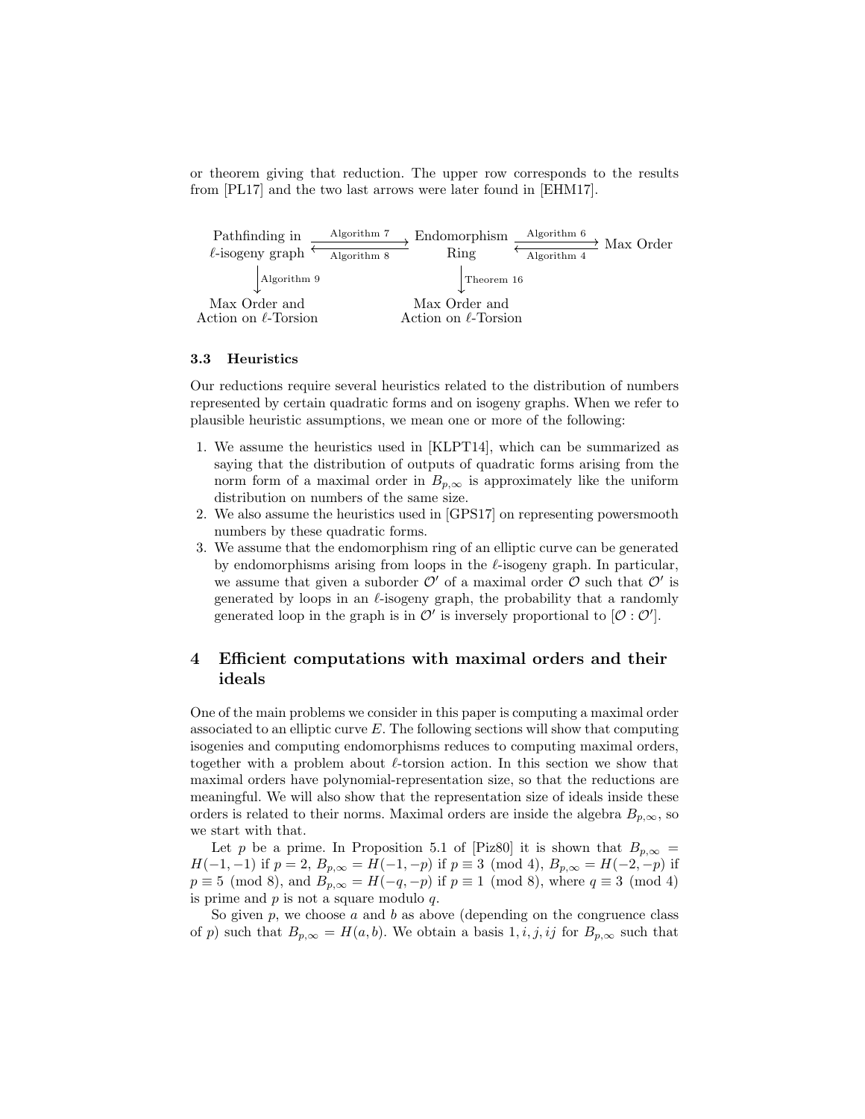or theorem giving that reduction. The upper row corresponds to the results from [PL17] and the two last arrows were later found in [EHM17].



#### 3.3 Heuristics

Our reductions require several heuristics related to the distribution of numbers represented by certain quadratic forms and on isogeny graphs. When we refer to plausible heuristic assumptions, we mean one or more of the following:

- 1. We assume the heuristics used in [KLPT14], which can be summarized as saying that the distribution of outputs of quadratic forms arising from the norm form of a maximal order in  $B_{p,\infty}$  is approximately like the uniform distribution on numbers of the same size.
- 2. We also assume the heuristics used in [GPS17] on representing powersmooth numbers by these quadratic forms.
- 3. We assume that the endomorphism ring of an elliptic curve can be generated by endomorphisms arising from loops in the  $\ell$ -isogeny graph. In particular, we assume that given a suborder  $\mathcal{O}'$  of a maximal order  $\mathcal O$  such that  $\mathcal O'$  is generated by loops in an  $\ell$ -isogeny graph, the probability that a randomly generated loop in the graph is in  $\mathcal{O}'$  is inversely proportional to  $[\mathcal{O} : \mathcal{O}']$ .

# 4 Efficient computations with maximal orders and their ideals

One of the main problems we consider in this paper is computing a maximal order associated to an elliptic curve  $E$ . The following sections will show that computing isogenies and computing endomorphisms reduces to computing maximal orders, together with a problem about  $\ell$ -torsion action. In this section we show that maximal orders have polynomial-representation size, so that the reductions are meaningful. We will also show that the representation size of ideals inside these orders is related to their norms. Maximal orders are inside the algebra  $B_{p,\infty}$ , so we start with that.

Let p be a prime. In Proposition 5.1 of [Piz80] it is shown that  $B_{p,\infty}$  =  $H(-1,-1)$  if  $p=2$ ,  $B_{p,\infty}=H(-1,-p)$  if  $p\equiv 3 \pmod{4}$ ,  $B_{p,\infty}=H(-2,-p)$  if  $p \equiv 5 \pmod{8}$ , and  $B_{p,\infty} = H(-q,-p)$  if  $p \equiv 1 \pmod{8}$ , where  $q \equiv 3 \pmod{4}$ is prime and  $p$  is not a square modulo  $q$ .

So given  $p$ , we choose  $a$  and  $b$  as above (depending on the congruence class of p) such that  $B_{p,\infty} = H(a, b)$ . We obtain a basis  $1, i, j, ij$  for  $B_{p,\infty}$  such that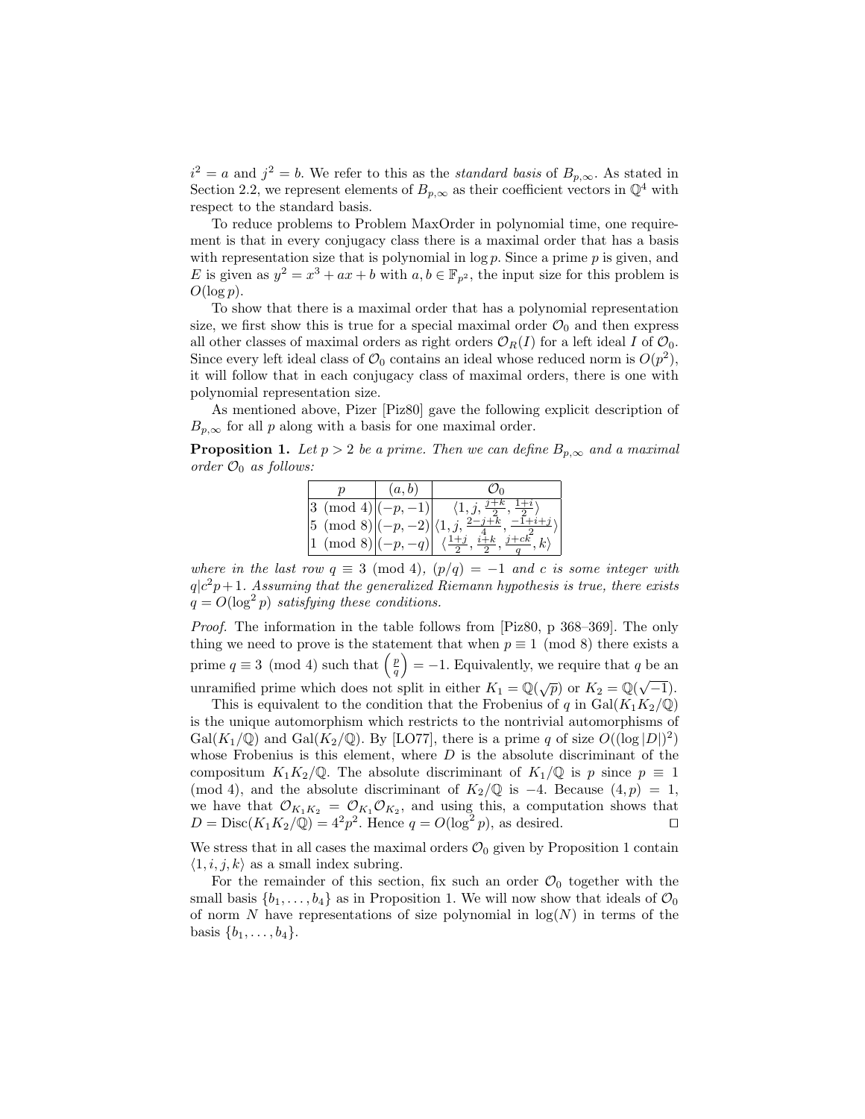$i^2 = a$  and  $j^2 = b$ . We refer to this as the *standard basis* of  $B_{p,\infty}$ . As stated in Section 2.2, we represent elements of  $B_{p,\infty}$  as their coefficient vectors in  $\mathbb{Q}^4$  with respect to the standard basis.

To reduce problems to Problem MaxOrder in polynomial time, one requirement is that in every conjugacy class there is a maximal order that has a basis with representation size that is polynomial in  $\log p$ . Since a prime p is given, and E is given as  $y^2 = x^3 + ax + b$  with  $a, b \in \mathbb{F}_{p^2}$ , the input size for this problem is  $O(\log p)$ .

To show that there is a maximal order that has a polynomial representation size, we first show this is true for a special maximal order  $\mathcal{O}_0$  and then express all other classes of maximal orders as right orders  $\mathcal{O}_R(I)$  for a left ideal I of  $\mathcal{O}_0$ . Since every left ideal class of  $\mathcal{O}_0$  contains an ideal whose reduced norm is  $O(p^2)$ , it will follow that in each conjugacy class of maximal orders, there is one with polynomial representation size.

As mentioned above, Pizer [Piz80] gave the following explicit description of  $B_{p,\infty}$  for all p along with a basis for one maximal order.

**Proposition 1.** Let  $p > 2$  be a prime. Then we can define  $B_{p,\infty}$  and a maximal order  $\mathcal{O}_0$  as follows:

|                       | (a, b) |  |
|-----------------------|--------|--|
| $ 3 \pmod{4} (-p,$    |        |  |
| $ 5 \pmod{8} (-p,-2)$ |        |  |
| $\pmod{8} (-p,-q) $   |        |  |

where in the last row  $q \equiv 3 \pmod{4}$ ,  $(p/q) = -1$  and c is some integer with  $q|c^2p+1$ . Assuming that the generalized Riemann hypothesis is true, there exists  $q = O(\log^2 p)$  satisfying these conditions.

Proof. The information in the table follows from [Piz80, p 368–369]. The only thing we need to prove is the statement that when  $p \equiv 1 \pmod{8}$  there exists a prime  $q \equiv 3 \pmod{4}$  such that  $\left(\frac{p}{q}\right) = -1$ . Equivalently, we require that q be an unramified prime which does not split in either  $K_1 = \mathbb{Q}(\sqrt{p})$  or  $K_2 = \mathbb{Q}(\sqrt{-1})$ . √

This is equivalent to the condition that the Frobenius of q in  $Gal(K_1K_2/\mathbb{Q})$ is the unique automorphism which restricts to the nontrivial automorphisms of  $Gal(K_1/\mathbb{Q})$  and  $Gal(K_2/\mathbb{Q})$ . By [LO77], there is a prime q of size  $O((\log |D|)^2)$ whose Frobenius is this element, where  $D$  is the absolute discriminant of the compositum  $K_1K_2/\mathbb{Q}$ . The absolute discriminant of  $K_1/\mathbb{Q}$  is p since  $p \equiv 1$ (mod 4), and the absolute discriminant of  $K_2/\mathbb{Q}$  is -4. Because  $(4, p) = 1$ , we have that  $\mathcal{O}_{K_1K_2} = \mathcal{O}_{K_1}\mathcal{O}_{K_2}$ , and using this, a computation shows that  $D = \text{Disc}(K_1 K_2/\mathbb{Q}) = 4^2 p^2$ . Hence  $q = O(\log^2 p)$ , as desired.

We stress that in all cases the maximal orders  $\mathcal{O}_0$  given by Proposition 1 contain  $\langle 1, i, j, k \rangle$  as a small index subring.

For the remainder of this section, fix such an order  $\mathcal{O}_0$  together with the small basis  $\{b_1, \ldots, b_4\}$  as in Proposition 1. We will now show that ideals of  $\mathcal{O}_0$ of norm N have representations of size polynomial in  $log(N)$  in terms of the basis  $\{b_1, \ldots, b_4\}.$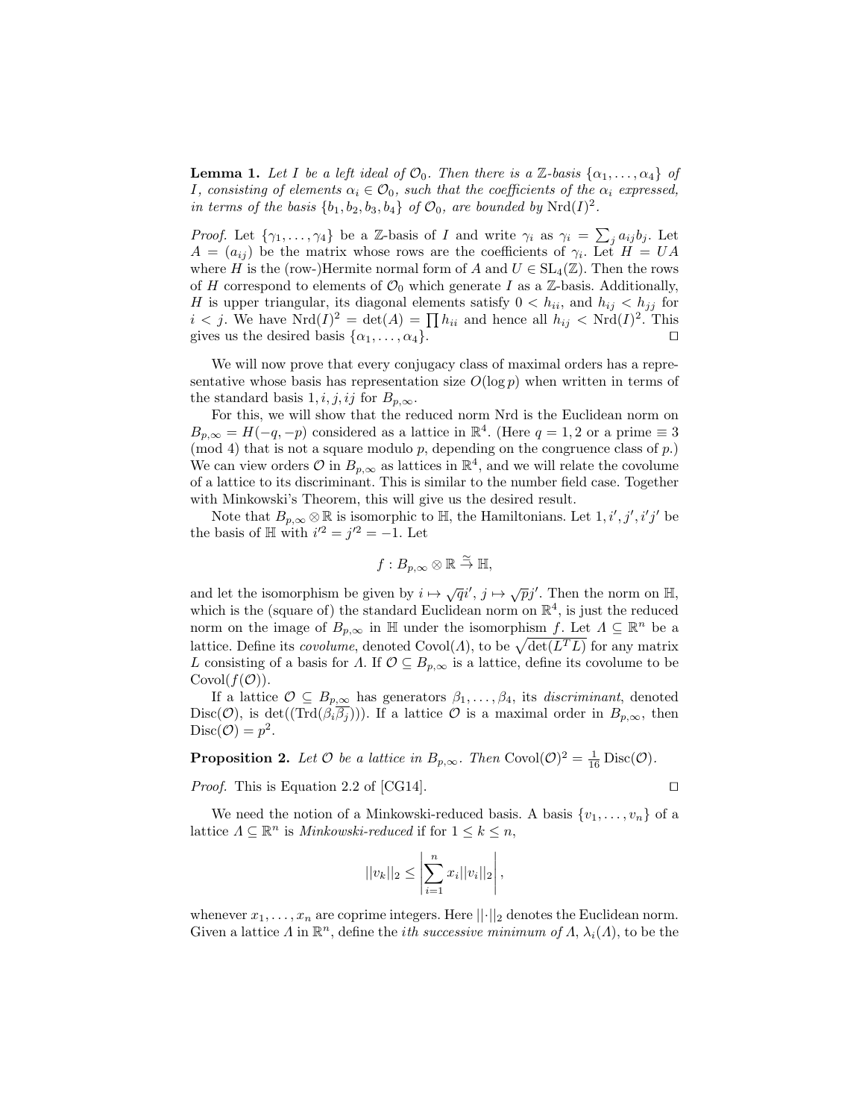**Lemma 1.** Let I be a left ideal of  $\mathcal{O}_0$ . Then there is a Z-basis  $\{\alpha_1, \ldots, \alpha_4\}$  of I, consisting of elements  $\alpha_i \in \mathcal{O}_0$ , such that the coefficients of the  $\alpha_i$  expressed, in terms of the basis  $\{b_1, b_2, b_3, b_4\}$  of  $\mathcal{O}_0$ , are bounded by Nrd $(I)^2$ .

*Proof.* Let  $\{\gamma_1, \ldots, \gamma_4\}$  be a Z-basis of I and write  $\gamma_i$  as  $\gamma_i = \sum_j a_{ij} b_j$ . Let  $A = (a_{ij})$  be the matrix whose rows are the coefficients of  $\gamma_i$ . Let  $H = UA$ where H is the (row-)Hermite normal form of A and  $U \in SL_4(\mathbb{Z})$ . Then the rows of H correspond to elements of  $\mathcal{O}_0$  which generate I as a Z-basis. Additionally, H is upper triangular, its diagonal elements satisfy  $0 < h_{ii}$ , and  $h_{ij} < h_{jj}$  for  $i < j$ . We have  $Nrd(I)^2 = det(A) = \prod h_{ii}$  and hence all  $h_{ij} < Nrd(I)^2$ . This gives us the desired basis  $\{\alpha_1, \ldots, \alpha_4\}$ .

We will now prove that every conjugacy class of maximal orders has a representative whose basis has representation size  $O(\log p)$  when written in terms of the standard basis  $1, i, j, ij$  for  $B_{p,\infty}$ .

For this, we will show that the reduced norm Nrd is the Euclidean norm on  $B_{p,\infty} = H(-q,-p)$  considered as a lattice in  $\mathbb{R}^4$ . (Here  $q = 1,2$  or a prime  $\equiv 3$ (mod 4) that is not a square modulo  $p$ , depending on the congruence class of  $p$ .) We can view orders  $\mathcal O$  in  $B_{p,\infty}$  as lattices in  $\mathbb R^4$ , and we will relate the covolume of a lattice to its discriminant. This is similar to the number field case. Together with Minkowski's Theorem, this will give us the desired result.

Note that  $B_{p,\infty} \otimes \mathbb{R}$  is isomorphic to  $\mathbb{H}$ , the Hamiltonians. Let  $1, i', j', i'j'$  be the basis of  $\mathbb{H}$  with  $i'^2 = j'^2 = -1$ . Let

$$
f:B_{p,\infty}\otimes\mathbb{R}\stackrel{\simeq}{\to}\mathbb{H},
$$

and let the isomorphism be given by  $i \mapsto \sqrt{q}i', j \mapsto \sqrt{p}j'.$  Then the norm on  $\mathbb{H}$ , which is the (square of) the standard Euclidean norm on  $\mathbb{R}^4$ , is just the reduced norm on the image of  $B_{p,\infty}$  in H under the isomorphism f. Let  $\Lambda \subseteq \mathbb{R}^n$  be a lattice. Define its *covolume*, denoted  $Covol(\Lambda)$ , to be  $\sqrt{\det(L^T L)}$  for any matrix L consisting of a basis for  $\Lambda$ . If  $\mathcal{O} \subseteq B_{p,\infty}$  is a lattice, define its covolume to be  $Covol(f(\mathcal{O}))$ .

If a lattice  $\mathcal{O} \subseteq B_{p,\infty}$  has generators  $\beta_1,\ldots,\beta_4$ , its *discriminant*, denoted Disc( $\mathcal{O}$ ), is det( $(\text{Trd}(\beta_i \overline{\beta_j}))$ ). If a lattice  $\mathcal O$  is a maximal order in  $B_{p,\infty}$ , then  $Disc(\mathcal{O}) = p^2$ .

**Proposition 2.** Let  $\mathcal O$  be a lattice in  $B_{p,\infty}$ . Then Covol $(\mathcal O)^2 = \frac{1}{16} \text{Disc}(\mathcal O)$ .

*Proof.* This is Equation 2.2 of [CG14].  $\Box$ 

We need the notion of a Minkowski-reduced basis. A basis  $\{v_1, \ldots, v_n\}$  of a lattice  $\Lambda \subseteq \mathbb{R}^n$  is *Minkowski-reduced* if for  $1 \leq k \leq n$ ,

$$
||v_k||_2 \le \left|\sum_{i=1}^n x_i||v_i||_2\right|,
$$

whenever  $x_1, \ldots, x_n$  are coprime integers. Here  $||\cdot||_2$  denotes the Euclidean norm. Given a lattice  $\Lambda$  in  $\mathbb{R}^n$ , define the *ith successive minimum of*  $\Lambda$ ,  $\lambda_i(\Lambda)$ , to be the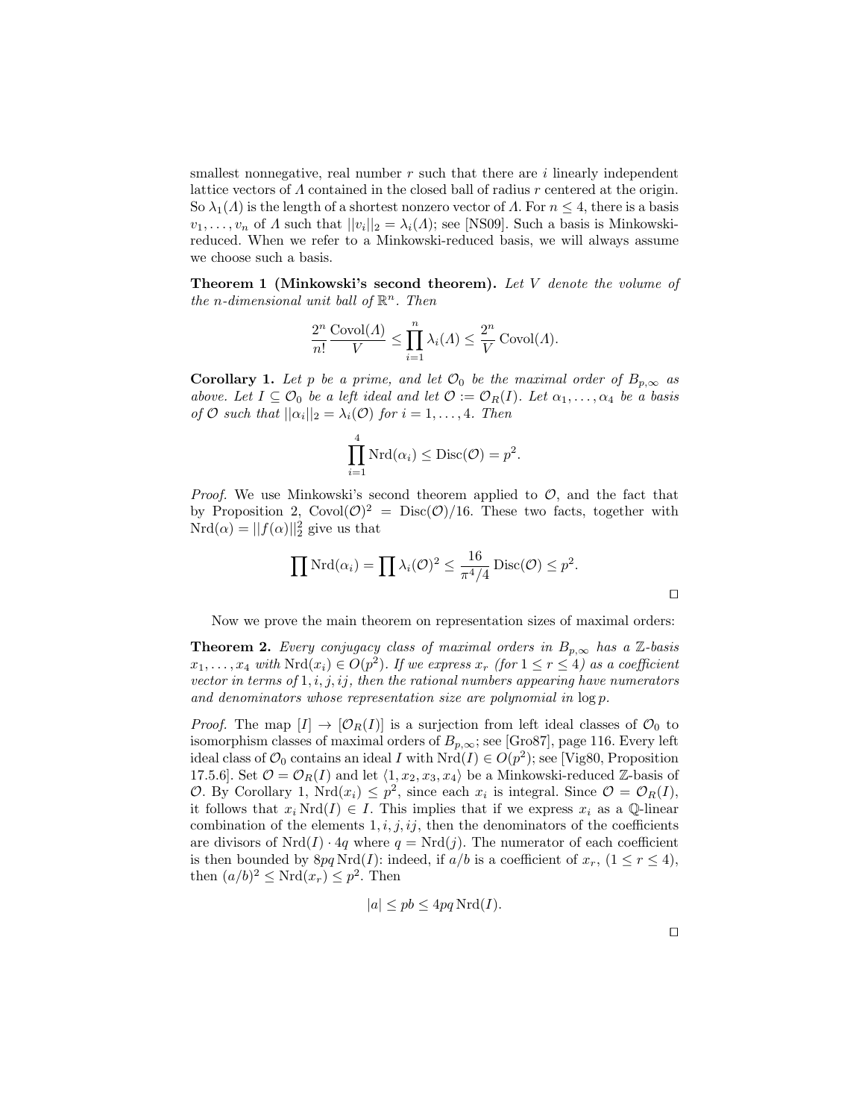smallest nonnegative, real number  $r$  such that there are  $i$  linearly independent lattice vectors of Λ contained in the closed ball of radius r centered at the origin. So  $\lambda_1(\Lambda)$  is the length of a shortest nonzero vector of  $\Lambda$ . For  $n \leq 4$ , there is a basis  $v_1, \ldots, v_n$  of  $\Lambda$  such that  $||v_i||_2 = \lambda_i(\Lambda)$ ; see [NS09]. Such a basis is Minkowskireduced. When we refer to a Minkowski-reduced basis, we will always assume we choose such a basis.

Theorem 1 (Minkowski's second theorem). Let V denote the volume of the n-dimensional unit ball of  $\mathbb{R}^n$ . Then

$$
\frac{2^n}{n!} \frac{\text{Covol}(A)}{V} \le \prod_{i=1}^n \lambda_i(A) \le \frac{2^n}{V} \text{Covol}(A).
$$

Corollary 1. Let p be a prime, and let  $\mathcal{O}_0$  be the maximal order of  $B_{p,\infty}$  as above. Let  $I \subseteq \mathcal{O}_0$  be a left ideal and let  $\mathcal{O} := \mathcal{O}_R(I)$ . Let  $\alpha_1, \ldots, \alpha_4$  be a basis of O such that  $||\alpha_i||_2 = \lambda_i$  (O) for  $i = 1, ..., 4$ . Then

$$
\prod_{i=1}^{4} Nrd(\alpha_i) \leq Disc(\mathcal{O}) = p^2.
$$

*Proof.* We use Minkowski's second theorem applied to  $\mathcal{O}$ , and the fact that by Proposition 2, Covol $(\mathcal{O})^2 = \text{Disc}(\mathcal{O})/16$ . These two facts, together with  $Nrd(\alpha) = ||f(\alpha)||_2^2$  give us that

$$
\prod \mathrm{Nrd}(\alpha_i) = \prod \lambda_i(\mathcal{O})^2 \le \frac{16}{\pi^4/4} \mathrm{Disc}(\mathcal{O}) \le p^2.
$$

Now we prove the main theorem on representation sizes of maximal orders:

**Theorem 2.** Every conjugacy class of maximal orders in  $B_{p,\infty}$  has a Z-basis  $x_1, \ldots, x_4$  with  $\text{Nrd}(x_i) \in O(p^2)$ . If we express  $x_r$  (for  $1 \le r \le 4$ ) as a coefficient vector in terms of  $1, i, j, ij$ , then the rational numbers appearing have numerators and denominators whose representation size are polynomial in log p.

*Proof.* The map  $[I] \to [O_R(I)]$  is a surjection from left ideal classes of  $O_0$  to isomorphism classes of maximal orders of  $B_{p,\infty}$ ; see [Gro87], page 116. Every left ideal class of  $\mathcal{O}_0$  contains an ideal I with  $Nrd(I) \in O(p^2)$ ; see [Vig80, Proposition 17.5.6]. Set  $\mathcal{O} = \mathcal{O}_R(I)$  and let  $\langle 1, x_2, x_3, x_4 \rangle$  be a Minkowski-reduced Z-basis of O. By Corollary 1,  $Nrd(x_i) \leq p^2$ , since each  $x_i$  is integral. Since  $\mathcal{O} = \mathcal{O}_R(I)$ , it follows that  $x_i \text{Nrd}(I) \in I$ . This implies that if we express  $x_i$  as a Q-linear combination of the elements  $1, i, j, i<sub>j</sub>$ , then the denominators of the coefficients are divisors of  $Nrd(I) \cdot 4q$  where  $q = Nrd(j)$ . The numerator of each coefficient is then bounded by  $8pq \text{Nrd}(I)$ : indeed, if  $a/b$  is a coefficient of  $x_r$ ,  $(1 \leq r \leq 4)$ , then  $(a/b)^2 \leq Nrd(x_r) \leq p^2$ . Then

$$
|a| \le pb \le 4pq \operatorname{Nrd}(I).
$$

 $\Box$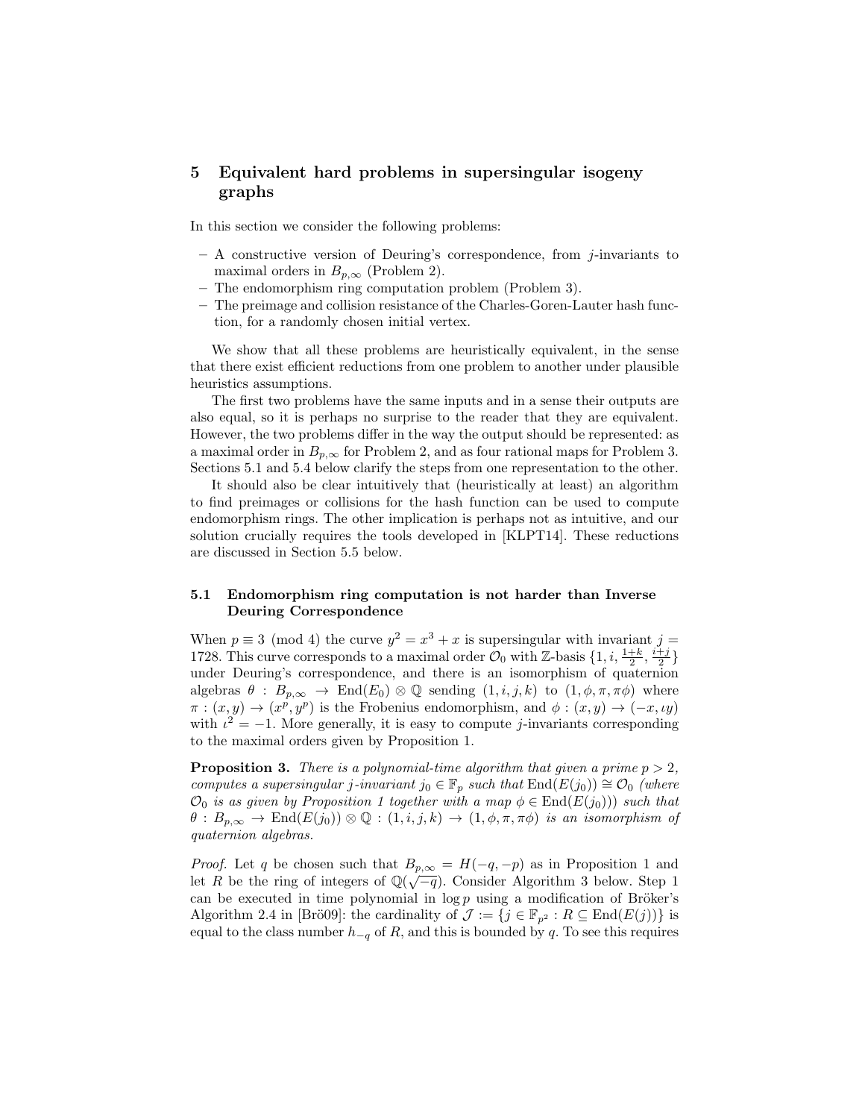# 5 Equivalent hard problems in supersingular isogeny graphs

In this section we consider the following problems:

- $-$  A constructive version of Deuring's correspondence, from j-invariants to maximal orders in  $B_{p,\infty}$  (Problem 2).
- The endomorphism ring computation problem (Problem 3).
- The preimage and collision resistance of the Charles-Goren-Lauter hash function, for a randomly chosen initial vertex.

We show that all these problems are heuristically equivalent, in the sense that there exist efficient reductions from one problem to another under plausible heuristics assumptions.

The first two problems have the same inputs and in a sense their outputs are also equal, so it is perhaps no surprise to the reader that they are equivalent. However, the two problems differ in the way the output should be represented: as a maximal order in  $B_{p,\infty}$  for Problem 2, and as four rational maps for Problem 3. Sections 5.1 and 5.4 below clarify the steps from one representation to the other.

It should also be clear intuitively that (heuristically at least) an algorithm to find preimages or collisions for the hash function can be used to compute endomorphism rings. The other implication is perhaps not as intuitive, and our solution crucially requires the tools developed in [KLPT14]. These reductions are discussed in Section 5.5 below.

#### 5.1 Endomorphism ring computation is not harder than Inverse Deuring Correspondence

When  $p \equiv 3 \pmod{4}$  the curve  $y^2 = x^3 + x$  is supersingular with invariant  $j =$ 1728. This curve corresponds to a maximal order  $\mathcal{O}_0$  with  $\mathbb{Z}$ -basis  $\{1, i, \frac{1+k}{2}, \frac{i+j}{2}\}$ under Deuring's correspondence, and there is an isomorphism of quaternion algebras  $\theta : B_{p,\infty} \to \text{End}(E_0) \otimes \mathbb{Q}$  sending  $(1, i, j, k)$  to  $(1, \phi, \pi, \pi\phi)$  where  $\pi : (x, y) \to (x^p, y^p)$  is the Frobenius endomorphism, and  $\phi : (x, y) \to (-x, \iota y)$ with  $\ell^2 = -1$ . More generally, it is easy to compute j-invariants corresponding to the maximal orders given by Proposition 1.

**Proposition 3.** There is a polynomial-time algorithm that given a prime  $p > 2$ , computes a supersingular j-invariant j<sub>0</sub> ∈  $\mathbb{F}_p$  such that  $\text{End}(E(j_0)) \cong \mathcal{O}_0$  (where  $\mathcal{O}_0$  is as given by Proposition 1 together with a map  $\phi \in \text{End}(E(j_0)))$  such that  $\theta : B_{p,\infty} \to \text{End}(E(j_0)) \otimes \mathbb{Q} : (1,i,j,k) \to (1,\phi,\pi,\pi\phi)$  is an isomorphism of quaternion algebras.

*Proof.* Let q be chosen such that  $B_{p,\infty} = H(-q,-p)$  as in Proposition 1 and let R be the ring of integers of  $\mathbb{Q}(\sqrt{-q})$ . Consider Algorithm 3 below. Step 1 can be executed in time polynomial in  $\log p$  using a modification of Bröker's Algorithm 2.4 in [Brö09]: the cardinality of  $\mathcal{J} := \{j \in \mathbb{F}_{p^2} : R \subseteq \text{End}(E(j))\}$  is equal to the class number  $h_{-q}$  of R, and this is bounded by q. To see this requires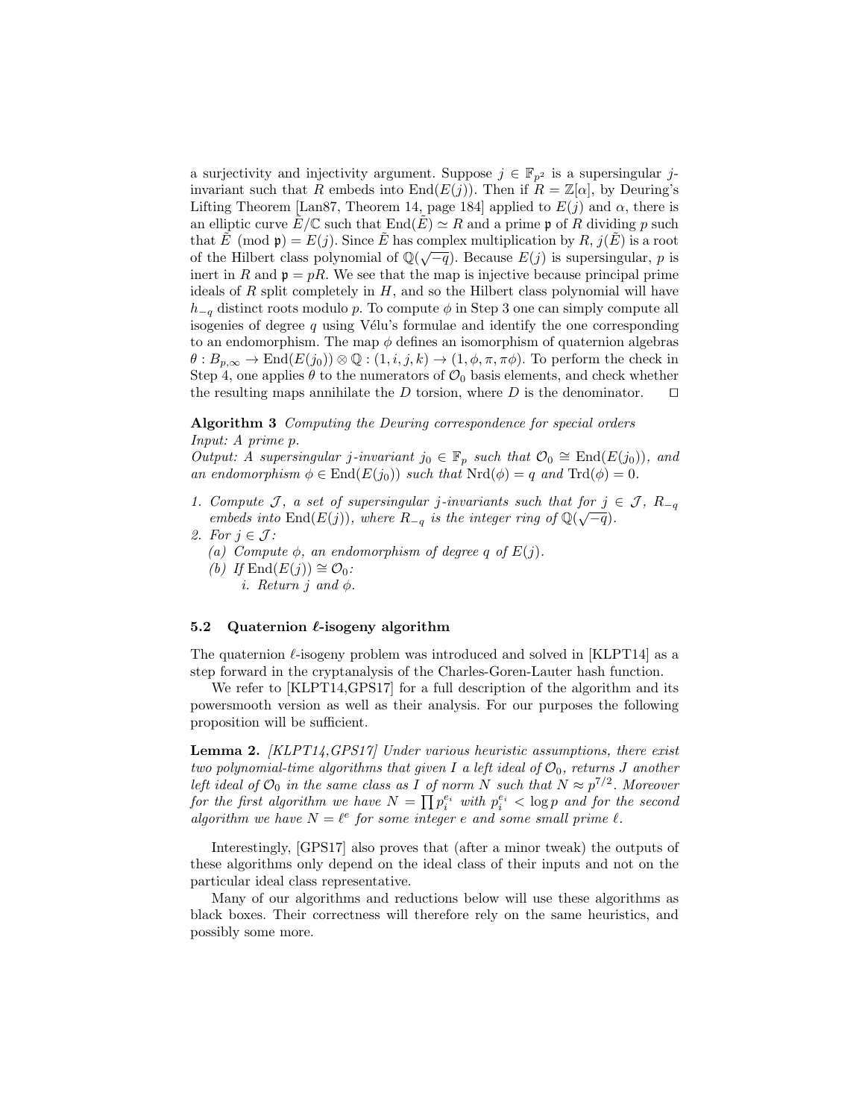a surjectivity and injectivity argument. Suppose  $j \in \mathbb{F}_{p^2}$  is a supersingular jinvariant such that R embeds into  $End(E(j))$ . Then if  $R = \mathbb{Z}[\alpha]$ , by Deuring's Lifting Theorem [Lan87, Theorem 14, page 184] applied to  $E(j)$  and  $\alpha$ , there is an elliptic curve  $E/\mathbb{C}$  such that  $\text{End}(E) \simeq R$  and a prime p of R dividing p such that  $\tilde{E}$  (mod  $\mathfrak{p}$ ) =  $E(j)$ . Since  $\tilde{E}$  has complex multiplication by  $R$ ,  $j(\tilde{E})$  is a root of the Hilbert class polynomial of  $\mathbb{Q}(\sqrt{-q})$ . Because  $E(j)$  is supersingular, p is inert in R and  $\mathfrak{p} = pR$ . We see that the map is injective because principal prime ideals of  $R$  split completely in  $H$ , and so the Hilbert class polynomial will have  $h_{-q}$  distinct roots modulo p. To compute  $\phi$  in Step 3 one can simply compute all isogenies of degree  $q$  using Vélu's formulae and identify the one corresponding to an endomorphism. The map  $\phi$  defines an isomorphism of quaternion algebras  $\theta : B_{p,\infty} \to \text{End}(E(j_0)) \otimes \mathbb{Q} : (1,i,j,k) \to (1,\phi,\pi,\pi\phi)$ . To perform the check in Step 4, one applies  $\theta$  to the numerators of  $\mathcal{O}_0$  basis elements, and check whether the resulting maps annihilate the D torsion, where D is the denominator.  $\square$ 

Algorithm 3 Computing the Deuring correspondence for special orders Input: A prime p.

Output: A supersingular j-invariant  $j_0 \in \mathbb{F}_p$  such that  $\mathcal{O}_0 \cong \text{End}(E(j_0))$ , and an endomorphism  $\phi \in \text{End}(E(j_0))$  such that  $\text{Nrd}(\phi) = q$  and  $\text{Trd}(\phi) = 0$ .

- 1. Compute J, a set of supersingular j-invariants such that for  $j \in \mathcal{J}$ ,  $R_{-q}$ embeds into End( $E(j)$ ), where  $R_{-q}$  is the integer ring of  $\mathbb{Q}(\sqrt{-q})$ .
- 2. For  $j \in \mathcal{J}$ : (a) Compute  $\phi$ , an endomorphism of degree q of  $E(j)$ . (b) If  $\text{End}(E(j)) \cong \mathcal{O}_0$ :

#### 5.2 Quaternion  $\ell$ -isogeny algorithm

i. Return j and  $\phi$ .

The quaternion  $\ell$ -isogeny problem was introduced and solved in [KLPT14] as a step forward in the cryptanalysis of the Charles-Goren-Lauter hash function.

We refer to [KLPT14,GPS17] for a full description of the algorithm and its powersmooth version as well as their analysis. For our purposes the following proposition will be sufficient.

Lemma 2. [KLPT14, GPS17] Under various heuristic assumptions, there exist two polynomial-time algorithms that given I a left ideal of  $\mathcal{O}_0$ , returns J another left ideal of  $\mathcal{O}_0$  in the same class as I of norm N such that  $N \approx p^{7/2}$ . Moreover for the first algorithm we have  $N = \prod p_i^{e_i}$  with  $p_i^{e_i} < \log p$  and for the second algorithm we have  $N = \ell^e$  for some integer e and some small prime  $\ell$ .

Interestingly, [GPS17] also proves that (after a minor tweak) the outputs of these algorithms only depend on the ideal class of their inputs and not on the particular ideal class representative.

Many of our algorithms and reductions below will use these algorithms as black boxes. Their correctness will therefore rely on the same heuristics, and possibly some more.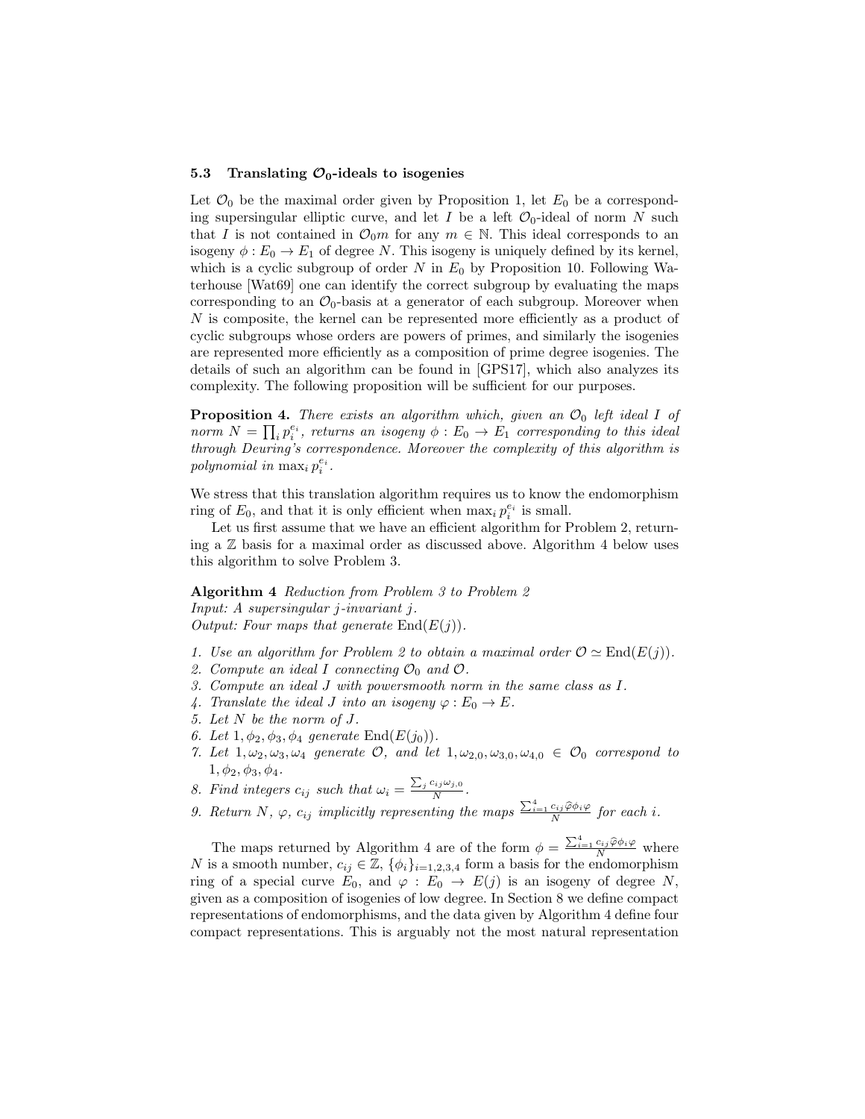#### 5.3 Translating  $\mathcal{O}_0$ -ideals to isogenies

Let  $\mathcal{O}_0$  be the maximal order given by Proposition 1, let  $E_0$  be a corresponding supersingular elliptic curve, and let I be a left  $\mathcal{O}_0$ -ideal of norm N such that I is not contained in  $\mathcal{O}_0m$  for any  $m \in \mathbb{N}$ . This ideal corresponds to an isogeny  $\phi: E_0 \to E_1$  of degree N. This isogeny is uniquely defined by its kernel, which is a cyclic subgroup of order  $N$  in  $E_0$  by Proposition 10. Following Waterhouse [Wat69] one can identify the correct subgroup by evaluating the maps corresponding to an  $\mathcal{O}_0$ -basis at a generator of each subgroup. Moreover when N is composite, the kernel can be represented more efficiently as a product of cyclic subgroups whose orders are powers of primes, and similarly the isogenies are represented more efficiently as a composition of prime degree isogenies. The details of such an algorithm can be found in [GPS17], which also analyzes its complexity. The following proposition will be sufficient for our purposes.

**Proposition 4.** There exists an algorithm which, given an  $\mathcal{O}_0$  left ideal I of norm  $N = \prod_i p_i^{e_i}$ , returns an isogeny  $\phi : E_0 \to E_1$  corresponding to this ideal through Deuring's correspondence. Moreover the complexity of this algorithm is polynomial in  $\max_i p_i^{e_i}$ .

We stress that this translation algorithm requires us to know the endomorphism ring of  $E_0$ , and that it is only efficient when  $\max_i p_i^{e_i}$  is small.

Let us first assume that we have an efficient algorithm for Problem 2, returning a  $\mathbb Z$  basis for a maximal order as discussed above. Algorithm 4 below uses this algorithm to solve Problem 3.

Algorithm 4 Reduction from Problem 3 to Problem 2 Input: A supersingular j-invariant j. Output: Four maps that generate  $\text{End}(E(i)).$ 

- 1. Use an algorithm for Problem 2 to obtain a maximal order  $\mathcal{O} \simeq \text{End}(E(j)).$
- 2. Compute an ideal I connecting  $\mathcal{O}_0$  and  $\mathcal{O}$ .
- 3. Compute an ideal J with powersmooth norm in the same class as I.
- 4. Translate the ideal J into an isogeny  $\varphi : E_0 \to E$ .
- 5. Let N be the norm of J.
- 6. Let  $1, \phi_2, \phi_3, \phi_4$  generate  $\text{End}(E(j_0)).$
- 7. Let  $1, \omega_2, \omega_3, \omega_4$  generate  $\mathcal{O}$ , and let  $1, \omega_{2,0}, \omega_{3,0}, \omega_{4,0} \in \mathcal{O}_0$  correspond to  $1, \phi_2, \phi_3, \phi_4.$
- 8. Find integers  $c_{ij}$  such that  $\omega_i = \frac{\sum_j c_{ij} \omega_{j,0}}{N}$  $\frac{N^{2}y^2\omega_{j,0}}{N}$ .
- 9. Return N,  $\varphi$ ,  $c_{ij}$  implicitly representing the maps  $\frac{\sum_{i=1}^{4} c_{ij} \widehat{\varphi}_{\psi} \varphi}{N}$  for each i.

The maps returned by Algorithm 4 are of the form  $\phi = \frac{\sum_{i=1}^{4} c_{ij} \hat{\varphi} \phi_i \varphi}{N}$  where N is a smooth number,  $c_{ij} \in \mathbb{Z}$ ,  $\{\phi_i\}_{i=1,2,3,4}$  form a basis for the endomorphism ring of a special curve  $E_0$ , and  $\varphi : E_0 \to E(j)$  is an isogeny of degree N, given as a composition of isogenies of low degree. In Section 8 we define compact representations of endomorphisms, and the data given by Algorithm 4 define four compact representations. This is arguably not the most natural representation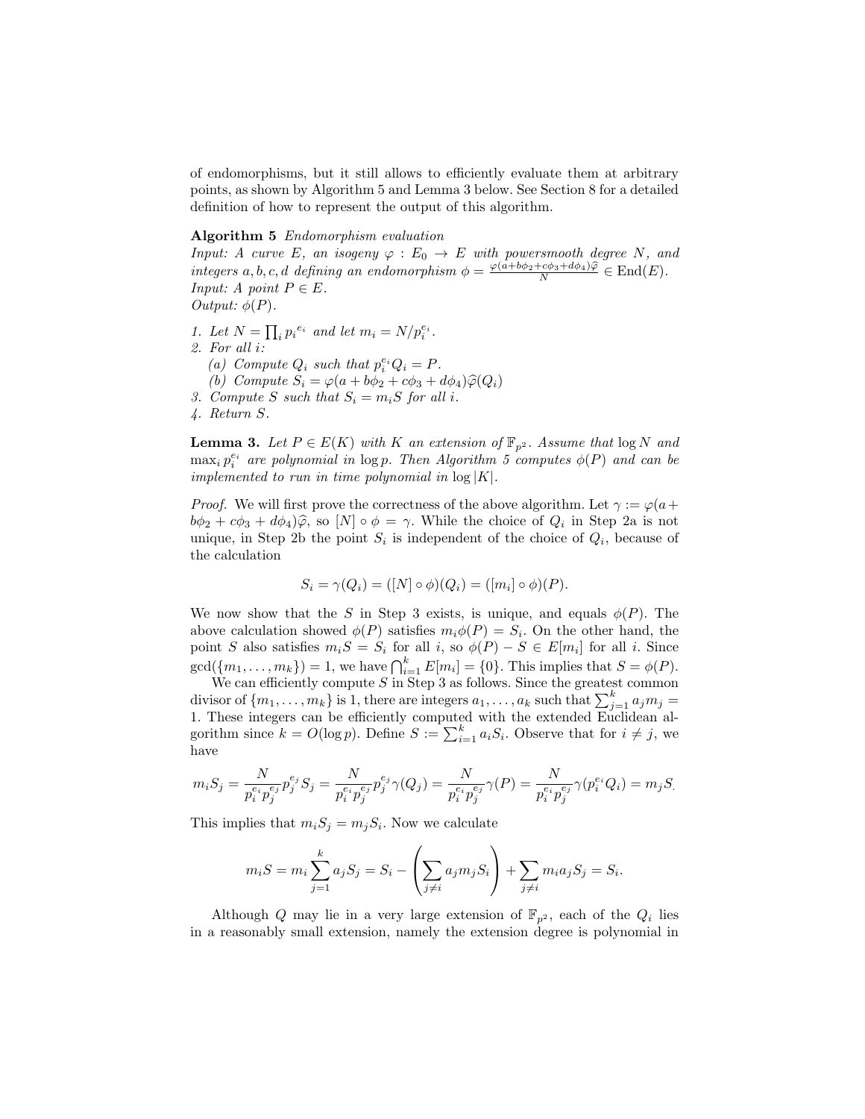of endomorphisms, but it still allows to efficiently evaluate them at arbitrary points, as shown by Algorithm 5 and Lemma 3 below. See Section 8 for a detailed definition of how to represent the output of this algorithm.

#### Algorithm 5 Endomorphism evaluation

Input: A curve E, an isogeny  $\varphi : E_0 \to E$  with powersmooth degree N, and integers a, b, c, d defining an endomorphism  $\phi = \frac{\varphi(a+b\phi_2+c\phi_3+d\phi_4)\hat{\varphi}}{N} \in \text{End}(E)$ . *Input: A point*  $P \in E$ . Output:  $\phi(P)$ .

- 1. Let  $N = \prod_i p_i^{e_i}$  and let  $m_i = N/p_i^{e_i}$ . 2. For all i: (a) Compute  $Q_i$  such that  $p_i^{e_i} Q_i = P$ . (b) Compute  $S_i = \varphi(a + b\phi_2 + c\phi_3 + d\phi_4)\widehat{\varphi}(Q_i)$ 3. Compute S such that  $S_i = m_i S$  for all i.
- 4. Return S.

**Lemma 3.** Let  $P \in E(K)$  with K an extension of  $\mathbb{F}_{p^2}$ . Assume that  $\log N$  and  $\max_i p_i^{e_i}$  are polynomial in  $\log p$ . Then Algorithm 5 computes  $\phi(P)$  and can be implemented to run in time polynomial in  $log |K|$ .

*Proof.* We will first prove the correctness of the above algorithm. Let  $\gamma := \varphi(a +$  $b\phi_2 + c\phi_3 + d\phi_4$ ) $\hat{\varphi}$ , so  $[N] \circ \phi = \gamma$ . While the choice of  $Q_i$  in Step 2a is not<br>unique in Step 2b the point S, is independent of the choice of  $Q_i$ , because of unique, in Step 2b the point  $S_i$  is independent of the choice of  $Q_i$ , because of the calculation

$$
S_i = \gamma(Q_i) = ([N] \circ \phi)(Q_i) = ([m_i] \circ \phi)(P).
$$

We now show that the S in Step 3 exists, is unique, and equals  $\phi(P)$ . The above calculation showed  $\phi(P)$  satisfies  $m_i\phi(P) = S_i$ . On the other hand, the point S also satisfies  $m_iS = S_i$  for all i, so  $\phi(P) - S \in E[m_i]$  for all i. Since  $gcd({m_1, ..., m_k}) = 1$ , we have  $\bigcap_{i=1}^k E[m_i] = {0}.$  This implies that  $S = \phi(P)$ .

We can efficiently compute  $S$  in Step 3 as follows. Since the greatest common divisor of  $\{m_1, \ldots, m_k\}$  is 1, there are integers  $a_1, \ldots, a_k$  such that  $\sum_{j=1}^k a_j m_j =$ 1. These integers can be efficiently computed with the extended Euclidean algorithm since  $k = O(\log p)$ . Define  $S := \sum_{i=1}^{k} a_i S_i$ . Observe that for  $i \neq j$ , we have

$$
m_i S_j = \frac{N}{p_i^{e_i} p_j^{e_j}} p_j^{e_j} S_j = \frac{N}{p_i^{e_i} p_j^{e_j}} p_j^{e_j} \gamma(Q_j) = \frac{N}{p_i^{e_i} p_j^{e_j}} \gamma(P) = \frac{N}{p_i^{e_i} p_j^{e_j}} \gamma(p_i^{e_i} Q_i) = m_j S.
$$

This implies that  $m_i S_j = m_j S_i$ . Now we calculate

$$
m_i S = m_i \sum_{j=1}^k a_j S_j = S_i - \left( \sum_{j \neq i} a_j m_j S_i \right) + \sum_{j \neq i} m_i a_j S_j = S_i.
$$

Although Q may lie in a very large extension of  $\mathbb{F}_{p^2}$ , each of the  $Q_i$  lies in a reasonably small extension, namely the extension degree is polynomial in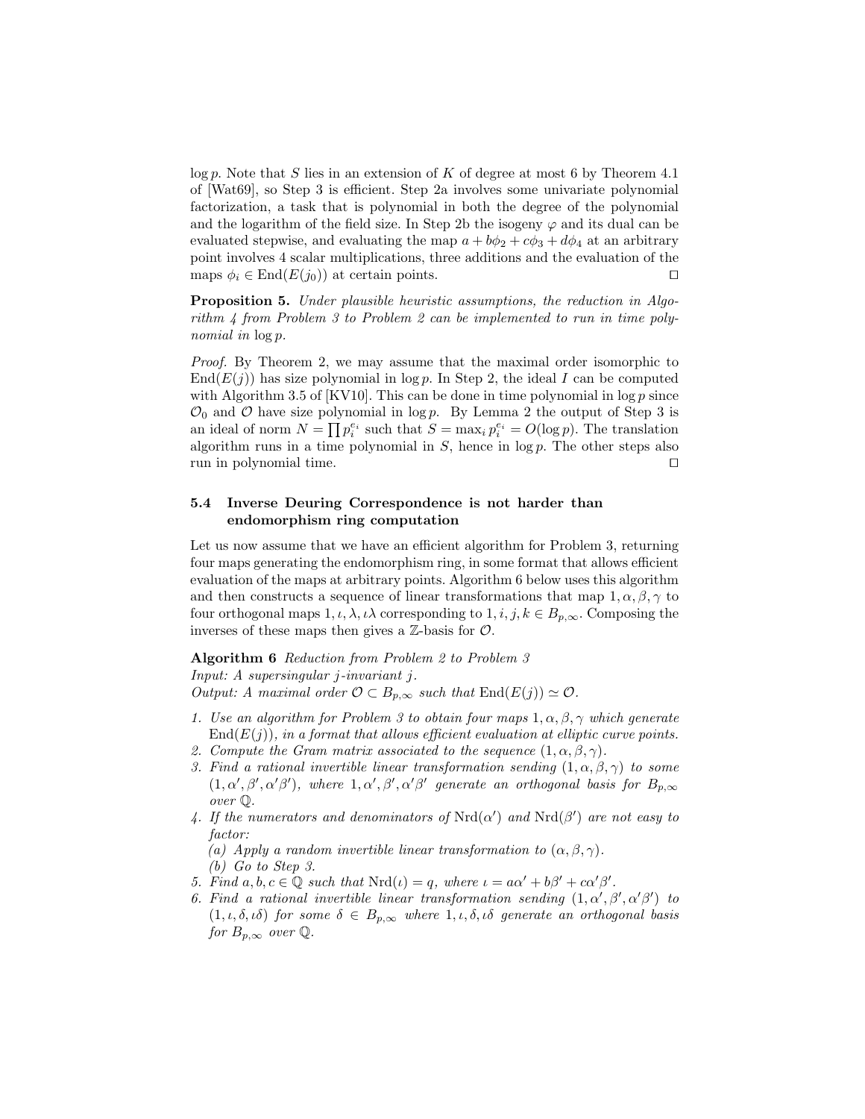$\log p$ . Note that S lies in an extension of K of degree at most 6 by Theorem 4.1 of [Wat69], so Step 3 is efficient. Step 2a involves some univariate polynomial factorization, a task that is polynomial in both the degree of the polynomial and the logarithm of the field size. In Step 2b the isogeny  $\varphi$  and its dual can be evaluated stepwise, and evaluating the map  $a + b\phi_2 + c\phi_3 + d\phi_4$  at an arbitrary point involves 4 scalar multiplications, three additions and the evaluation of the maps  $\phi_i \in \text{End}(E(j_0))$  at certain points.

Proposition 5. Under plausible heuristic assumptions, the reduction in Algorithm 4 from Problem 3 to Problem 2 can be implemented to run in time polynomial in  $\log p$ .

Proof. By Theorem 2, we may assume that the maximal order isomorphic to  $\text{End}(E(j))$  has size polynomial in log p. In Step 2, the ideal I can be computed with Algorithm 3.5 of [KV10]. This can be done in time polynomial in  $\log p$  since  $\mathcal{O}_0$  and  $\mathcal O$  have size polynomial in log p. By Lemma 2 the output of Step 3 is an ideal of norm  $N = \prod p_i^{e_i}$  such that  $S = \max_i p_i^{e_i} = O(\log p)$ . The translation algorithm runs in a time polynomial in  $S$ , hence in  $\log p$ . The other steps also run in polynomial time.  $\Box$ 

#### 5.4 Inverse Deuring Correspondence is not harder than endomorphism ring computation

Let us now assume that we have an efficient algorithm for Problem 3, returning four maps generating the endomorphism ring, in some format that allows efficient evaluation of the maps at arbitrary points. Algorithm 6 below uses this algorithm and then constructs a sequence of linear transformations that map  $1, \alpha, \beta, \gamma$  to four orthogonal maps  $1, \iota, \lambda, \iota\lambda$  corresponding to  $1, i, j, k \in B_{p,\infty}$ . Composing the inverses of these maps then gives a  $\mathbb{Z}$ -basis for  $\mathcal{O}$ .

Algorithm 6 Reduction from Problem 2 to Problem 3 Input: A supersingular j-invariant j.

Output: A maximal order  $\mathcal{O} \subset B_{p,\infty}$  such that  $\text{End}(E(j)) \simeq \mathcal{O}$ .

- 1. Use an algorithm for Problem 3 to obtain four maps  $1, \alpha, \beta, \gamma$  which generate  $\text{End}(E(i))$ , in a format that allows efficient evaluation at elliptic curve points.
- 2. Compute the Gram matrix associated to the sequence  $(1, \alpha, \beta, \gamma)$ .
- 3. Find a rational invertible linear transformation sending  $(1, \alpha, \beta, \gamma)$  to some  $(1, \alpha', \beta', \alpha'\beta')$ , where  $1, \alpha', \beta', \alpha'\beta'$  generate an orthogonal basis for  $B_{p,\infty}$ over Q.
- 4. If the numerators and denominators of  $Nrd(\alpha')$  and  $Nrd(\beta')$  are not easy to factor:

(a) Apply a random invertible linear transformation to  $(\alpha, \beta, \gamma)$ . (b) Go to Step 3.

- 5. Find  $a, b, c \in \mathbb{Q}$  such that  $Nrd(\iota) = q$ , where  $\iota = a\alpha' + b\beta' + c\alpha'\beta'$ .
- 6. Find a rational invertible linear transformation sending  $(1, \alpha', \beta', \alpha'\beta')$  to  $(1, \iota, \delta, \iota, \delta)$  for some  $\delta \in B_{p,\infty}$  where  $1, \iota, \delta, \iota, \delta$  generate an orthogonal basis for  $B_{p,\infty}$  over  $\mathbb{Q}$ .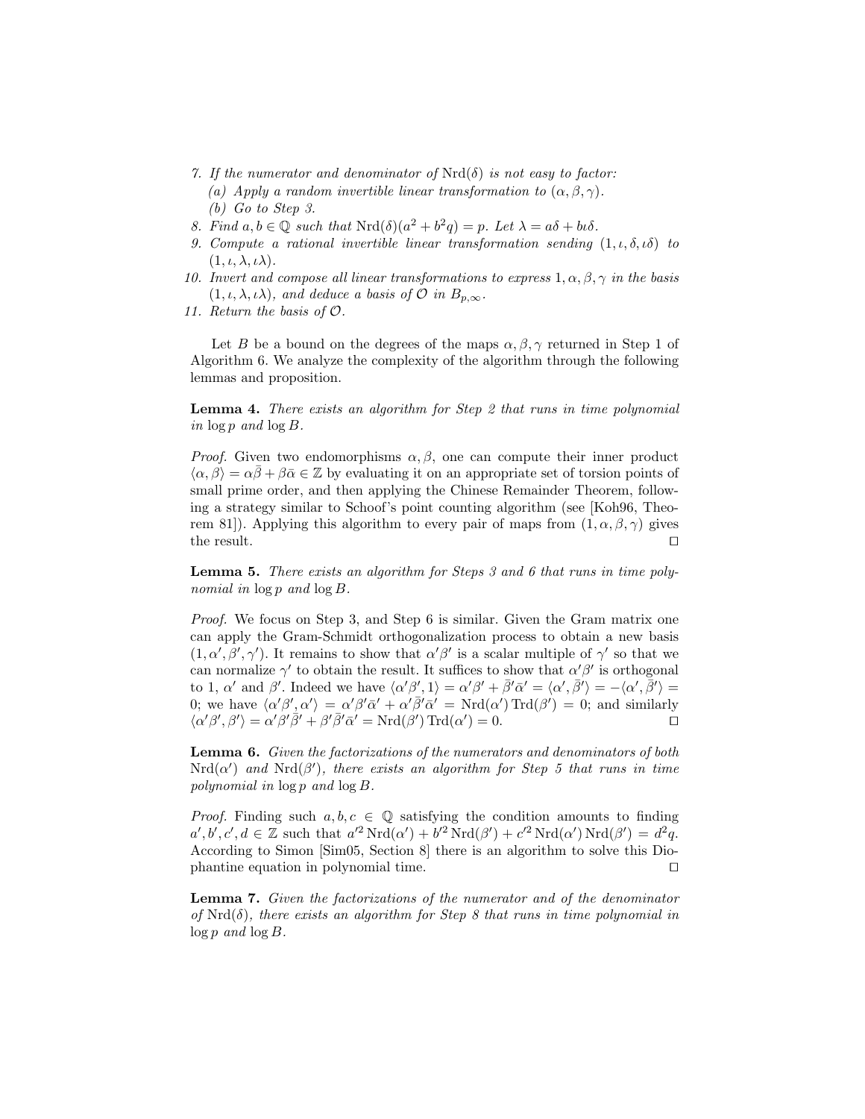- 7. If the numerator and denominator of  $Nrd(\delta)$  is not easy to factor: (a) Apply a random invertible linear transformation to  $(\alpha, \beta, \gamma)$ .
	- (b) Go to Step 3.
- 8. Find  $a, b \in \mathbb{Q}$  such that  $Nrd(\delta)(a^2 + b^2q) = p$ . Let  $\lambda = a\delta + b\iota\delta$ .
- 9. Compute a rational invertible linear transformation sending  $(1, \iota, \delta, \iota, \delta)$  to  $(1, \iota, \lambda, \iota\lambda).$
- 10. Invert and compose all linear transformations to express  $1, \alpha, \beta, \gamma$  in the basis  $(1, \iota, \lambda, \iota\lambda)$ , and deduce a basis of  $\mathcal O$  in  $B_{p,\infty}$ .
- 11. Return the basis of  $\mathcal{O}$ .

Let B be a bound on the degrees of the maps  $\alpha, \beta, \gamma$  returned in Step 1 of Algorithm 6. We analyze the complexity of the algorithm through the following lemmas and proposition.

Lemma 4. There exists an algorithm for Step 2 that runs in time polynomial in  $\log p$  and  $\log B$ .

*Proof.* Given two endomorphisms  $\alpha, \beta$ , one can compute their inner product  $\langle \alpha, \beta \rangle = \alpha \beta + \beta \bar{\alpha} \in \mathbb{Z}$  by evaluating it on an appropriate set of torsion points of small prime order, and then applying the Chinese Remainder Theorem, following a strategy similar to Schoof's point counting algorithm (see [Koh96, Theorem 81]). Applying this algorithm to every pair of maps from  $(1, \alpha, \beta, \gamma)$  gives the result.  $\Box$ 

Lemma 5. There exists an algorithm for Steps 3 and 6 that runs in time polynomial in  $\log p$  and  $\log B$ .

Proof. We focus on Step 3, and Step 6 is similar. Given the Gram matrix one can apply the Gram-Schmidt orthogonalization process to obtain a new basis  $(1, \alpha', \beta', \gamma')$ . It remains to show that  $\alpha'\beta'$  is a scalar multiple of  $\gamma'$  so that we can normalize  $\gamma'$  to obtain the result. It suffices to show that  $\alpha' \beta'$  is orthogonal to 1,  $\alpha'$  and  $\beta'$ . Indeed we have  $\langle \alpha' \beta', 1 \rangle = \alpha' \beta' + \overline{\beta}' \overline{\alpha}' = \langle \alpha', \overline{\beta}' \rangle = -\langle \alpha', \overline{\beta}' \rangle =$ 0; we have  $\langle \alpha' \beta', \alpha' \rangle = \alpha' \beta' \bar{\alpha}' + \alpha' \bar{\beta}' \bar{\alpha}' = Nrd(\alpha') \operatorname{Trd}(\beta') = 0$ ; and similarly  $\langle \alpha' \beta', \beta' \rangle = \alpha' \beta' \overline{\beta}' + \beta' \overline{\beta}' \overline{\alpha}' = \text{Nrd}(\beta') \text{Trd}(\alpha') = 0.$ 

Lemma 6. Given the factorizations of the numerators and denominators of both  $Nrd(\alpha')$  and  $Nrd(\beta')$ , there exists an algorithm for Step 5 that runs in time polynomial in log p and log B.

*Proof.* Finding such  $a, b, c \in \mathbb{Q}$  satisfying the condition amounts to finding  $a', b', c', d \in \mathbb{Z}$  such that  $a'^2 \operatorname{Nrd}(\alpha') + b'^2 \operatorname{Nrd}(\beta') + c'^2 \operatorname{Nrd}(\alpha') \operatorname{Nrd}(\beta') = d^2 q$ . According to Simon [Sim05, Section 8] there is an algorithm to solve this Diophantine equation in polynomial time.  $\Box$ 

Lemma 7. Given the factorizations of the numerator and of the denominator of  $Nrd(\delta)$ , there exists an algorithm for Step 8 that runs in time polynomial in  $log p$  and  $log B$ .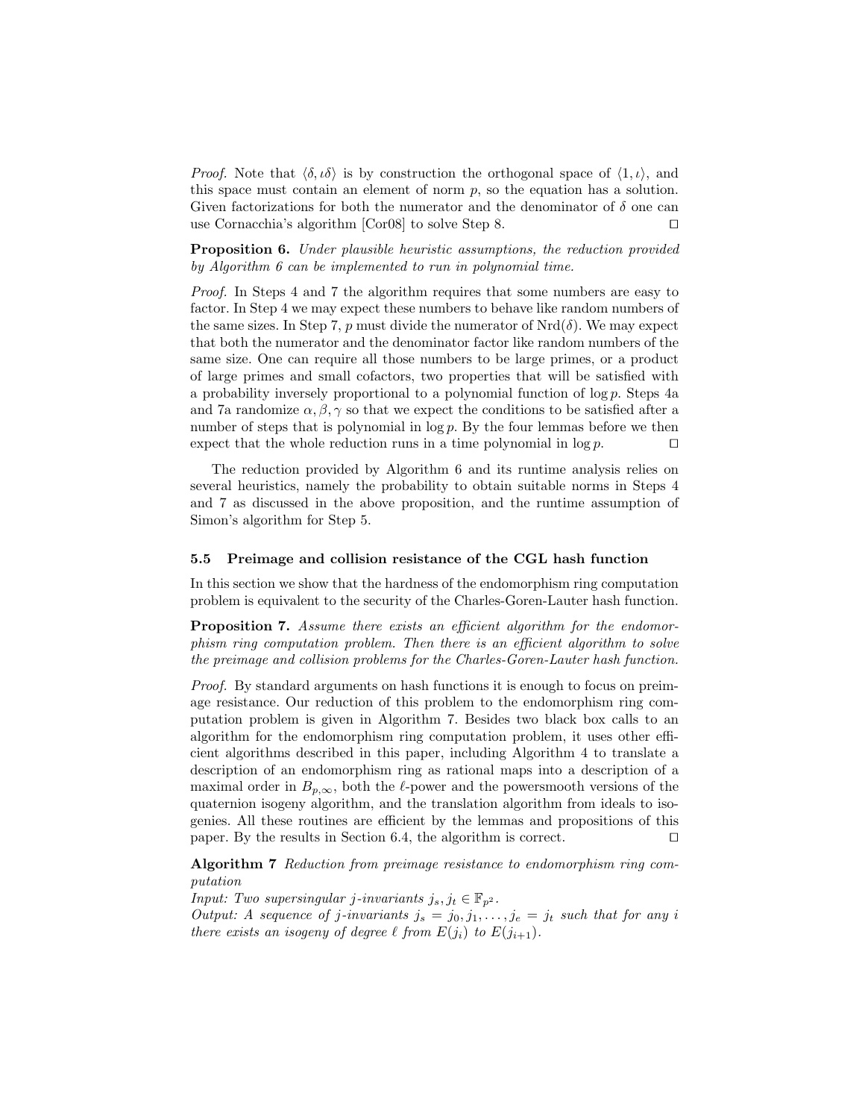*Proof.* Note that  $\langle \delta, \iota \delta \rangle$  is by construction the orthogonal space of  $\langle 1, \iota \rangle$ , and this space must contain an element of norm  $p$ , so the equation has a solution. Given factorizations for both the numerator and the denominator of  $\delta$  one can use Cornacchia's algorithm [Cor08] to solve Step 8.  $\Box$ 

Proposition 6. Under plausible heuristic assumptions, the reduction provided by Algorithm 6 can be implemented to run in polynomial time.

Proof. In Steps 4 and 7 the algorithm requires that some numbers are easy to factor. In Step 4 we may expect these numbers to behave like random numbers of the same sizes. In Step 7, p must divide the numerator of  $Nrd(\delta)$ . We may expect that both the numerator and the denominator factor like random numbers of the same size. One can require all those numbers to be large primes, or a product of large primes and small cofactors, two properties that will be satisfied with a probability inversely proportional to a polynomial function of  $\log p$ . Steps 4a and 7a randomize  $\alpha, \beta, \gamma$  so that we expect the conditions to be satisfied after a number of steps that is polynomial in  $\log p$ . By the four lemmas before we then expect that the whole reduction runs in a time polynomial in  $\log p$ .

The reduction provided by Algorithm 6 and its runtime analysis relies on several heuristics, namely the probability to obtain suitable norms in Steps 4 and 7 as discussed in the above proposition, and the runtime assumption of Simon's algorithm for Step 5.

#### 5.5 Preimage and collision resistance of the CGL hash function

In this section we show that the hardness of the endomorphism ring computation problem is equivalent to the security of the Charles-Goren-Lauter hash function.

Proposition 7. Assume there exists an efficient algorithm for the endomorphism ring computation problem. Then there is an efficient algorithm to solve the preimage and collision problems for the Charles-Goren-Lauter hash function.

Proof. By standard arguments on hash functions it is enough to focus on preimage resistance. Our reduction of this problem to the endomorphism ring computation problem is given in Algorithm 7. Besides two black box calls to an algorithm for the endomorphism ring computation problem, it uses other efficient algorithms described in this paper, including Algorithm 4 to translate a description of an endomorphism ring as rational maps into a description of a maximal order in  $B_{p,\infty}$ , both the  $\ell$ -power and the powersmooth versions of the quaternion isogeny algorithm, and the translation algorithm from ideals to isogenies. All these routines are efficient by the lemmas and propositions of this paper. By the results in Section 6.4, the algorithm is correct.  $\Box$ 

Algorithm 7 Reduction from preimage resistance to endomorphism ring computation

Input: Two supersingular j-invariants  $j_s, j_t \in \mathbb{F}_{p^2}$ . Output: A sequence of j-invariants  $j_s = j_0, j_1, \ldots, j_e = j_t$  such that for any i there exists an isogeny of degree  $\ell$  from  $E(j_i)$  to  $E(j_{i+1})$ .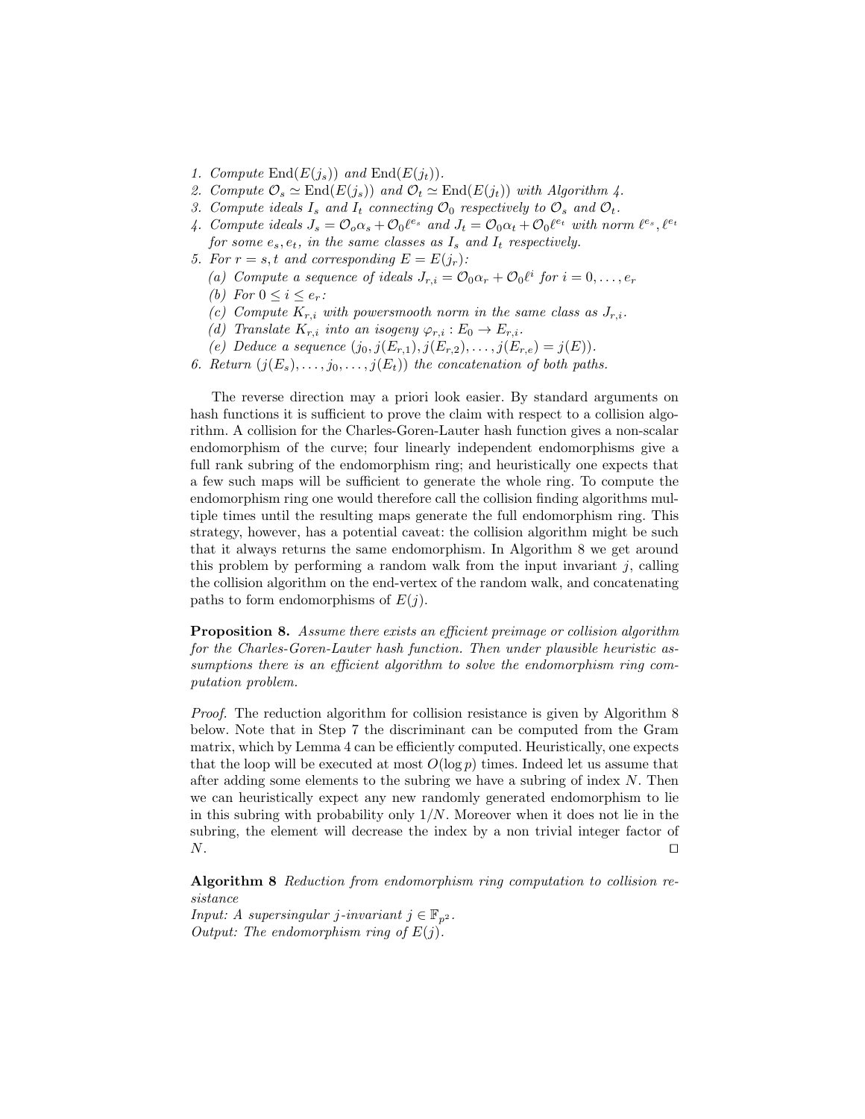- 1. Compute  $\text{End}(E(j_s))$  and  $\text{End}(E(j_t)).$
- 2. Compute  $\mathcal{O}_s \simeq \text{End}(E(j_s))$  and  $\mathcal{O}_t \simeq \text{End}(E(j_t))$  with Algorithm 4.
- 3. Compute ideals  $I_s$  and  $I_t$  connecting  $\mathcal{O}_0$  respectively to  $\mathcal{O}_s$  and  $\mathcal{O}_t$ .
- 4. Compute ideals  $J_s = \mathcal{O}_o \alpha_s + \mathcal{O}_0 \ell^{e_s}$  and  $J_t = \mathcal{O}_0 \alpha_t + \mathcal{O}_0 \ell^{e_t}$  with norm  $\ell^{e_s}, \ell^{e_t}$ for some  $e_s, e_t$ , in the same classes as  $I_s$  and  $I_t$  respectively.
- 5. For  $r = s$ , t and corresponding  $E = E(j_r)$ :
	- (a) Compute a sequence of ideals  $J_{r,i} = \mathcal{O}_0 \alpha_r + \mathcal{O}_0 \ell^i$  for  $i = 0, \ldots, e_r$
	- (b) For  $0 \leq i \leq e_r$ :
	- (c) Compute  $K_{r,i}$  with powersmooth norm in the same class as  $J_{r,i}$ .
	- (d) Translate  $K_{r,i}$  into an isogeny  $\varphi_{r,i}: E_0 \to E_{r,i}.$
	- (e) Deduce a sequence  $(j_0, j(E_{r,1}), j(E_{r,2}), \ldots, j(E_{r,e}) = j(E)).$
- 6. Return  $(j(E_s), \ldots, j_0, \ldots, j(E_t))$  the concatenation of both paths.

The reverse direction may a priori look easier. By standard arguments on hash functions it is sufficient to prove the claim with respect to a collision algorithm. A collision for the Charles-Goren-Lauter hash function gives a non-scalar endomorphism of the curve; four linearly independent endomorphisms give a full rank subring of the endomorphism ring; and heuristically one expects that a few such maps will be sufficient to generate the whole ring. To compute the endomorphism ring one would therefore call the collision finding algorithms multiple times until the resulting maps generate the full endomorphism ring. This strategy, however, has a potential caveat: the collision algorithm might be such that it always returns the same endomorphism. In Algorithm 8 we get around this problem by performing a random walk from the input invariant  $j$ , calling the collision algorithm on the end-vertex of the random walk, and concatenating paths to form endomorphisms of  $E(j)$ .

Proposition 8. Assume there exists an efficient preimage or collision algorithm for the Charles-Goren-Lauter hash function. Then under plausible heuristic assumptions there is an efficient algorithm to solve the endomorphism ring computation problem.

Proof. The reduction algorithm for collision resistance is given by Algorithm 8 below. Note that in Step 7 the discriminant can be computed from the Gram matrix, which by Lemma 4 can be efficiently computed. Heuristically, one expects that the loop will be executed at most  $O(\log p)$  times. Indeed let us assume that after adding some elements to the subring we have a subring of index  $N$ . Then we can heuristically expect any new randomly generated endomorphism to lie in this subring with probability only  $1/N$ . Moreover when it does not lie in the subring, the element will decrease the index by a non trivial integer factor of  $N$ .

Algorithm 8 Reduction from endomorphism ring computation to collision resistance

Input: A supersingular j-invariant  $j \in \mathbb{F}_{n^2}$ . Output: The endomorphism ring of  $E(j)$ .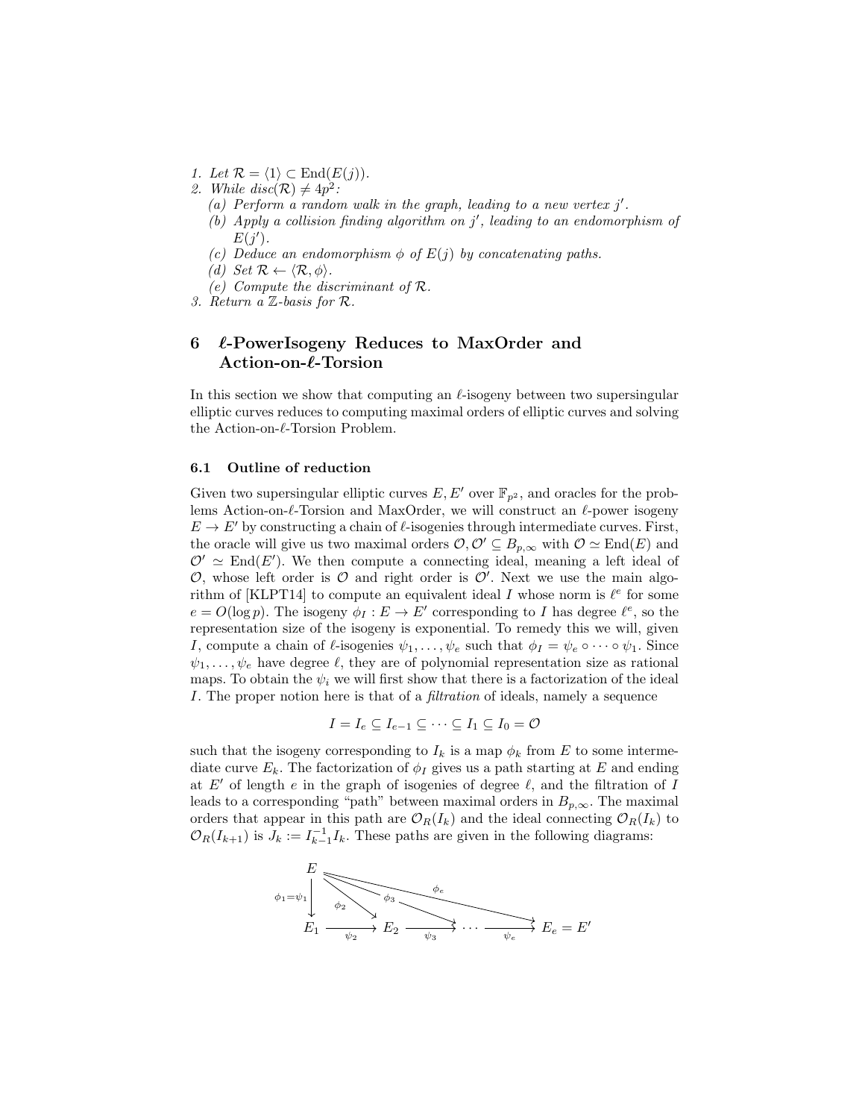- 1. Let  $\mathcal{R} = \langle 1 \rangle \subset \text{End}(E(j)).$
- 2. While  $disc(\mathcal{R}) \neq 4p^2$ :
	- (a) Perform a random walk in the graph, leading to a new vertex  $j'$ .
	- (b) Apply a collision finding algorithm on  $j'$ , leading to an endomorphism of  $E(j')$ .
	- (c) Deduce an endomorphism  $\phi$  of  $E(j)$  by concatenating paths.
	- (d) Set  $\mathcal{R} \leftarrow \langle \mathcal{R}, \phi \rangle$ .
	- (e) Compute the discriminant of R.
- 3. Return a Z-basis for R.

# 6  $\ell$ -PowerIsogeny Reduces to MaxOrder and Action-on- $\ell$ -Torsion

In this section we show that computing an  $\ell$ -isogeny between two supersingular elliptic curves reduces to computing maximal orders of elliptic curves and solving the Action-on- $\ell$ -Torsion Problem.

#### 6.1 Outline of reduction

Given two supersingular elliptic curves  $E, E'$  over  $\mathbb{F}_{p^2}$ , and oracles for the problems Action-on- $\ell$ -Torsion and MaxOrder, we will construct an  $\ell$ -power isogeny  $E \to E'$  by constructing a chain of  $\ell$ -isogenies through intermediate curves. First, the oracle will give us two maximal orders  $\mathcal{O}, \mathcal{O}' \subseteq B_{p,\infty}$  with  $\mathcal{O} \simeq \text{End}(E)$  and  $\mathcal{O}' \simeq \text{End}(E')$ . We then compute a connecting ideal, meaning a left ideal of  $\mathcal{O}$ , whose left order is  $\mathcal{O}$  and right order is  $\mathcal{O}'$ . Next we use the main algorithm of [KLPT14] to compute an equivalent ideal I whose norm is  $\ell^e$  for some  $e = O(\log p)$ . The isogeny  $\phi_I : E \to E'$  corresponding to I has degree  $\ell^e$ , so the representation size of the isogeny is exponential. To remedy this we will, given I, compute a chain of  $\ell$ -isogenies  $\psi_1, \ldots, \psi_e$  such that  $\phi_I = \psi_e \circ \cdots \circ \psi_1$ . Since  $\psi_1, \ldots, \psi_e$  have degree  $\ell$ , they are of polynomial representation size as rational maps. To obtain the  $\psi_i$  we will first show that there is a factorization of the ideal I. The proper notion here is that of a filtration of ideals, namely a sequence

$$
I = I_e \subseteq I_{e-1} \subseteq \cdots \subseteq I_1 \subseteq I_0 = \mathcal{O}
$$

such that the isogeny corresponding to  $I_k$  is a map  $\phi_k$  from E to some intermediate curve  $E_k$ . The factorization of  $\phi_I$  gives us a path starting at E and ending at  $E'$  of length e in the graph of isogenies of degree  $\ell$ , and the filtration of I leads to a corresponding "path" between maximal orders in  $B_{p,\infty}$ . The maximal orders that appear in this path are  $\mathcal{O}_R(I_k)$  and the ideal connecting  $\mathcal{O}_R(I_k)$  to  $\mathcal{O}_R(I_{k+1})$  is  $J_k := I_{k-1}^{-1}I_k$ . These paths are given in the following diagrams:

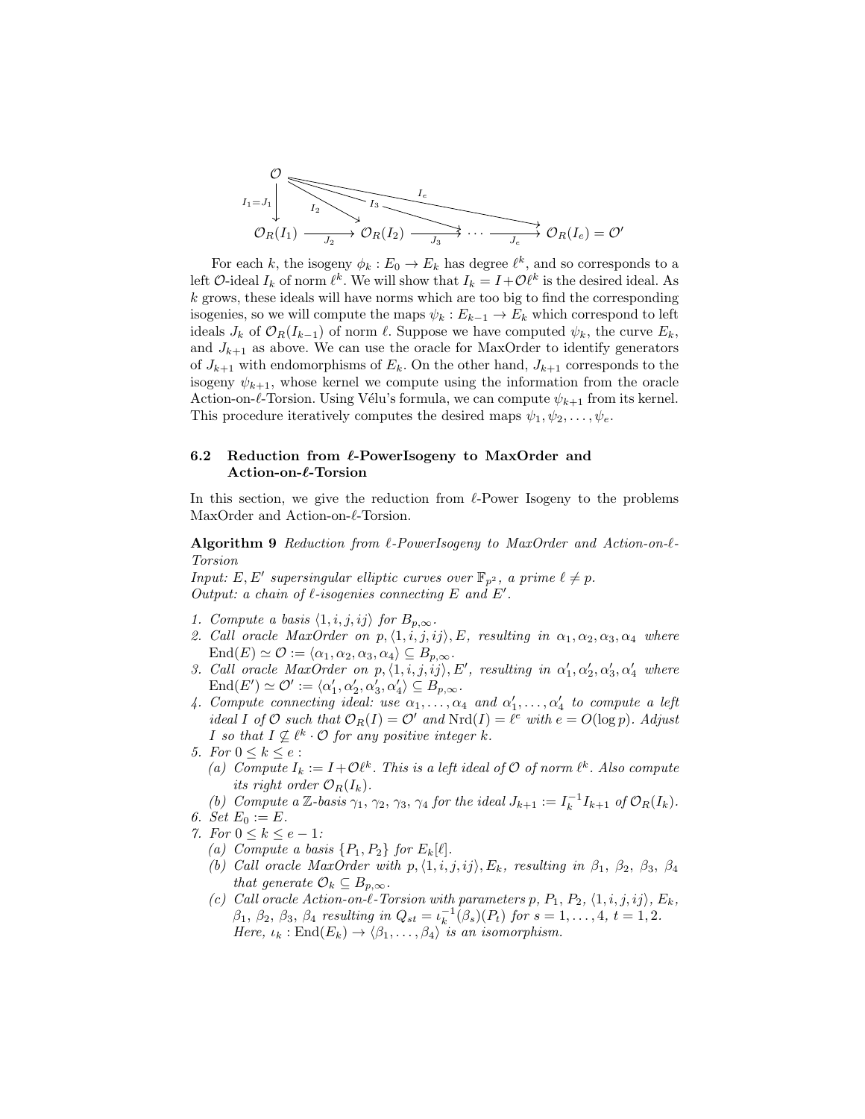$$
\begin{array}{ccc}\n\mathcal{O} & & & I_1 = J_1 \\
\hline\n\mathcal{O}_R(I_1) & \xrightarrow{J_2} & \mathcal{O}_R(I_2) & \xrightarrow{J_3} & \cdots & \xrightarrow{J_e} & \mathcal{O}_R(I_e) = \mathcal{O}'\n\end{array}
$$

For each k, the isogeny  $\phi_k : E_0 \to E_k$  has degree  $\ell^k$ , and so corresponds to a left O-ideal  $I_k$  of norm  $\ell^k$ . We will show that  $I_k = I + \mathcal{O}\ell^k$  is the desired ideal. As  $k$  grows, these ideals will have norms which are too big to find the corresponding isogenies, so we will compute the maps  $\psi_k : E_{k-1} \to E_k$  which correspond to left ideals  $J_k$  of  $\mathcal{O}_R(I_{k-1})$  of norm  $\ell$ . Suppose we have computed  $\psi_k$ , the curve  $E_k$ , and  $J_{k+1}$  as above. We can use the oracle for MaxOrder to identify generators of  $J_{k+1}$  with endomorphisms of  $E_k$ . On the other hand,  $J_{k+1}$  corresponds to the isogeny  $\psi_{k+1}$ , whose kernel we compute using the information from the oracle Action-on- $\ell$ -Torsion. Using Vélu's formula, we can compute  $\psi_{k+1}$  from its kernel. This procedure iteratively computes the desired maps  $\psi_1, \psi_2, \ldots, \psi_e$ .

#### 6.2 Reduction from  $\ell$ -PowerIsogeny to MaxOrder and Action-on- $\ell$ -Torsion

In this section, we give the reduction from  $\ell$ -Power Isogeny to the problems MaxOrder and Action-on- $\ell$ -Torsion.

Algorithm 9 Reduction from  $\ell$ -PowerIsogeny to MaxOrder and Action-on- $\ell$ -Torsion

Input: E, E' supersingular elliptic curves over  $\mathbb{F}_{p^2}$ , a prime  $\ell \neq p$ . Output: a chain of  $\ell$ -isogenies connecting E and E'.

- 1. Compute a basis  $\langle 1, i, j, ij \rangle$  for  $B_{p,\infty}$ .
- 2. Call oracle MaxOrder on  $p, \langle 1, i, j, ij \rangle, E$ , resulting in  $\alpha_1, \alpha_2, \alpha_3, \alpha_4$  where  $\text{End}(E) \simeq \mathcal{O} := \langle \alpha_1, \alpha_2, \alpha_3, \alpha_4 \rangle \subseteq B_{p,\infty}.$
- 3. Call oracle MaxOrder on  $p, \langle 1, i, j, ij \rangle, E'$ , resulting in  $\alpha'_1, \alpha'_2, \alpha'_3, \alpha'_4$  where  $\text{End}(E') \simeq \mathcal{O}' := \langle \alpha'_1, \alpha'_2, \alpha'_3, \alpha'_4 \rangle \subseteq B_{p,\infty}.$
- 4. Compute connecting ideal: use  $\alpha_1, \ldots, \alpha_4$  and  $\alpha'_1, \ldots, \alpha'_4$  to compute a left ideal I of O such that  $\mathcal{O}_R(I) = \mathcal{O}'$  and  $Nrd(I) = \ell^e$  with  $e = O(\log p)$ . Adjust *I* so that  $I \nsubseteq \ell^k \cdot \mathcal{O}$  for any positive integer k.
- 5. For  $0 \leq k \leq e$ :
	- (a) Compute  $I_k := I + \mathcal{O}\ell^k$ . This is a left ideal of  $\mathcal O$  of norm  $\ell^k$ . Also compute its right order  $\mathcal{O}_R(I_k)$ .
	- (b) Compute a Z-basis  $\gamma_1, \gamma_2, \gamma_3, \gamma_4$  for the ideal  $J_{k+1} := I_k^{-1}I_{k+1}$  of  $\mathcal{O}_R(I_k)$ .
- 6. Set  $E_0 := E$ .
- 7. For  $0 \le k \le e-1$ :
	- (a) Compute a basis  $\{P_1, P_2\}$  for  $E_k[\ell]$ .
	- (b) Call oracle MaxOrder with  $p, \langle 1, i, j, ij \rangle, E_k$ , resulting in  $\beta_1$ ,  $\beta_2$ ,  $\beta_3$ ,  $\beta_4$ that generate  $\mathcal{O}_k \subseteq B_{p,\infty}$ .
	- (c) Call oracle Action-on- $\ell$ -Torsion with parameters p,  $P_1$ ,  $P_2$ ,  $\langle 1, i, j, ij \rangle$ ,  $E_k$ ,  $\beta_1$ ,  $\beta_2$ ,  $\beta_3$ ,  $\beta_4$  resulting in  $Q_{st} = \iota_k^{-1}(\beta_s)(P_t)$  for  $s = 1, \ldots, 4, t = 1, 2$ . Here,  $\iota_k : \text{End}(E_k) \to \langle \beta_1, \ldots, \beta_4 \rangle$  is an isomorphism.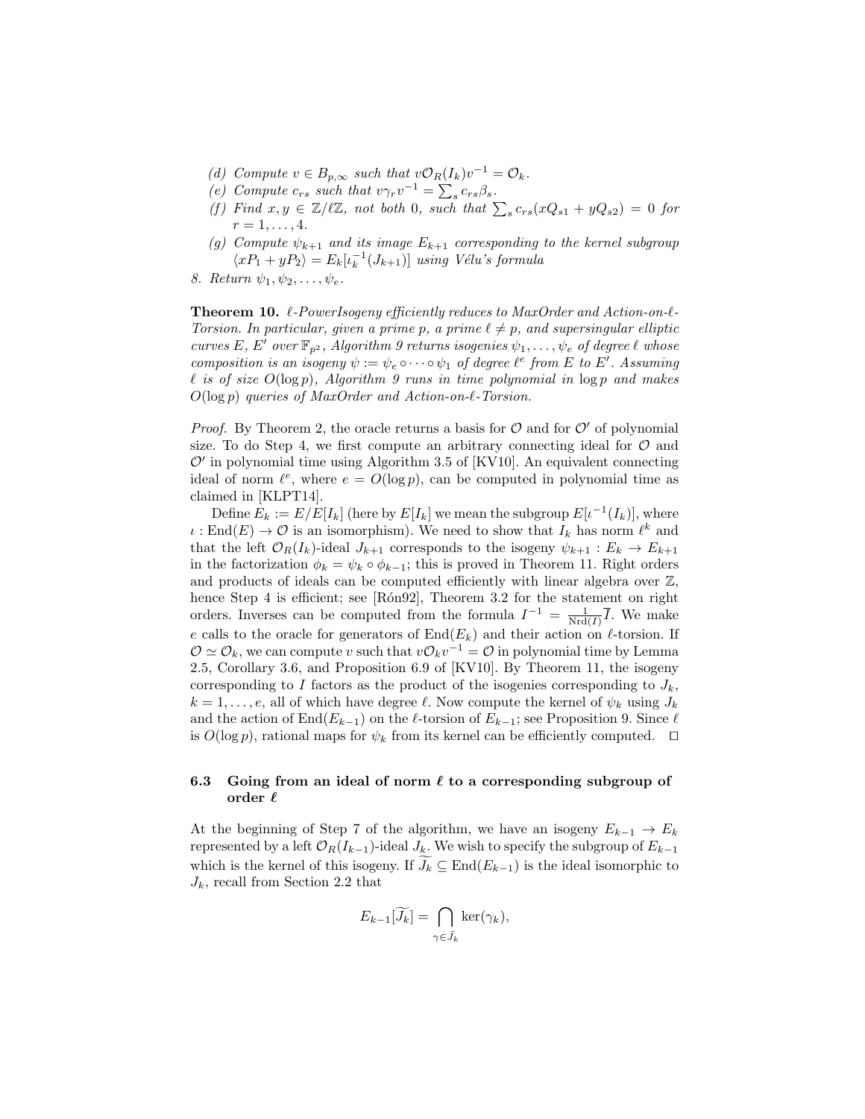- (d) Compute  $v \in B_{p,\infty}$  such that  $v \mathcal{O}_R(I_k)v^{-1} = \mathcal{O}_k$ .
- (e) Compute  $c_{rs}$  such that  $v\gamma_r v^{-1} = \sum_s c_{rs} \beta_s$ .
- (f) Find  $x, y \in \mathbb{Z}/\ell\mathbb{Z}$ , not both 0, such that  $\sum_{s} c_{rs}(xQ_{s1} + yQ_{s2}) = 0$  for  $r = 1, \ldots, 4.$
- (g) Compute  $\psi_{k+1}$  and its image  $E_{k+1}$  corresponding to the kernel subgroup  $\langle xP_1 + yP_2 \rangle = E_k[i_k^{-1}(J_{k+1})]$  using Vélu's formula
- 8. Return  $\psi_1, \psi_2, \ldots, \psi_e$ .

**Theorem 10.**  $\ell$ -PowerIsogeny efficiently reduces to MaxOrder and Action-on- $\ell$ -Torsion. In particular, given a prime p, a prime  $\ell \neq p$ , and supersingular elliptic curves E, E' over  $\mathbb{F}_{p^2}$ , Algorithm 9 returns isogenies  $\psi_1, \ldots, \psi_e$  of degree  $\ell$  whose composition is an isogeny  $\psi := \psi_e \circ \cdots \circ \psi_1$  of degree  $\ell^e$  from E to E'. Assuming  $\ell$  is of size  $O(\log p)$ , Algorithm 9 runs in time polynomial in  $\log p$  and makes  $O(\log p)$  queries of MaxOrder and Action-on- $\ell$ -Torsion.

*Proof.* By Theorem 2, the oracle returns a basis for  $\mathcal O$  and for  $\mathcal O'$  of polynomial size. To do Step 4, we first compute an arbitrary connecting ideal for  $\mathcal O$  and  $\mathcal{O}'$  in polynomial time using Algorithm 3.5 of [KV10]. An equivalent connecting ideal of norm  $\ell^e$ , where  $e = O(\log p)$ , can be computed in polynomial time as claimed in [KLPT14].

Define  $E_k := E/E[I_k]$  (here by  $E[I_k]$  we mean the subgroup  $E[\iota^{-1}(I_k)]$ , where  $\iota: \text{End}(E) \to \mathcal{O}$  is an isomorphism). We need to show that  $I_k$  has norm  $\ell^k$  and that the left  $\mathcal{O}_R(I_k)$ -ideal  $J_{k+1}$  corresponds to the isogeny  $\psi_{k+1}: E_k \to E_{k+1}$ in the factorization  $\phi_k = \psi_k \circ \phi_{k-1}$ ; this is proved in Theorem 11. Right orders and products of ideals can be computed efficiently with linear algebra over  $\mathbb{Z}$ , hence Step 4 is efficient; see [Rón92], Theorem 3.2 for the statement on right orders. Inverses can be computed from the formula  $I^{-1} = \frac{1}{N \text{rd}(I)} \overline{I}$ . We make e calls to the oracle for generators of  $End(E_k)$  and their action on  $\ell$ -torsion. If  $\mathcal{O} \simeq \mathcal{O}_k$ , we can compute v such that  $v\mathcal{O}_k v^{-1} = \mathcal{O}$  in polynomial time by Lemma 2.5, Corollary 3.6, and Proposition 6.9 of [KV10]. By Theorem 11, the isogeny corresponding to I factors as the product of the isogenies corresponding to  $J_k$ ,  $k = 1, \ldots, e$ , all of which have degree  $\ell$ . Now compute the kernel of  $\psi_k$  using  $J_k$ and the action of  $\text{End}(E_{k-1})$  on the  $\ell$ -torsion of  $E_{k-1}$ ; see Proposition 9. Since  $\ell$ is  $O(\log p)$ , rational maps for  $\psi_k$  from its kernel can be efficiently computed.  $\Box$ 

#### 6.3 Going from an ideal of norm  $\ell$  to a corresponding subgroup of order  $\ell$

At the beginning of Step 7 of the algorithm, we have an isogeny  $E_{k-1} \to E_k$ represented by a left  $\mathcal{O}_R(I_{k-1})$ -ideal  $J_k$ . We wish to specify the subgroup of  $E_{k-1}$ which is the kernel of this isogeny. If  $J_k \subseteq \text{End}(E_{k-1})$  is the ideal isomorphic to  $J_k$ , recall from Section 2.2 that

$$
E_{k-1}[\widetilde{J_k}] = \bigcap_{\gamma \in \widetilde{J}_k} \ker(\gamma_k),
$$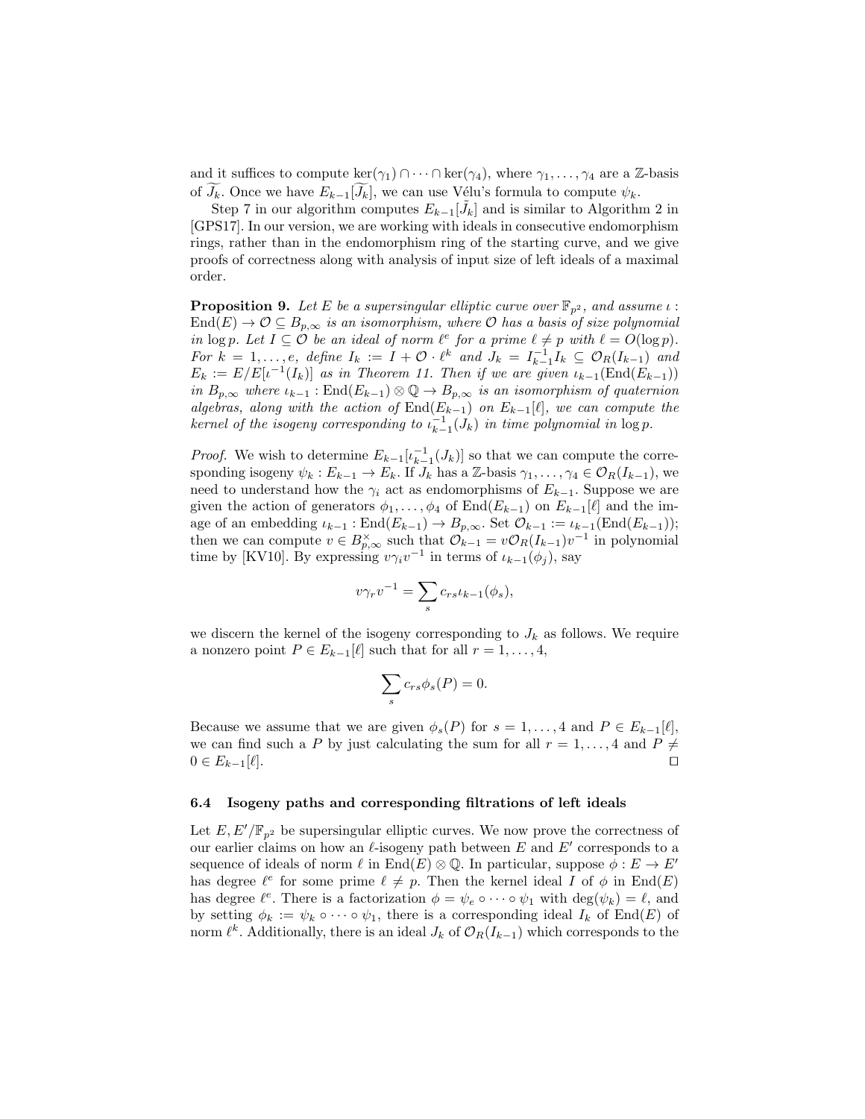and it suffices to compute  $\ker(\gamma_1) \cap \cdots \cap \ker(\gamma_4)$ , where  $\gamma_1, \ldots, \gamma_4$  are a Z-basis of  $J_k$ . Once we have  $E_{k-1}[J_k]$ , we can use Vélu's formula to compute  $\psi_k$ .

Step 7 in our algorithm computes  $E_{k-1}[\tilde{J}_k]$  and is similar to Algorithm 2 in [GPS17]. In our version, we are working with ideals in consecutive endomorphism rings, rather than in the endomorphism ring of the starting curve, and we give proofs of correctness along with analysis of input size of left ideals of a maximal order.

**Proposition 9.** Let E be a supersingular elliptic curve over  $\mathbb{F}_{p^2}$ , and assume  $\iota$ :  $\text{End}(E) \to \mathcal{O} \subseteq B_{p,\infty}$  is an isomorphism, where  $\mathcal O$  has a basis of size polynomial in  $\log p$ . Let  $I \subseteq \mathcal{O}$  be an ideal of norm  $\ell^e$  for a prime  $\ell \neq p$  with  $\ell = O(\log p)$ . For  $k = 1, \ldots, e$ , define  $I_k := I + \mathcal{O} \cdot \ell^k$  and  $J_k = I_{k-1}^{-1} I_k \subseteq \mathcal{O}_R(I_{k-1})$  and  $E_k := E/E[\iota^{-1}(I_k)]$  as in Theorem 11. Then if we are given  $\iota_{k-1}(\text{End}(E_{k-1}))$ in  $B_{p,\infty}$  where  $\iota_{k-1} : \text{End}(E_{k-1}) \otimes \mathbb{Q} \to B_{p,\infty}$  is an isomorphism of quaternion algebras, along with the action of  $\text{End}(E_{k-1})$  on  $E_{k-1}[\ell]$ , we can compute the kernel of the isogeny corresponding to  $\iota_{k-1}^{-1}(J_k)$  in time polynomial in  $\log p$ .

*Proof.* We wish to determine  $E_{k-1}[\iota_{k-1}^{-1}(J_k)]$  so that we can compute the corresponding isogeny  $\psi_k : E_{k-1} \to E_k$ . If  $J_k$  has a Z-basis  $\gamma_1, \ldots, \gamma_4 \in \mathcal{O}_R(I_{k-1}),$  we need to understand how the  $\gamma_i$  act as endomorphisms of  $E_{k-1}$ . Suppose we are given the action of generators  $\phi_1, \ldots, \phi_4$  of  $\text{End}(E_{k-1})$  on  $E_{k-1}[\ell]$  and the image of an embedding  $\iota_{k-1} : \text{End}(E_{k-1}) \to B_{p,\infty}$ . Set  $\mathcal{O}_{k-1} := \iota_{k-1}(\text{End}(E_{k-1}))$ ; then we can compute  $v \in B_{p,\infty}^{\times}$  such that  $\mathcal{O}_{k-1} = v \mathcal{O}_R(I_{k-1})v^{-1}$  in polynomial time by [KV10]. By expressing  $v\gamma_i v^{-1}$  in terms of  $\iota_{k-1}(\phi_j)$ , say

$$
v\gamma_r v^{-1} = \sum_s c_{rs} \iota_{k-1}(\phi_s),
$$

we discern the kernel of the isogeny corresponding to  $J_k$  as follows. We require a nonzero point  $P \in E_{k-1}[\ell]$  such that for all  $r = 1, \ldots, 4$ ,

$$
\sum_{s} c_{rs} \phi_s(P) = 0.
$$

Because we assume that we are given  $\phi_s(P)$  for  $s = 1, \ldots, 4$  and  $P \in E_{k-1}[\ell],$ we can find such a P by just calculating the sum for all  $r = 1, \ldots, 4$  and  $P \neq$  $0 \in E_{k-1}[\ell].$ 

#### 6.4 Isogeny paths and corresponding filtrations of left ideals

Let  $E, E'/\mathbb{F}_{p^2}$  be supersingular elliptic curves. We now prove the correctness of our earlier claims on how an  $\ell$ -isogeny path between E and E' corresponds to a sequence of ideals of norm  $\ell$  in End(E)  $\otimes$  Q. In particular, suppose  $\phi : E \to E'$ has degree  $\ell^e$  for some prime  $\ell \neq p$ . Then the kernel ideal I of  $\phi$  in End(E) has degree  $\ell^e$ . There is a factorization  $\phi = \psi_e \circ \cdots \circ \psi_1$  with  $\deg(\psi_k) = \ell$ , and by setting  $\phi_k := \psi_k \circ \cdots \circ \psi_1$ , there is a corresponding ideal  $I_k$  of End(E) of norm  $\ell^k$ . Additionally, there is an ideal  $J_k$  of  $\mathcal{O}_R(I_{k-1})$  which corresponds to the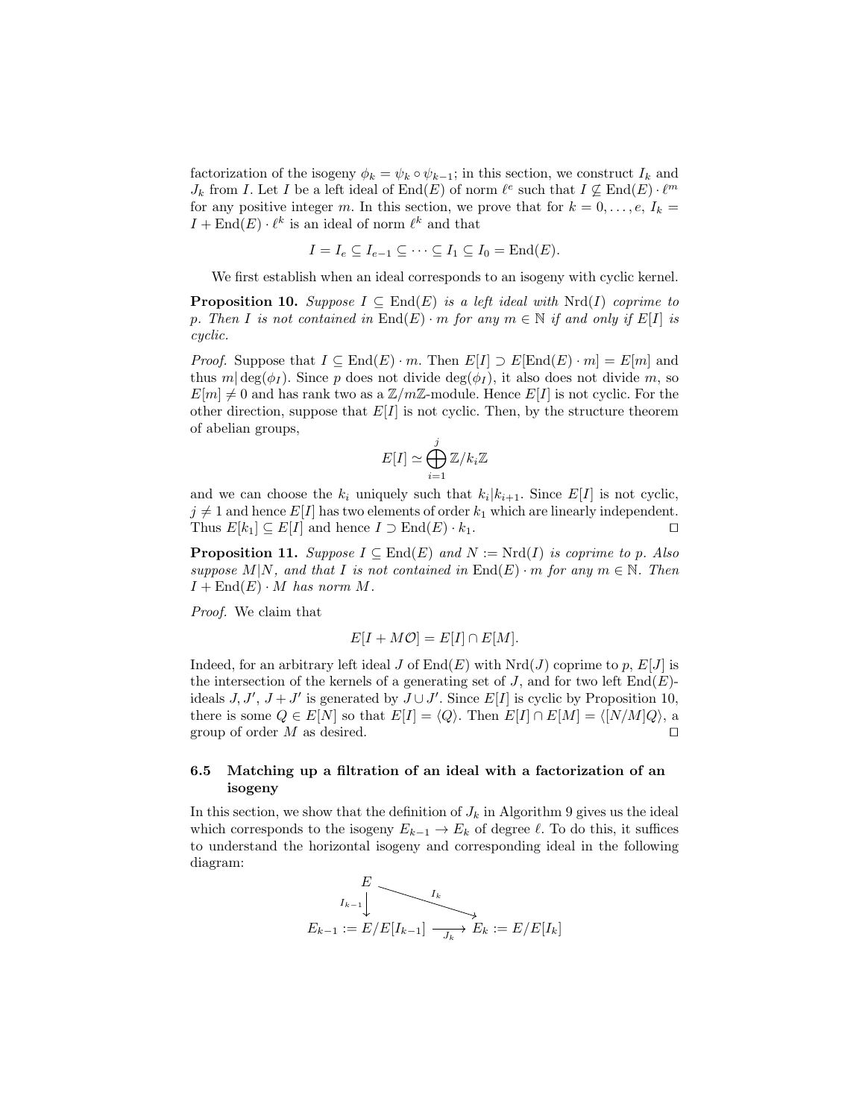factorization of the isogeny  $\phi_k = \psi_k \circ \psi_{k-1}$ ; in this section, we construct  $I_k$  and  $J_k$  from I. Let I be a left ideal of  $\text{End}(E)$  of norm  $\ell^e$  such that  $I \nsubseteq \text{End}(E) \cdot \ell^m$ for any positive integer m. In this section, we prove that for  $k = 0, \ldots, e, I_k =$  $I + \text{End}(E) \cdot \ell^k$  is an ideal of norm  $\ell^k$  and that

$$
I = I_e \subseteq I_{e-1} \subseteq \cdots \subseteq I_1 \subseteq I_0 = \text{End}(E).
$$

We first establish when an ideal corresponds to an isogeny with cyclic kernel.

**Proposition 10.** Suppose  $I \subseteq End(E)$  is a left ideal with Nrd(I) coprime to p. Then I is not contained in  $\text{End}(E) \cdot m$  for any  $m \in \mathbb{N}$  if and only if  $E[I]$  is cyclic.

*Proof.* Suppose that  $I \subseteq \text{End}(E) \cdot m$ . Then  $E[I] \supset E[\text{End}(E) \cdot m] = E[m]$  and thus m  $\deg(\phi_I)$ . Since p does not divide  $\deg(\phi_I)$ , it also does not divide m, so  $E[m] \neq 0$  and has rank two as a  $\mathbb{Z}/m\mathbb{Z}$ -module. Hence  $E[I]$  is not cyclic. For the other direction, suppose that  $E[I]$  is not cyclic. Then, by the structure theorem of abelian groups,

$$
E[I] \simeq \bigoplus_{i=1}^{j} \mathbb{Z}/k_i\mathbb{Z}
$$

and we can choose the  $k_i$  uniquely such that  $k_i | k_{i+1}$ . Since  $E[I]$  is not cyclic,  $j \neq 1$  and hence  $E[I]$  has two elements of order  $k_1$  which are linearly independent. Thus  $E[k_1] \subseteq E[I]$  and hence  $I \supset \text{End}(E) \cdot k_1$ .

**Proposition 11.** Suppose  $I \subseteq \text{End}(E)$  and  $N := \text{Nrd}(I)$  is coprime to p. Also suppose M|N, and that I is not contained in  $\text{End}(E) \cdot m$  for any  $m \in \mathbb{N}$ . Then  $I + \text{End}(E) \cdot M$  has norm M.

Proof. We claim that

$$
E[I + M\mathcal{O}] = E[I] \cap E[M].
$$

Indeed, for an arbitrary left ideal J of  $End(E)$  with  $Nrd(J)$  coprime to p,  $E[J]$  is the intersection of the kernels of a generating set of  $J$ , and for two left  $\text{End}(E)$ ideals  $J, J', J + J'$  is generated by  $J \cup J'$ . Since  $E[I]$  is cyclic by Proposition 10, there is some  $Q \in E[N]$  so that  $E[I] = \langle Q \rangle$ . Then  $E[I] \cap E[M] = \langle N/M|Q \rangle$ , a group of order M as desired.  $\Box$ 

#### 6.5 Matching up a filtration of an ideal with a factorization of an isogeny

In this section, we show that the definition of  $J_k$  in Algorithm 9 gives us the ideal which corresponds to the isogeny  $E_{k-1} \to E_k$  of degree  $\ell$ . To do this, it suffices to understand the horizontal isogeny and corresponding ideal in the following diagram:

$$
E
$$
\n
$$
I_{k-1}
$$
\n
$$
E_{k-1} := E/E[I_{k-1}] \xrightarrow{I_k} E_k := E/E[I_k]
$$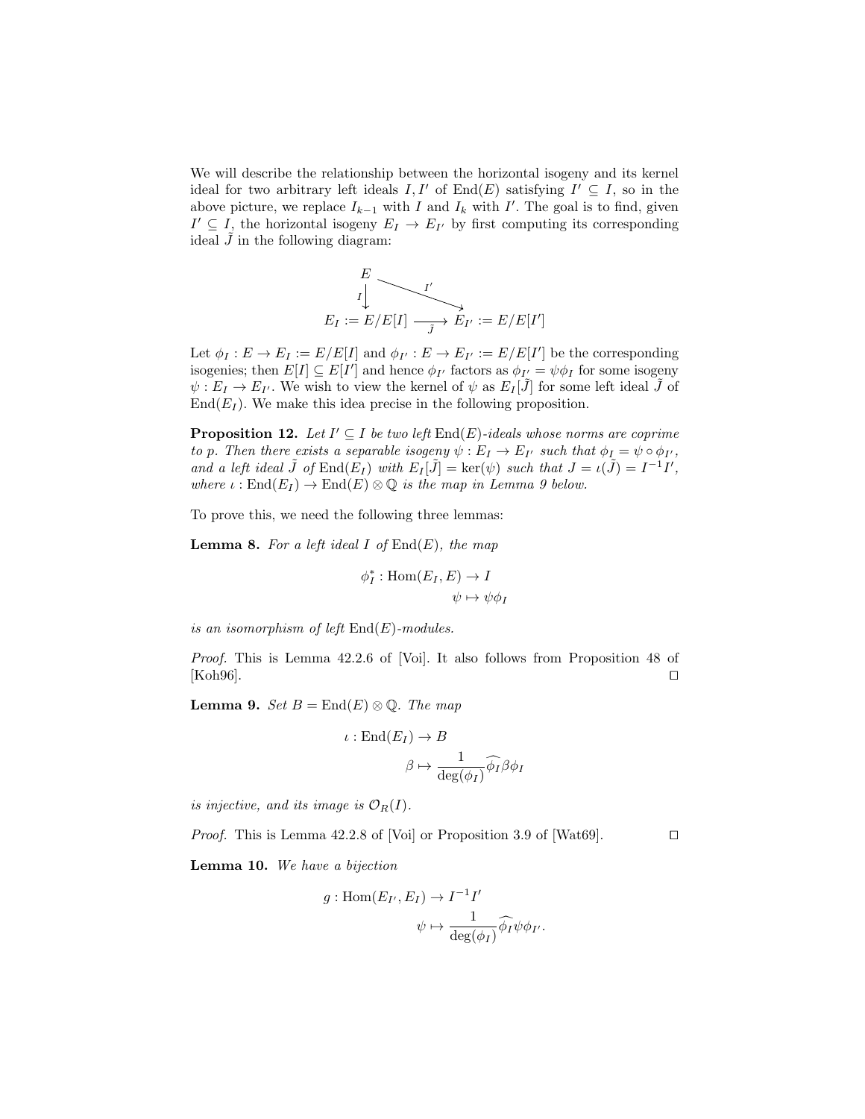We will describe the relationship between the horizontal isogeny and its kernel ideal for two arbitrary left ideals  $I, I'$  of End(E) satisfying  $I' \subseteq I$ , so in the above picture, we replace  $I_{k-1}$  with  $I$  and  $I_k$  with  $I'$ . The goal is to find, given  $I' \subseteq I$ , the horizontal isogeny  $E_I \to E_{I'}$  by first computing its corresponding ideal  $\tilde{J}$  in the following diagram:

$$
E \downarrow I' \downarrow
$$
  
\n
$$
E_I := E/E[I] \longrightarrow_{\tilde{J}} E_{I'} := E/E[I']
$$

Let  $\phi_I : E \to E_I := E/E[I]$  and  $\phi_{I'} : E \to E_{I'} := E/E[I']$  be the corresponding isogenies; then  $E[I] \subseteq E[I']$  and hence  $\phi_{I'}$  factors as  $\phi_{I'} = \psi \phi_I$  for some isogeny  $\psi: E_I \to E_{I'}$ . We wish to view the kernel of  $\psi$  as  $E_I[\tilde{J}]$  for some left ideal  $\tilde{J}$  of  $\text{End}(E_I)$ . We make this idea precise in the following proposition.

**Proposition 12.** Let  $I' \subseteq I$  be two left  $\text{End}(E)$ -ideals whose norms are coprime to p. Then there exists a separable isogeny  $\psi : E_I \to E_{I'}$  such that  $\phi_I = \psi \circ \phi_{I'}$ , and a left ideal  $\tilde{J}$  of  $\text{End}(E_I)$  with  $E_I[\tilde{J}] = \text{ker}(\psi)$  such that  $J = \iota(\tilde{J}) = I^{-1}I'$ , where  $\iota : \text{End}(E_I) \to \text{End}(E) \otimes \mathbb{Q}$  is the map in Lemma 9 below.

To prove this, we need the following three lemmas:

**Lemma 8.** For a left ideal I of  $End(E)$ , the map

$$
\phi_I^* : \text{Hom}(E_I, E) \to I
$$

$$
\psi \mapsto \psi \phi_I
$$

is an isomorphism of left  $\text{End}(E)$ -modules.

Proof. This is Lemma 42.2.6 of [Voi]. It also follows from Proposition 48 of  $[Koh96]$ .

**Lemma 9.** Set  $B = \text{End}(E) \otimes \mathbb{Q}$ . The map

$$
\iota : \text{End}(E_I) \to B
$$

$$
\beta \mapsto \frac{1}{\deg(\phi_I)} \widehat{\phi_I} \beta \phi_I
$$

is injective, and its image is  $\mathcal{O}_R(I)$ .

*Proof.* This is Lemma 42.2.8 of [Voi] or Proposition 3.9 of [Wat69].  $\Box$ 

Lemma 10. We have a bijection

$$
g: \text{Hom}(E_{I'}, E_I) \to I^{-1}I'
$$

$$
\psi \mapsto \frac{1}{\deg(\phi_I)} \widehat{\phi_I} \psi \phi_{I'}.
$$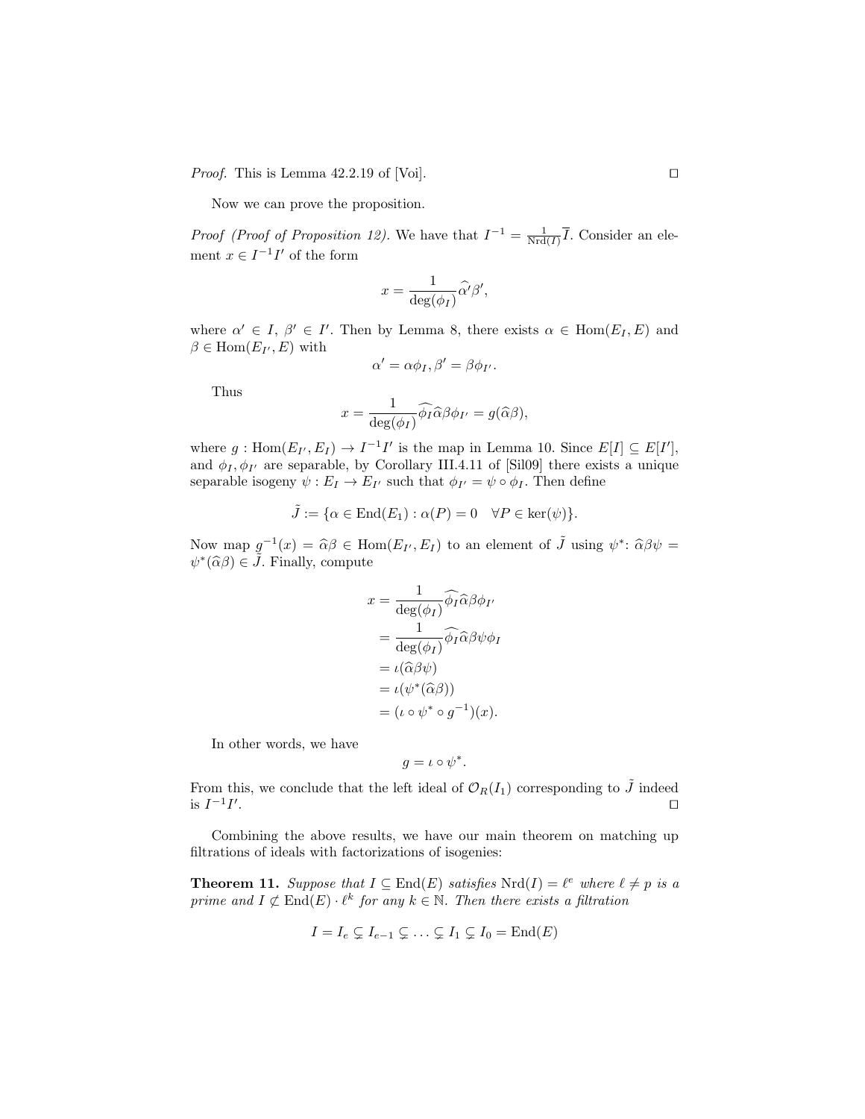*Proof.* This is Lemma 42.2.19 of [Voi].  $\Box$ 

Now we can prove the proposition.

*Proof (Proof of Proposition 12)*. We have that  $I^{-1} = \frac{1}{Nrd(I)}\overline{I}$ . Consider an element  $x \in I^{-1}I'$  of the form

$$
x=\frac{1}{\deg(\phi_I)}\widehat{\alpha'}\beta',
$$

where  $\alpha' \in I$ ,  $\beta' \in I'$ . Then by Lemma 8, there exists  $\alpha \in \text{Hom}(E_I, E)$  and  $\beta \in \text{Hom}(E_{I'}, E)$  with

$$
\alpha' = \alpha \phi_I, \beta' = \beta \phi_{I'}.
$$

Thus

$$
x = \frac{1}{\deg(\phi_I)} \widehat{\phi_I} \widehat{\alpha} \beta \phi_{I'} = g(\widehat{\alpha}\beta),
$$

where  $g: \text{Hom}(E_{I'}, E_I) \to I^{-1}I'$  is the map in Lemma 10. Since  $E[I] \subseteq E[I'],$ and  $\phi_I, \phi_{I'}$  are separable, by Corollary III.4.11 of [Sil09] there exists a unique separable isogeny  $\psi : E_I \to E_{I'}$  such that  $\phi_{I'} = \psi \circ \phi_I$ . Then define

$$
\tilde{J} := \{ \alpha \in \text{End}(E_1) : \alpha(P) = 0 \quad \forall P \in \text{ker}(\psi) \}.
$$

Now map  $g^{-1}(x) = \hat{\alpha}\beta \in \text{Hom}(E_{I'}, E_I)$  to an element of  $\tilde{J}$  using  $\psi^* \colon \hat{\alpha}\beta\psi = \psi^* \colon \hat{\alpha}\beta\gamma \in \tilde{I}$  Finally compute  $\psi^*(\widehat{\alpha}\beta) \in \widetilde{J}$ . Finally, compute

$$
x = \frac{1}{\deg(\phi_I)} \widehat{\phi_I} \widehat{\alpha} \beta \phi_{I'}
$$
  
= 
$$
\frac{1}{\deg(\phi_I)} \widehat{\phi_I} \widehat{\alpha} \beta \psi \phi_I
$$
  
= 
$$
\iota(\widehat{\alpha} \beta \psi)
$$
  
= 
$$
\iota(\psi^*(\widehat{\alpha}\beta))
$$
  
= 
$$
(\iota \circ \psi^* \circ g^{-1})(x).
$$

In other words, we have

$$
g = \iota \circ \psi^*.
$$

From this, we conclude that the left ideal of  $\mathcal{O}_R(I_1)$  corresponding to  $\tilde{J}$  indeed is  $I^{-1}I'$ . The contract of the contract of the contract of the contract of the contract of the contract of the contract of the contract of the contract of the contract of the contract of the contract of the contract of the contract

Combining the above results, we have our main theorem on matching up filtrations of ideals with factorizations of isogenies:

**Theorem 11.** Suppose that  $I \subseteq End(E)$  satisfies  $Nrd(I) = \ell^e$  where  $\ell \neq p$  is a prime and  $I \not\subset \text{End}(E) \cdot \ell^k$  for any  $k \in \mathbb{N}$ . Then there exists a filtration

$$
I = I_e \subsetneq I_{e-1} \subsetneq \ldots \subsetneq I_1 \subsetneq I_0 = \text{End}(E)
$$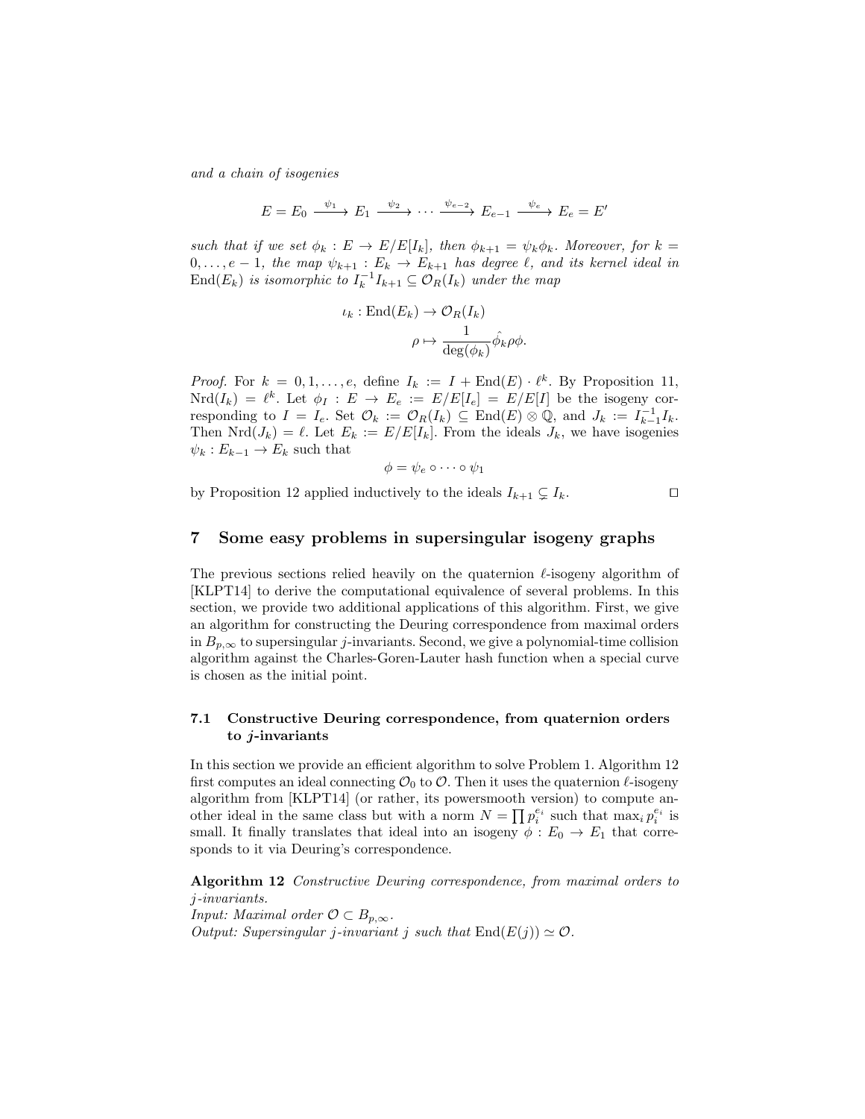and a chain of isogenies

$$
E = E_0 \xrightarrow{\psi_1} E_1 \xrightarrow{\psi_2} \cdots \xrightarrow{\psi_{e-2}} E_{e-1} \xrightarrow{\psi_e} E_e = E'
$$

such that if we set  $\phi_k : E \to E/E[I_k]$ , then  $\phi_{k+1} = \psi_k \phi_k$ . Moreover, for  $k =$  $0, \ldots, e-1$ , the map  $\psi_{k+1} : E_k \to E_{k+1}$  has degree  $\ell$ , and its kernel ideal in  $\text{End}(E_k)$  is isomorphic to  $I_k^{-1}I_{k+1} \subseteq \mathcal{O}_R(I_k)$  under the map

$$
\iota_k : \text{End}(E_k) \to \mathcal{O}_R(I_k)
$$

$$
\rho \mapsto \frac{1}{\deg(\phi_k)} \hat{\phi}_k \rho \phi.
$$

*Proof.* For  $k = 0, 1, \ldots, e$ , define  $I_k := I + \text{End}(E) \cdot \ell^k$ . By Proposition 11,  $Nrd(I_k) = \ell^k$ . Let  $\phi_I : E \to E_e := E/E[I_e] = E/E[I]$  be the isogeny corresponding to  $I = I_e$ . Set  $\mathcal{O}_k := \mathcal{O}_R(I_k) \subseteq \text{End}(E) \otimes \mathbb{Q}$ , and  $J_k := I_{k-1}^{-1}I_k$ . Then Nrd $(J_k) = \ell$ . Let  $E_k := E/E[I_k]$ . From the ideals  $J_k$ , we have isogenies  $\psi_k : E_{k-1} \to E_k$  such that

$$
\phi = \psi_e \circ \cdots \circ \psi_1
$$

by Proposition 12 applied inductively to the ideals  $I_{k+1} \subsetneq I_k$ .

$$
\Box
$$

#### 7 Some easy problems in supersingular isogeny graphs

The previous sections relied heavily on the quaternion  $\ell$ -isogeny algorithm of [KLPT14] to derive the computational equivalence of several problems. In this section, we provide two additional applications of this algorithm. First, we give an algorithm for constructing the Deuring correspondence from maximal orders in  $B_{p,\infty}$  to supersingular *j*-invariants. Second, we give a polynomial-time collision algorithm against the Charles-Goren-Lauter hash function when a special curve is chosen as the initial point.

#### 7.1 Constructive Deuring correspondence, from quaternion orders to j-invariants

In this section we provide an efficient algorithm to solve Problem 1. Algorithm 12 first computes an ideal connecting  $\mathcal{O}_0$  to  $\mathcal{O}$ . Then it uses the quaternion  $\ell$ -isogeny algorithm from [KLPT14] (or rather, its powersmooth version) to compute another ideal in the same class but with a norm  $N = \prod p_i^{e_i}$  such that  $\max_i p_i^{e_i}$  is small. It finally translates that ideal into an isogeny  $\phi : E_0 \to E_1$  that corresponds to it via Deuring's correspondence.

Algorithm 12 Constructive Deuring correspondence, from maximal orders to j-invariants.

*Input: Maximal order*  $\mathcal{O} \subset B_{p,\infty}$ . Output: Supersingular j-invariant j such that  $\text{End}(E(j)) \simeq \mathcal{O}$ .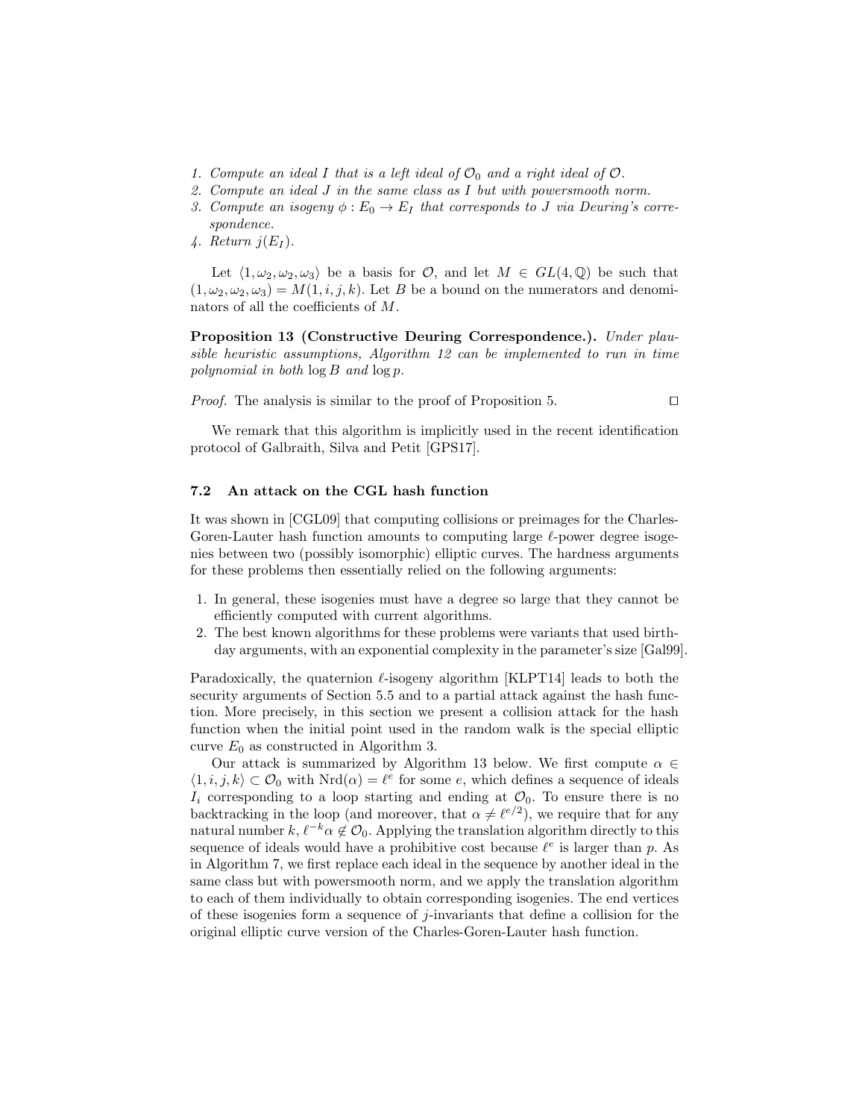- 1. Compute an ideal I that is a left ideal of  $\mathcal{O}_0$  and a right ideal of  $\mathcal{O}$ .
- 2. Compute an ideal J in the same class as I but with powersmooth norm.
- 3. Compute an isogeny  $\phi : E_0 \to E_I$  that corresponds to J via Deuring's correspondence.
- 4. Return  $j(E_I)$ .

Let  $\langle 1, \omega_2, \omega_2, \omega_3 \rangle$  be a basis for O, and let  $M \in GL(4,\mathbb{Q})$  be such that  $(1, \omega_2, \omega_2, \omega_3) = M(1, i, j, k)$ . Let B be a bound on the numerators and denominators of all the coefficients of M.

Proposition 13 (Constructive Deuring Correspondence.). Under plausible heuristic assumptions, Algorithm 12 can be implemented to run in time polynomial in both  $\log B$  and  $\log p$ .

*Proof.* The analysis is similar to the proof of Proposition 5.  $\Box$ 

We remark that this algorithm is implicitly used in the recent identification protocol of Galbraith, Silva and Petit [GPS17].

#### 7.2 An attack on the CGL hash function

It was shown in [CGL09] that computing collisions or preimages for the Charles-Goren-Lauter hash function amounts to computing large  $\ell$ -power degree isogenies between two (possibly isomorphic) elliptic curves. The hardness arguments for these problems then essentially relied on the following arguments:

- 1. In general, these isogenies must have a degree so large that they cannot be efficiently computed with current algorithms.
- 2. The best known algorithms for these problems were variants that used birthday arguments, with an exponential complexity in the parameter's size [Gal99].

Paradoxically, the quaternion  $\ell$ -isogeny algorithm [KLPT14] leads to both the security arguments of Section 5.5 and to a partial attack against the hash function. More precisely, in this section we present a collision attack for the hash function when the initial point used in the random walk is the special elliptic curve  $E_0$  as constructed in Algorithm 3.

Our attack is summarized by Algorithm 13 below. We first compute  $\alpha \in$  $\langle 1, i, j, k \rangle \subset \mathcal{O}_0$  with  $Nrd(\alpha) = \ell^e$  for some e, which defines a sequence of ideals  $I_i$  corresponding to a loop starting and ending at  $\mathcal{O}_0$ . To ensure there is no backtracking in the loop (and moreover, that  $\alpha \neq \ell^{e/2}$ ), we require that for any natural number  $k, \ell^{-k} \alpha \notin \mathcal{O}_0$ . Applying the translation algorithm directly to this sequence of ideals would have a prohibitive cost because  $\ell^e$  is larger than p. As in Algorithm 7, we first replace each ideal in the sequence by another ideal in the same class but with powersmooth norm, and we apply the translation algorithm to each of them individually to obtain corresponding isogenies. The end vertices of these isogenies form a sequence of j-invariants that define a collision for the original elliptic curve version of the Charles-Goren-Lauter hash function.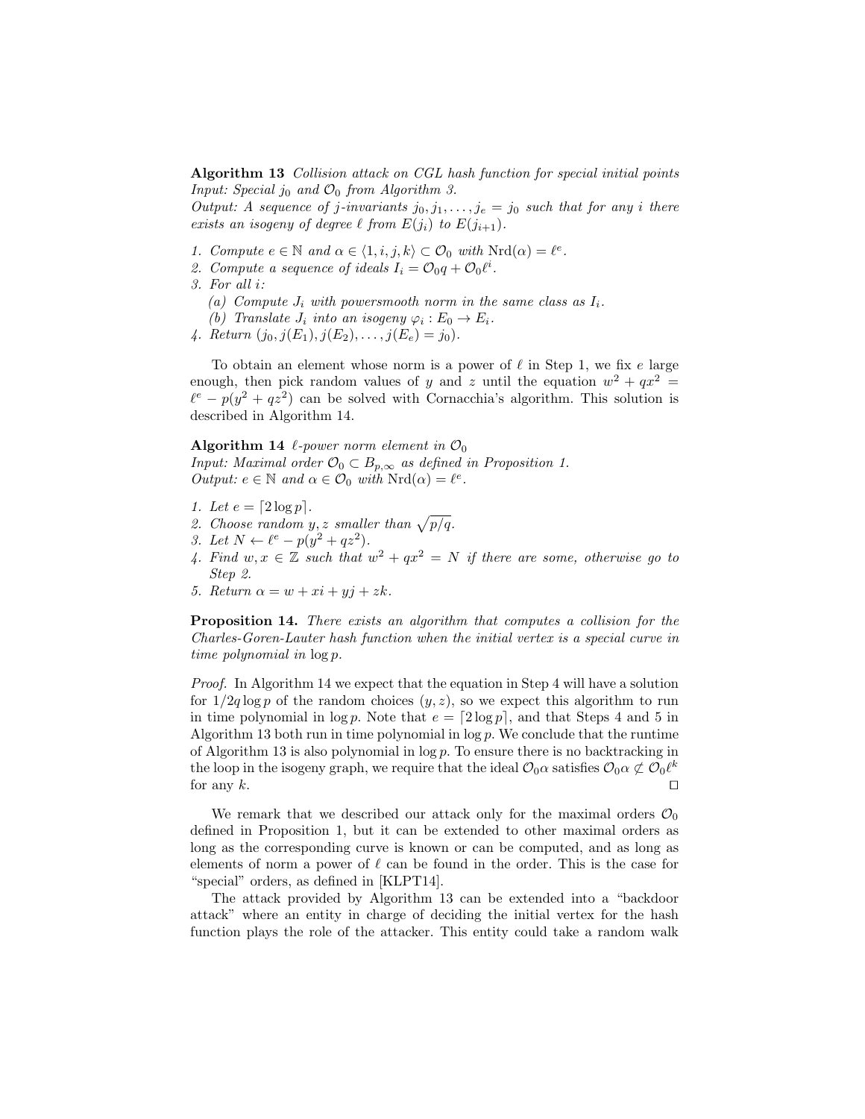Algorithm 13 Collision attack on CGL hash function for special initial points Input: Special  $j_0$  and  $\mathcal{O}_0$  from Algorithm 3.

Output: A sequence of j-invariants  $j_0, j_1, \ldots, j_e = j_0$  such that for any i there exists an isogeny of degree  $\ell$  from  $E(j_i)$  to  $E(j_{i+1})$ .

- 1. Compute  $e \in \mathbb{N}$  and  $\alpha \in \langle 1, i, j, k \rangle \subset \mathcal{O}_0$  with  $Nrd(\alpha) = \ell^e$ .
- 2. Compute a sequence of ideals  $I_i = \mathcal{O}_0 q + \mathcal{O}_0 \ell^i$ .
- 3. For all i:
	- (a) Compute  $J_i$  with powersmooth norm in the same class as  $I_i$ .
	- (b) Translate  $J_i$  into an isogeny  $\varphi_i : E_0 \to E_i$ .
- 4. Return  $(j_0, j(E_1), j(E_2), \ldots, j(E_e) = j_0)$ .

To obtain an element whose norm is a power of  $\ell$  in Step 1, we fix e large enough, then pick random values of y and z until the equation  $w^2 + qx^2 =$  $\ell^e - p(y^2 + qz^2)$  can be solved with Cornacchia's algorithm. This solution is described in Algorithm 14.

#### **Algorithm 14**  $\ell$ -power norm element in  $\mathcal{O}_0$

*Input: Maximal order*  $\mathcal{O}_0 \subset B_{p,\infty}$  *as defined in Proposition 1.* Output:  $e \in \mathbb{N}$  and  $\alpha \in \mathcal{O}_0$  with  $Nrd(\alpha) = \ell^e$ .

- 1. Let  $e = \lfloor 2 \log p \rfloor$ .
- 2. Choose random y, z smaller than  $\sqrt{p/q}$ .
- 3. Let  $N \leftarrow \ell^e p(y^2 + qz^2)$ .
- 4. Find  $w, x \in \mathbb{Z}$  such that  $w^2 + qx^2 = N$  if there are some, otherwise go to Step 2.
- 5. Return  $\alpha = w + xi + yj + zk$ .

Proposition 14. There exists an algorithm that computes a collision for the Charles-Goren-Lauter hash function when the initial vertex is a special curve in time polynomial in log p.

Proof. In Algorithm 14 we expect that the equation in Step 4 will have a solution for  $1/2q \log p$  of the random choices  $(y, z)$ , so we expect this algorithm to run in time polynomial in  $\log p$ . Note that  $e = \lfloor 2 \log p \rfloor$ , and that Steps 4 and 5 in Algorithm 13 both run in time polynomial in  $\log p$ . We conclude that the runtime of Algorithm 13 is also polynomial in  $log p$ . To ensure there is no backtracking in the loop in the isogeny graph, we require that the ideal  $\mathcal{O}_0\alpha$  satisfies  $\mathcal{O}_0\alpha \not\subset \mathcal{O}_0\ell^k$ for any k.  $\square$ 

We remark that we described our attack only for the maximal orders  $\mathcal{O}_0$ defined in Proposition 1, but it can be extended to other maximal orders as long as the corresponding curve is known or can be computed, and as long as elements of norm a power of  $\ell$  can be found in the order. This is the case for "special" orders, as defined in [KLPT14].

The attack provided by Algorithm 13 can be extended into a "backdoor attack" where an entity in charge of deciding the initial vertex for the hash function plays the role of the attacker. This entity could take a random walk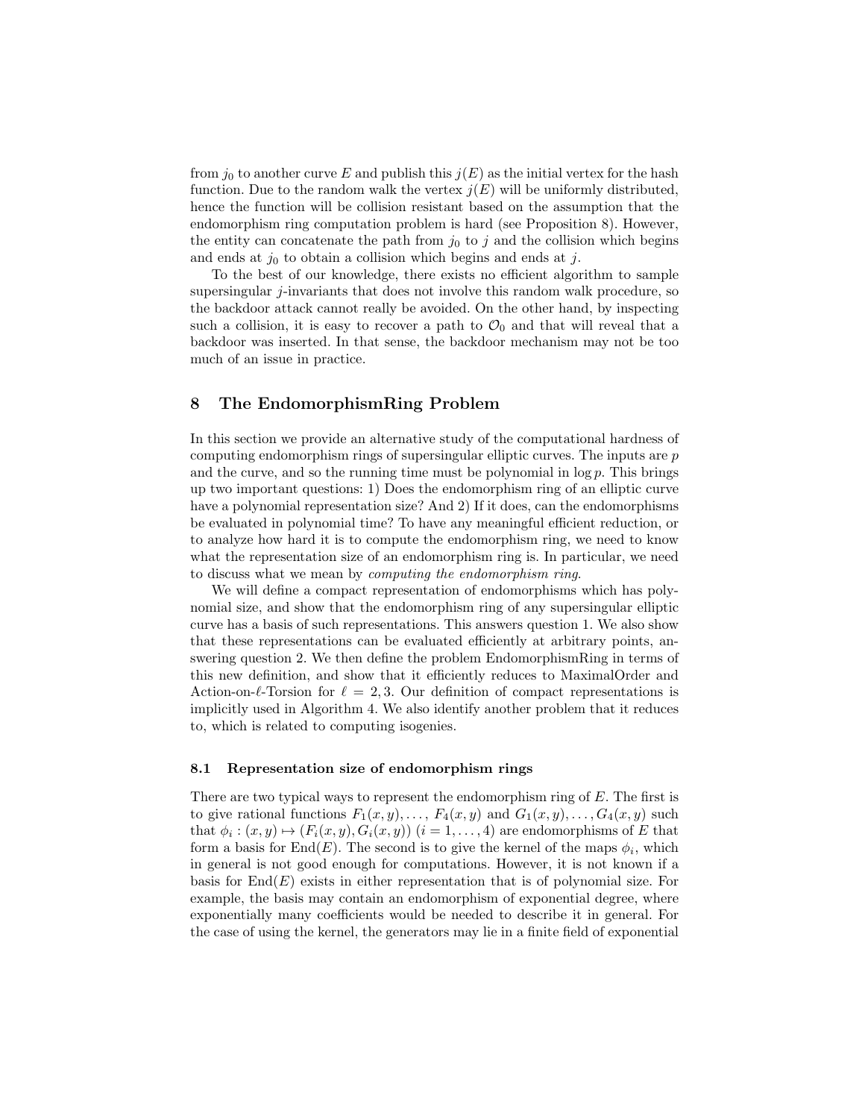from  $j_0$  to another curve E and publish this  $j(E)$  as the initial vertex for the hash function. Due to the random walk the vertex  $j(E)$  will be uniformly distributed, hence the function will be collision resistant based on the assumption that the endomorphism ring computation problem is hard (see Proposition 8). However, the entity can concatenate the path from  $j_0$  to j and the collision which begins and ends at  $j_0$  to obtain a collision which begins and ends at j.

To the best of our knowledge, there exists no efficient algorithm to sample supersingular  $j$ -invariants that does not involve this random walk procedure, so the backdoor attack cannot really be avoided. On the other hand, by inspecting such a collision, it is easy to recover a path to  $\mathcal{O}_0$  and that will reveal that a backdoor was inserted. In that sense, the backdoor mechanism may not be too much of an issue in practice.

# 8 The EndomorphismRing Problem

In this section we provide an alternative study of the computational hardness of computing endomorphism rings of supersingular elliptic curves. The inputs are  $p$ and the curve, and so the running time must be polynomial in  $log p$ . This brings up two important questions: 1) Does the endomorphism ring of an elliptic curve have a polynomial representation size? And 2) If it does, can the endomorphisms be evaluated in polynomial time? To have any meaningful efficient reduction, or to analyze how hard it is to compute the endomorphism ring, we need to know what the representation size of an endomorphism ring is. In particular, we need to discuss what we mean by computing the endomorphism ring.

We will define a compact representation of endomorphisms which has polynomial size, and show that the endomorphism ring of any supersingular elliptic curve has a basis of such representations. This answers question 1. We also show that these representations can be evaluated efficiently at arbitrary points, answering question 2. We then define the problem EndomorphismRing in terms of this new definition, and show that it efficiently reduces to MaximalOrder and Action-on- $\ell$ -Torsion for  $\ell = 2, 3$ . Our definition of compact representations is implicitly used in Algorithm 4. We also identify another problem that it reduces to, which is related to computing isogenies.

#### 8.1 Representation size of endomorphism rings

There are two typical ways to represent the endomorphism ring of E. The first is to give rational functions  $F_1(x, y), \ldots, F_4(x, y)$  and  $G_1(x, y), \ldots, G_4(x, y)$  such that  $\phi_i$ :  $(x, y) \mapsto (F_i(x, y), G_i(x, y))$   $(i = 1, ..., 4)$  are endomorphisms of E that form a basis for  $\text{End}(E)$ . The second is to give the kernel of the maps  $\phi_i$ , which in general is not good enough for computations. However, it is not known if a basis for  $\text{End}(E)$  exists in either representation that is of polynomial size. For example, the basis may contain an endomorphism of exponential degree, where exponentially many coefficients would be needed to describe it in general. For the case of using the kernel, the generators may lie in a finite field of exponential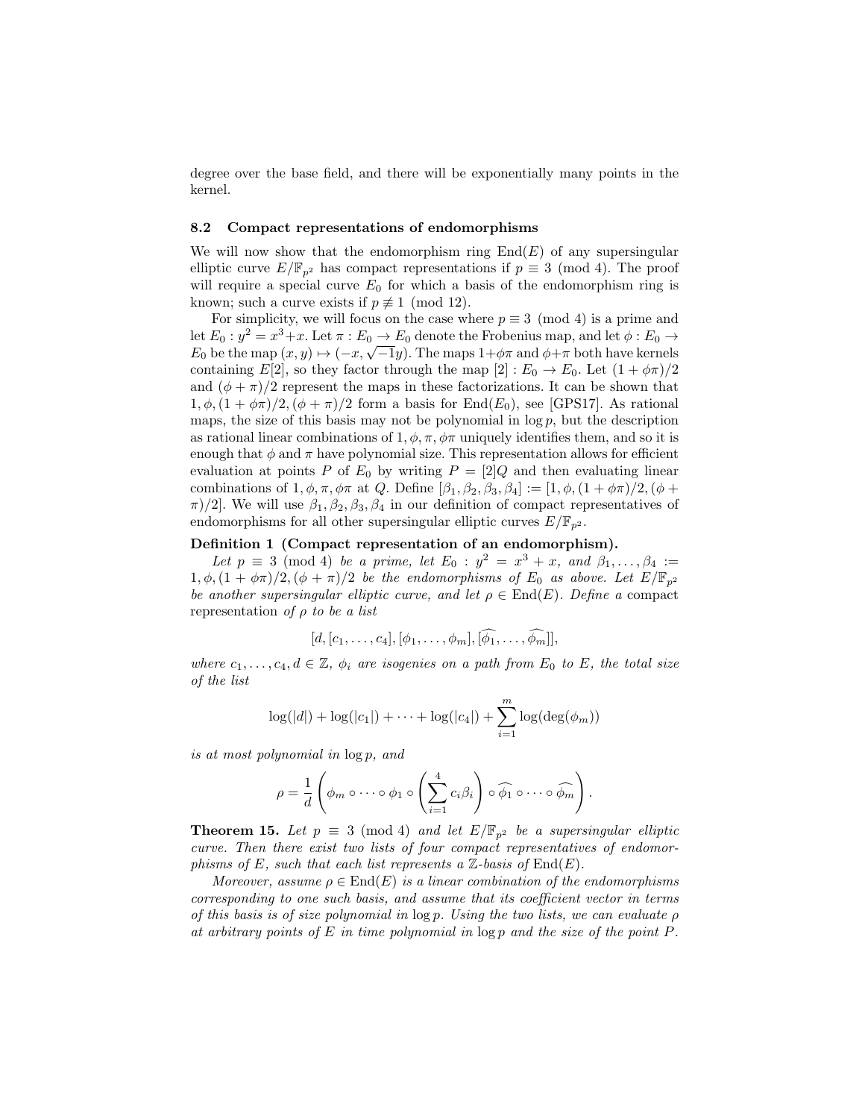degree over the base field, and there will be exponentially many points in the kernel.

#### 8.2 Compact representations of endomorphisms

We will now show that the endomorphism ring  $\text{End}(E)$  of any supersingular elliptic curve  $E/\mathbb{F}_{p^2}$  has compact representations if  $p \equiv 3 \pmod{4}$ . The proof will require a special curve  $E_0$  for which a basis of the endomorphism ring is known; such a curve exists if  $p \not\equiv 1 \pmod{12}$ .

For simplicity, we will focus on the case where  $p \equiv 3 \pmod{4}$  is a prime and let  $E_0: y^2 = x^3 + x$ . Let  $\pi: E_0 \to E_0$  denote the Frobenius map, and let  $\phi: E_0 \to$ Let  $E_0: y^2 = x^2 + x$ . Let  $\pi: E_0 \to E_0$  denote the Frobenius map, and let  $\varphi: E_0 \to E_0$  be the map  $(x, y) \mapsto (-x, \sqrt{-1}y)$ . The maps  $1 + \varphi \pi$  and  $\varphi + \pi$  both have kernels containing  $E[2]$ , so they factor through the map  $[2] : E_0 \to E_0$ . Let  $(1 + \phi \pi)/2$ and  $(\phi + \pi)/2$  represent the maps in these factorizations. It can be shown that  $1, \phi, (1 + \phi \pi)/2, (\phi + \pi)/2$  form a basis for End(E<sub>0</sub>), see [GPS17]. As rational maps, the size of this basis may not be polynomial in  $\log p$ , but the description as rational linear combinations of  $1, \phi, \pi, \phi\pi$  uniquely identifies them, and so it is enough that  $\phi$  and  $\pi$  have polynomial size. This representation allows for efficient evaluation at points P of  $E_0$  by writing  $P = [2]Q$  and then evaluating linear combinations of  $1, \phi, \pi, \phi\pi$  at Q. Define  $[\beta_1, \beta_2, \beta_3, \beta_4] := [1, \phi, (1 + \phi\pi)/2, (\phi +$  $\pi$ /2]. We will use  $\beta_1, \beta_2, \beta_3, \beta_4$  in our definition of compact representatives of endomorphisms for all other supersingular elliptic curves  $E/\mathbb{F}_{n^2}$ .

#### Definition 1 (Compact representation of an endomorphism).

Let  $p \equiv 3 \pmod{4}$  be a prime, let  $E_0 : y^2 = x^3 + x$ , and  $\beta_1, ..., \beta_4 :=$  $1, \phi, (1 + \phi \pi)/2, (\phi + \pi)/2$  be the endomorphisms of  $E_0$  as above. Let  $E/\mathbb{F}_{p^2}$ be another supersingular elliptic curve, and let  $\rho \in \text{End}(E)$ . Define a compact representation of  $\rho$  to be a list

$$
[d, [c_1,\ldots,c_4], [\phi_1,\ldots,\phi_m], [\widehat{\phi_1},\ldots,\widehat{\phi_m}]],
$$

where  $c_1, \ldots, c_4, d \in \mathbb{Z}$ ,  $\phi_i$  are isogenies on a path from  $E_0$  to E, the total size of the list

$$
\log(|d|) + \log(|c_1|) + \cdots + \log(|c_4|) + \sum_{i=1}^{m} \log(\deg(\phi_m))
$$

is at most polynomial in log p, and

$$
\rho = \frac{1}{d} \left( \phi_m \circ \cdots \circ \phi_1 \circ \left( \sum_{i=1}^4 c_i \beta_i \right) \circ \widehat{\phi_1} \circ \cdots \circ \widehat{\phi_m} \right).
$$

**Theorem 15.** Let  $p \equiv 3 \pmod{4}$  and let  $E/\mathbb{F}_{p^2}$  be a supersingular elliptic curve. Then there exist two lists of four compact representatives of endomorphisms of E, such that each list represents a  $\mathbb{Z}$ -basis of  $\text{End}(E)$ .

Moreover, assume  $\rho \in \text{End}(E)$  is a linear combination of the endomorphisms corresponding to one such basis, and assume that its coefficient vector in terms of this basis is of size polynomial in  $\log p$ . Using the two lists, we can evaluate  $\rho$ at arbitrary points of E in time polynomial in  $\log p$  and the size of the point P.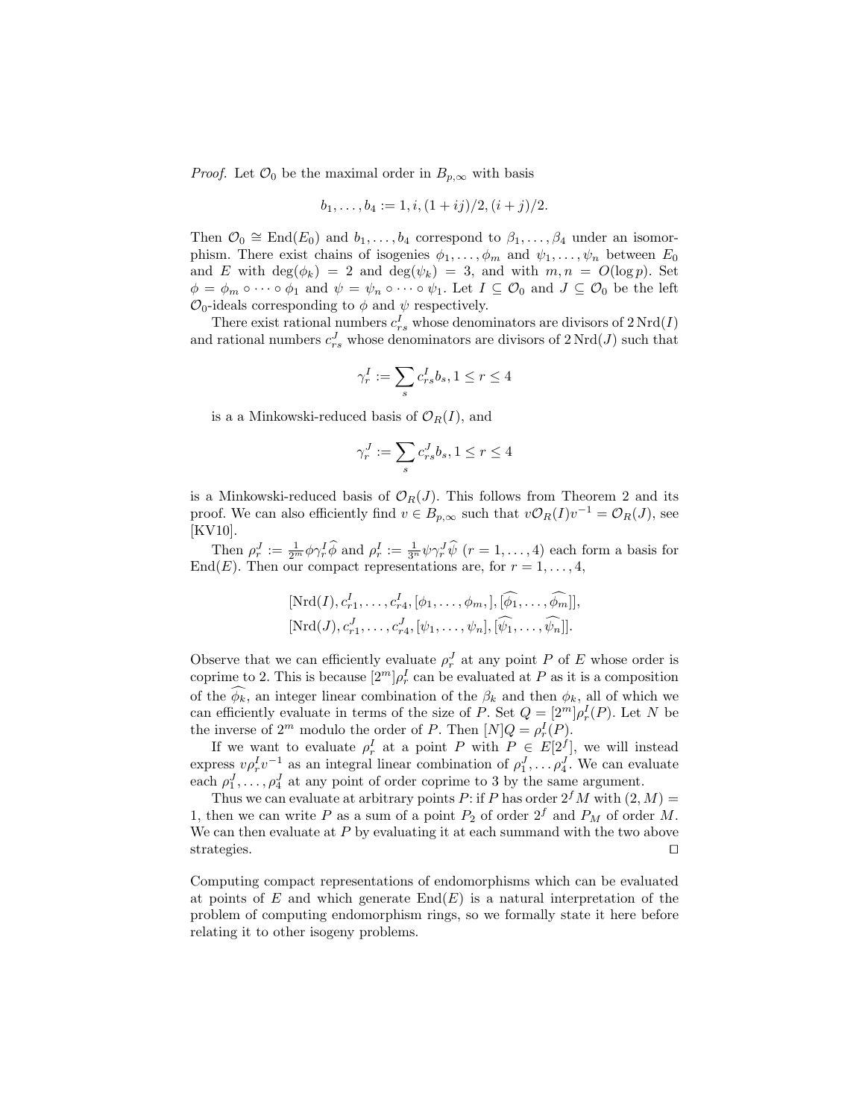*Proof.* Let  $\mathcal{O}_0$  be the maximal order in  $B_{p,\infty}$  with basis

$$
b_1, \ldots, b_4 := 1, i, (1 + ij)/2, (i + j)/2.
$$

Then  $\mathcal{O}_0 \cong \text{End}(E_0)$  and  $b_1, \ldots, b_4$  correspond to  $\beta_1, \ldots, \beta_4$  under an isomorphism. There exist chains of isogenies  $\phi_1, \ldots, \phi_m$  and  $\psi_1, \ldots, \psi_n$  between  $E_0$ and E with  $\deg(\phi_k) = 2$  and  $\deg(\psi_k) = 3$ , and with  $m, n = O(\log p)$ . Set  $\phi = \phi_m \circ \cdots \circ \phi_1$  and  $\psi = \psi_n \circ \cdots \circ \psi_1$ . Let  $I \subseteq \mathcal{O}_0$  and  $J \subseteq \mathcal{O}_0$  be the left  $\mathcal{O}_0$ -ideals corresponding to  $\phi$  and  $\psi$  respectively.

There exist rational numbers  $c_{rs}^I$  whose denominators are divisors of  $2 \text{ Nrd}(I)$ and rational numbers  $c_{rs}^J$  whose denominators are divisors of  $2 \text{ Nrd}(J)$  such that

$$
\gamma_r^I:=\sum_s c_{rs}^Ib_s, 1\leq r\leq 4
$$

is a a Minkowski-reduced basis of  $\mathcal{O}_R(I)$ , and

$$
\gamma_r^J:=\sum_s c_{rs}^Jb_s, 1\leq r\leq 4
$$

is a Minkowski-reduced basis of  $\mathcal{O}_R(J)$ . This follows from Theorem 2 and its proof. We can also efficiently find  $v \in B_{p,\infty}$  such that  $v \mathcal{O}_R(I) v^{-1} = \mathcal{O}_R(J)$ , see [KV10].

Then  $\rho_r^J := \frac{1}{2^m} \phi \gamma_r^I \widehat{\phi}$  and  $\rho_r^I := \frac{1}{3^n} \psi \gamma_r^J \widehat{\psi}$   $(r = 1, ..., 4)$  each form a basis for End(E). Then our compact representations are, for  $r = 1, \ldots, 4$ ,

$$
[\mathrm{Nrd}(I), c_{r1}^I, \ldots, c_{r4}^I, [\phi_1, \ldots, \phi_m, ], [\widehat{\phi_1}, \ldots, \widehat{\phi_m}]],
$$
  

$$
[\mathrm{Nrd}(J), c_{r1}^J, \ldots, c_{r4}^J, [\psi_1, \ldots, \psi_n], [\widehat{\psi_1}, \ldots, \widehat{\psi_n}]].
$$

Observe that we can efficiently evaluate  $\rho_r^J$  at any point P of E whose order is coprime to 2. This is because  $[2^m] \rho_r^I$  can be evaluated at P as it is a composition of the  $\phi_k$ , an integer linear combination of the  $\beta_k$  and then  $\phi_k$ , all of which we can efficiently evaluate in terms of the size of P. Set  $Q = [2^m] \rho_r^I(P)$ . Let N be the inverse of  $2^m$  modulo the order of P. Then  $[N]Q = \rho_r^I(P)$ .

If we want to evaluate  $\rho_r^I$  at a point P with  $P \in E[2^I]$ , we will instead express  $v \rho_r^I v^{-1}$  as an integral linear combination of  $\rho_1^J, \ldots, \rho_4^J$ . We can evaluate each  $\rho_1^J, \ldots, \rho_4^J$  at any point of order coprime to 3 by the same argument.

Thus we can evaluate at arbitrary points P: if P has order  $2<sup>f</sup>M$  with  $(2, M)$  = 1, then we can write P as a sum of a point  $P_2$  of order  $2^f$  and  $P_M$  of order M. We can then evaluate at  $P$  by evaluating it at each summand with the two above strategies.

Computing compact representations of endomorphisms which can be evaluated at points of E and which generate  $End(E)$  is a natural interpretation of the problem of computing endomorphism rings, so we formally state it here before relating it to other isogeny problems.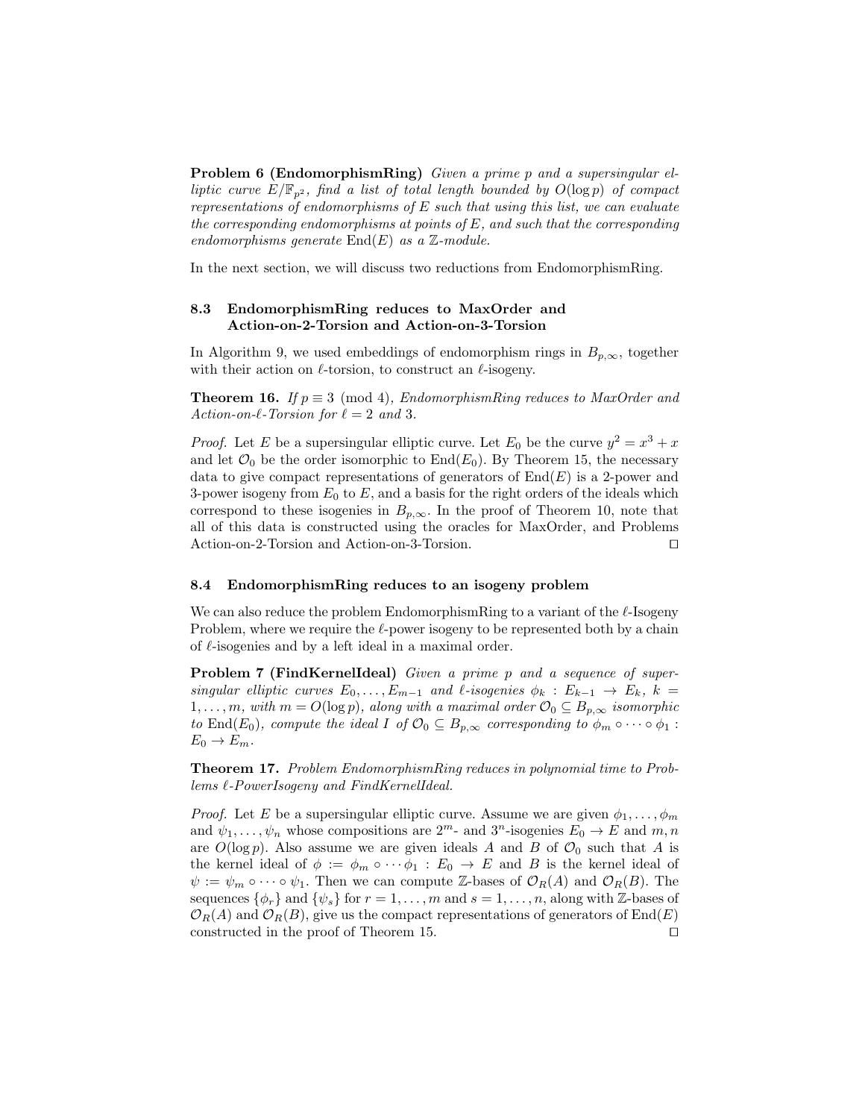**Problem 6 (EndomorphismRing)** Given a prime p and a supersingular elliptic curve  $E/\mathbb{F}_{p^2}$ , find a list of total length bounded by  $O(\log p)$  of compact representations of endomorphisms of  $E$  such that using this list, we can evaluate the corresponding endomorphisms at points of  $E$ , and such that the corresponding endomorphisms generate  $End(E)$  as a  $\mathbb{Z}\text{-}module.$ 

In the next section, we will discuss two reductions from EndomorphismRing.

#### 8.3 EndomorphismRing reduces to MaxOrder and Action-on-2-Torsion and Action-on-3-Torsion

In Algorithm 9, we used embeddings of endomorphism rings in  $B_{p,\infty}$ , together with their action on  $\ell$ -torsion, to construct an  $\ell$ -isogeny.

**Theorem 16.** If  $p \equiv 3 \pmod{4}$ , EndomorphismRing reduces to MaxOrder and Action-on- $\ell$ -Torsion for  $\ell = 2$  and 3.

*Proof.* Let E be a supersingular elliptic curve. Let  $E_0$  be the curve  $y^2 = x^3 + x$ and let  $\mathcal{O}_0$  be the order isomorphic to End( $E_0$ ). By Theorem 15, the necessary data to give compact representations of generators of  $End(E)$  is a 2-power and 3-power isogeny from  $E_0$  to  $E$ , and a basis for the right orders of the ideals which correspond to these isogenies in  $B_{p,\infty}$ . In the proof of Theorem 10, note that all of this data is constructed using the oracles for MaxOrder, and Problems Action-on-2-Torsion and Action-on-3-Torsion.  $\square$ 

#### 8.4 EndomorphismRing reduces to an isogeny problem

We can also reduce the problem EndomorphismRing to a variant of the  $\ell$ -Isogeny Problem, where we require the  $\ell$ -power isogeny to be represented both by a chain of  $\ell$ -isogenies and by a left ideal in a maximal order.

Problem 7 (FindKernelIdeal) Given a prime p and a sequence of supersingular elliptic curves  $E_0, \ldots, E_{m-1}$  and  $\ell$ -isogenies  $\phi_k : E_{k-1} \to E_k$ ,  $k =$  $1, \ldots, m$ , with  $m = O(\log p)$ , along with a maximal order  $\mathcal{O}_0 \subseteq B_{p,\infty}$  isomorphic to End(E<sub>0</sub>), compute the ideal I of  $\mathcal{O}_0 \subseteq B_{p,\infty}$  corresponding to  $\phi_m \circ \cdots \circ \phi_1$ :  $E_0 \rightarrow E_m$ .

Theorem 17. Problem EndomorphismRing reduces in polynomial time to Problems  $\ell$ -PowerIsogeny and FindKernelIdeal.

*Proof.* Let E be a supersingular elliptic curve. Assume we are given  $\phi_1, \ldots, \phi_m$ and  $\psi_1, \ldots, \psi_n$  whose compositions are  $2^m$ - and  $3^n$ -isogenies  $E_0 \to E$  and  $m, n$ are  $O(\log p)$ . Also assume we are given ideals A and B of  $\mathcal{O}_0$  such that A is the kernel ideal of  $\phi := \phi_m \circ \cdots \phi_1 : E_0 \to E$  and B is the kernel ideal of  $\psi := \psi_m \circ \cdots \circ \psi_1$ . Then we can compute Z-bases of  $\mathcal{O}_R(A)$  and  $\mathcal{O}_R(B)$ . The sequences  $\{\phi_r\}$  and  $\{\psi_s\}$  for  $r = 1, \ldots, m$  and  $s = 1, \ldots, n$ , along with Z-bases of  $\mathcal{O}_R(A)$  and  $\mathcal{O}_R(B)$ , give us the compact representations of generators of End(E) constructed in the proof of Theorem 15.  $\Box$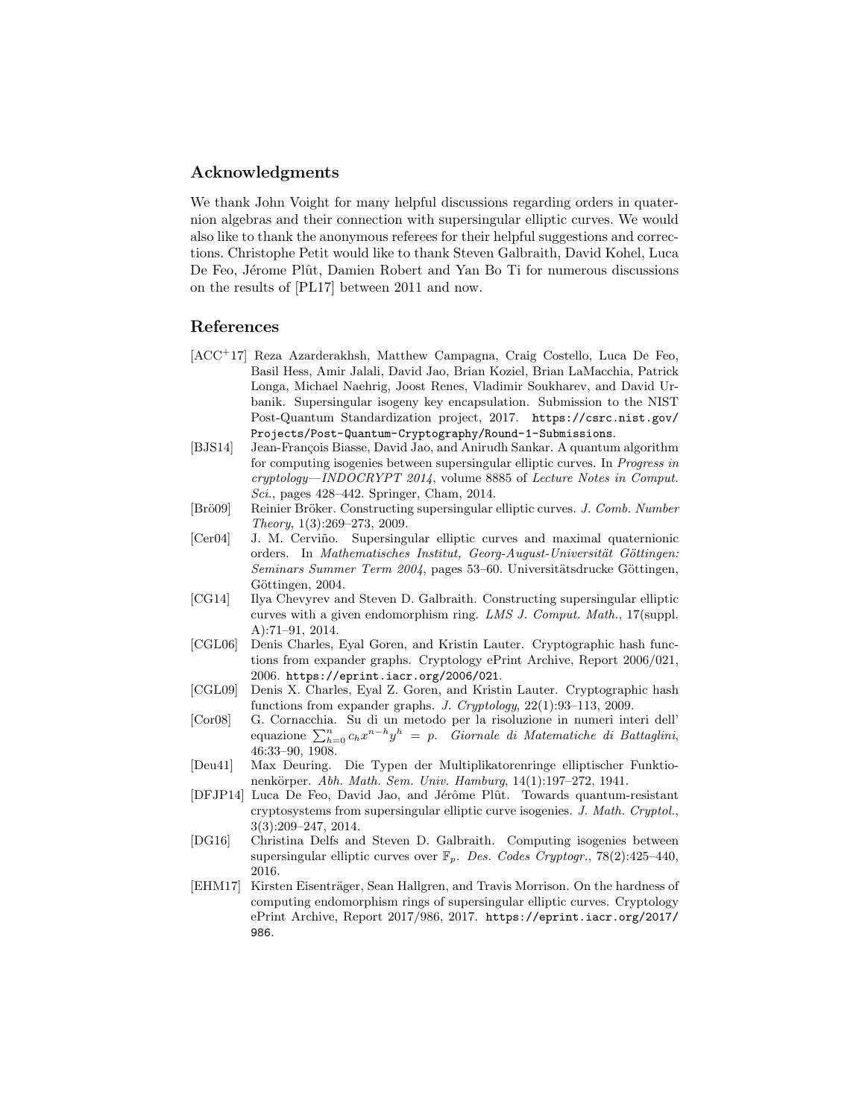#### Acknowledgments

We thank John Voight for many helpful discussions regarding orders in quaternion algebras and their connection with supersingular elliptic curves. We would also like to thank the anonymous referees for their helpful suggestions and corrections. Christophe Petit would like to thank Steven Galbraith, David Kohel, Luca De Feo, Jérome Plût, Damien Robert and Yan Bo Ti for numerous discussions on the results of [PL17] between 2011 and now.

#### References

- [ACC<sup>+</sup>17] Reza Azarderakhsh, Matthew Campagna, Craig Costello, Luca De Feo, Basil Hess, Amir Jalali, David Jao, Brian Koziel, Brian LaMacchia, Patrick Longa, Michael Naehrig, Joost Renes, Vladimir Soukharev, and David Urbanik. Supersingular isogeny key encapsulation. Submission to the NIST Post-Quantum Standardization project, 2017. https://csrc.nist.gov/ Projects/Post-Quantum-Cryptography/Round-1-Submissions.
- [BJS14] Jean-François Biasse, David Jao, and Anirudh Sankar. A quantum algorithm for computing isogenies between supersingular elliptic curves. In Progress in cryptology—INDOCRYPT 2014, volume 8885 of Lecture Notes in Comput. Sci., pages 428–442. Springer, Cham, 2014.
- [Brö09] Reinier Bröker. Constructing supersingular elliptic curves. J. Comb. Number Theory, 1(3):269–273, 2009.
- [Cer04] J. M. Cerviño. Supersingular elliptic curves and maximal quaternionic orders. In Mathematisches Institut, Georg-August-Universität Göttingen: Seminars Summer Term  $2004$ , pages 53–60. Universitätsdrucke Göttingen, Göttingen, 2004.
- [CG14] Ilya Chevyrev and Steven D. Galbraith. Constructing supersingular elliptic curves with a given endomorphism ring. LMS J. Comput. Math., 17(suppl. A):71–91, 2014.
- [CGL06] Denis Charles, Eyal Goren, and Kristin Lauter. Cryptographic hash functions from expander graphs. Cryptology ePrint Archive, Report 2006/021, 2006. https://eprint.iacr.org/2006/021.
- [CGL09] Denis X. Charles, Eyal Z. Goren, and Kristin Lauter. Cryptographic hash functions from expander graphs. J. Cryptology, 22(1):93–113, 2009.
- [Cor08] G. Cornacchia. Su di un metodo per la risoluzione in numeri interi dell' equazione  $\sum_{h=0}^{n} c_h x^{n-h} y^h = p$ . Giornale di Matematiche di Battaglini, 46:33–90, 1908.
- [Deu41] Max Deuring. Die Typen der Multiplikatorenringe elliptischer Funktionenkörper. Abh. Math. Sem. Univ. Hamburg, 14(1):197-272, 1941.
- [DFJP14] Luca De Feo, David Jao, and Jérôme Plût. Towards quantum-resistant cryptosystems from supersingular elliptic curve isogenies. J. Math. Cryptol., 3(3):209–247, 2014.
- [DG16] Christina Delfs and Steven D. Galbraith. Computing isogenies between supersingular elliptic curves over  $\mathbb{F}_p$ . Des. Codes Cryptogr., 78(2):425-440, 2016.
- [EHM17] Kirsten Eisenträger, Sean Hallgren, and Travis Morrison. On the hardness of computing endomorphism rings of supersingular elliptic curves. Cryptology ePrint Archive, Report 2017/986, 2017. https://eprint.iacr.org/2017/ 986.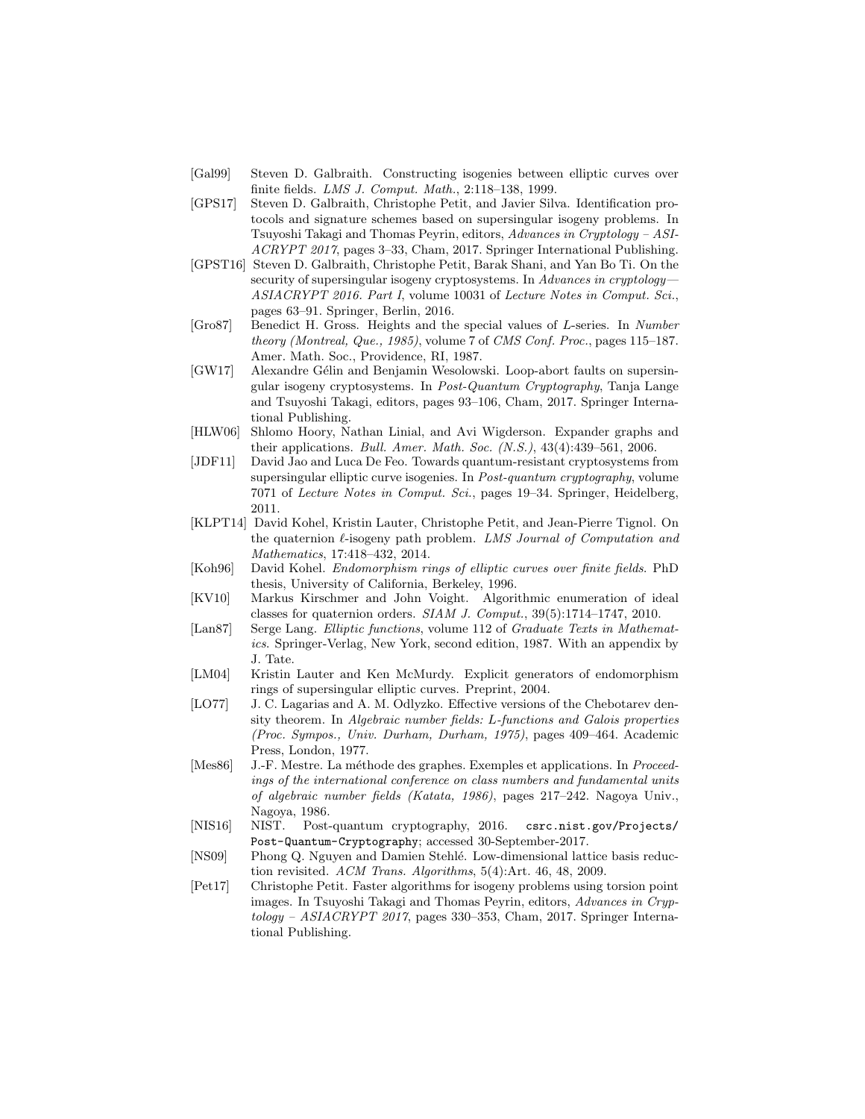- [Gal99] Steven D. Galbraith. Constructing isogenies between elliptic curves over finite fields. LMS J. Comput. Math., 2:118–138, 1999.
- [GPS17] Steven D. Galbraith, Christophe Petit, and Javier Silva. Identification protocols and signature schemes based on supersingular isogeny problems. In Tsuyoshi Takagi and Thomas Peyrin, editors, Advances in Cryptology – ASI-ACRYPT 2017, pages 3–33, Cham, 2017. Springer International Publishing.
- [GPST16] Steven D. Galbraith, Christophe Petit, Barak Shani, and Yan Bo Ti. On the security of supersingular isogeny cryptosystems. In Advances in cryptology-ASIACRYPT 2016. Part I, volume 10031 of Lecture Notes in Comput. Sci., pages 63–91. Springer, Berlin, 2016.
- [Gro87] Benedict H. Gross. Heights and the special values of L-series. In Number theory (Montreal, Que., 1985), volume 7 of CMS Conf. Proc., pages 115–187. Amer. Math. Soc., Providence, RI, 1987.
- [GW17] Alexandre Gélin and Benjamin Wesolowski. Loop-abort faults on supersingular isogeny cryptosystems. In Post-Quantum Cryptography, Tanja Lange and Tsuyoshi Takagi, editors, pages 93–106, Cham, 2017. Springer International Publishing.
- [HLW06] Shlomo Hoory, Nathan Linial, and Avi Wigderson. Expander graphs and their applications. Bull. Amer. Math. Soc. (N.S.), 43(4):439–561, 2006.
- [JDF11] David Jao and Luca De Feo. Towards quantum-resistant cryptosystems from supersingular elliptic curve isogenies. In Post-quantum cryptography, volume 7071 of Lecture Notes in Comput. Sci., pages 19–34. Springer, Heidelberg, 2011.
- [KLPT14] David Kohel, Kristin Lauter, Christophe Petit, and Jean-Pierre Tignol. On the quaternion  $\ell$ -isogeny path problem. LMS Journal of Computation and Mathematics, 17:418–432, 2014.
- [Koh96] David Kohel. Endomorphism rings of elliptic curves over finite fields. PhD thesis, University of California, Berkeley, 1996.
- [KV10] Markus Kirschmer and John Voight. Algorithmic enumeration of ideal classes for quaternion orders. SIAM J. Comput., 39(5):1714–1747, 2010.
- [Lan87] Serge Lang. Elliptic functions, volume 112 of Graduate Texts in Mathematics. Springer-Verlag, New York, second edition, 1987. With an appendix by J. Tate.
- [LM04] Kristin Lauter and Ken McMurdy. Explicit generators of endomorphism rings of supersingular elliptic curves. Preprint, 2004.
- [LO77] J. C. Lagarias and A. M. Odlyzko. Effective versions of the Chebotarev density theorem. In Algebraic number fields: L-functions and Galois properties (Proc. Sympos., Univ. Durham, Durham, 1975), pages 409–464. Academic Press, London, 1977.
- [Mes86] J.-F. Mestre. La méthode des graphes. Exemples et applications. In Proceedings of the international conference on class numbers and fundamental units of algebraic number fields (Katata, 1986), pages 217–242. Nagoya Univ., Nagoya, 1986.
- [NIS16] NIST. Post-quantum cryptography, 2016. csrc.nist.gov/Projects/ Post-Quantum-Cryptography; accessed 30-September-2017.
- [NS09] Phong Q. Nguyen and Damien Stehlé. Low-dimensional lattice basis reduction revisited. ACM Trans. Algorithms, 5(4):Art. 46, 48, 2009.
- [Pet17] Christophe Petit. Faster algorithms for isogeny problems using torsion point images. In Tsuyoshi Takagi and Thomas Peyrin, editors, Advances in Cryp $tology - ASIACRYPT 2017$ , pages 330–353, Cham, 2017. Springer International Publishing.